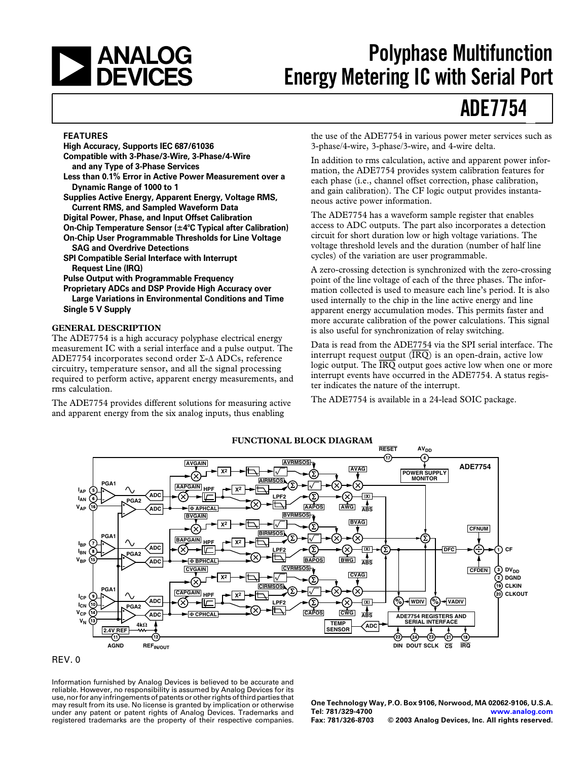# <span id="page-0-0"></span>**EXAMALOG**<br>DEVICES

# **Polyphase Multifunction Energy Metering IC with Serial Port**

# **ADE7754**

#### **FEATURES**

**High Accuracy, Supports IEC 687/61036 Compatible with 3-Phase/3-Wire, 3-Phase/4-Wire and any Type of 3-Phase Services Less than 0.1% Error in Active Power Measurement over a Dynamic Range of 1000 to 1 Supplies Active Energy, Apparent Energy, Voltage RMS, Current RMS, and Sampled Waveform Data Digital Power, Phase, and Input Offset Calibration On-Chip Temperature Sensor (4C Typical after Calibration) On-Chip User Programmable Thresholds for Line Voltage SAG and Overdrive Detections SPI Compatible Serial Interface with Interrupt Request Line (IRQ) Pulse Output with Programmable Frequency Proprietary ADCs and DSP Provide High Accuracy over Large Variations in Environmental Conditions and Time**

**Single 5 V Supply**

#### **GENERAL DESCRIPTION**

The ADE7754 is a high accuracy polyphase electrical energy measurement IC with a serial interface and a pulse output. The ADE7754 incorporates second order Σ-∆ ADCs, reference circuitry, temperature sensor, and all the signal processing required to perform active, apparent energy measurements, and rms calculation.

The ADE7754 provides different solutions for measuring active and apparent energy from the six analog inputs, thus enabling

the use of the ADE7754 in various power meter services such as 3-phase/4-wire, 3-phase/3-wire, and 4-wire delta.

In addition to rms calculation, active and apparent power information, the ADE7754 provides system calibration features for each phase (i.e., channel offset correction, phase calibration, and gain calibration). The CF logic output provides instantaneous active power information.

The ADE7754 has a waveform sample register that enables access to ADC outputs. The part also incorporates a detection circuit for short duration low or high voltage variations. The voltage threshold levels and the duration (number of half line cycles) of the variation are user programmable.

A zero-crossing detection is synchronized with the zero-crossing point of the line voltage of each of the three phases. The information collected is used to measure each line's period. It is also used internally to the chip in the line active energy and line apparent energy accumulation modes. This permits faster and more accurate calibration of the power calculations. This signal is also useful for synchronization of relay switching.

Data is read from the ADE7754 via the SPI serial interface. The interrupt request output  $(\overline{IRQ})$  is an open-drain, active low logic output. The *IRQ* output goes active low when one or more interrupt events have occurred in the ADE7754. A status register indicates the nature of the interrupt.

The ADE7754 is available in a 24-lead SOIC package.





Information furnished by Analog Devices is believed to be accurate and reliable. However, no responsibility is assumed by Analog Devices for its use, nor for any infringements of patents or other rights of third parties that may result from its use. No license is granted by implication or otherwise under any patent or patent rights of Analog Devices. Trademarks and registered trademarks are the property of their respective companies.

**One Technology Way, P.O. Box 9106, Norwood, MA 02062-9106, U.S.A. Tel: 781/329-4700 [www.analog.com](http://www.analog.com)**  $©$  2003 Analog Devices, Inc. All rights reserved.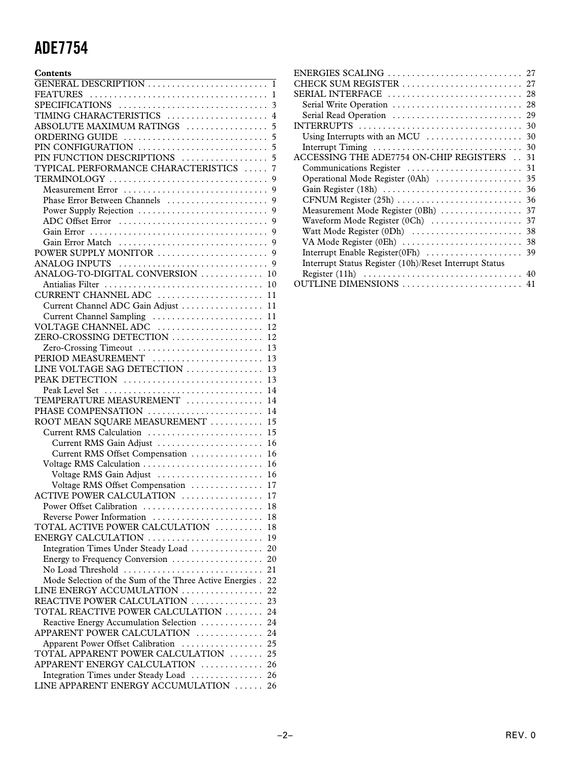| Contents                                                      |
|---------------------------------------------------------------|
|                                                               |
|                                                               |
|                                                               |
| TIMING CHARACTERISTICS  4                                     |
| ABSOLUTE MAXIMUM RATINGS<br>5                                 |
|                                                               |
|                                                               |
| PIN FUNCTION DESCRIPTIONS<br>5                                |
| TYPICAL PERFORMANCE CHARACTERISTICS<br>7                      |
| TERMINOLOGY<br>9                                              |
| Measurement Error<br>9                                        |
| Phase Error Between Channels                                  |
| 9                                                             |
|                                                               |
|                                                               |
|                                                               |
|                                                               |
|                                                               |
|                                                               |
| ANALOG-TO-DIGITAL CONVERSION  10                              |
|                                                               |
| CURRENT CHANNEL ADC  11                                       |
| Current Channel ADC Gain Adjust  11                           |
| Current Channel Sampling  11                                  |
|                                                               |
| ZERO-CROSSING DETECTION<br>12                                 |
| Zero-Crossing Timeout<br>13                                   |
| PERIOD MEASUREMENT  13                                        |
| LINE VOLTAGE SAG DETECTION  13                                |
|                                                               |
|                                                               |
| TEMPERATURE MEASUREMENT<br>14                                 |
|                                                               |
| PHASE COMPENSATION  14                                        |
| ROOT MEAN SQUARE MEASUREMENT  15                              |
| Current RMS Calculation  15                                   |
| Current RMS Gain Adjust  16                                   |
| Current RMS Offset Compensation  16                           |
|                                                               |
| Voltage RMS Gain Adjust  16                                   |
| Voltage RMS Offset Compensation  17                           |
| ACTIVE POWER CALCULATION  17                                  |
| Power Offset Calibration<br>18                                |
| Reverse Power Information<br>18                               |
| TOTAL ACTIVE POWER CALCULATION<br>18                          |
| ENERGY CALCULATION<br>19                                      |
| Integration Times Under Steady Load<br>20                     |
| Energy to Frequency Conversion<br>20                          |
| No Load Threshold<br>21                                       |
| Mode Selection of the Sum of the Three Active Energies.<br>22 |
| LINE ENERGY ACCUMULATION<br>22                                |
| REACTIVE POWER CALCULATION<br>23                              |
| TOTAL REACTIVE POWER CALCULATION<br>24                        |
| Reactive Energy Accumulation Selection<br>24                  |
| APPARENT POWER CALCULATION<br>24                              |
| Apparent Power Offset Calibration<br>25                       |
| TOTAL APPARENT POWER CALCULATION<br>25                        |
|                                                               |
| APPARENT ENERGY CALCULATION<br>26                             |
| Integration Times under Steady Load<br>26                     |
| LINE APPARENT ENERGY ACCUMULATION<br>26                       |

| ENERGIES SCALING<br>27                                                       |
|------------------------------------------------------------------------------|
| HECK SUM REGISTER<br>27                                                      |
| SERIAL INTERFACE<br>28                                                       |
| Serial Write Operation<br>28                                                 |
| Serial Read Operation<br>29                                                  |
| INTERRUPTS<br>30                                                             |
| Using Interrupts with an MCU<br>30                                           |
| Interrupt Timing<br>30                                                       |
| ACCESSING THE ADE7754 ON-CHIP REGISTERS<br>31                                |
| Communications Register<br>31                                                |
| Operational Mode Register (0Ah)<br>35                                        |
| Gain Register (18h)<br>36                                                    |
| $CFNUM Register (25h) \dots \dots \dots \dots \dots \dots \dots \dots$<br>36 |
| Measurement Mode Register (0Bh)<br>37                                        |
| Waveform Mode Register (0Ch)<br>37                                           |
| Watt Mode Register (0Dh)<br>38                                               |
| VA Mode Register (0Eh)<br>38                                                 |
| 39                                                                           |
| Interrupt Status Register (10h)/Reset Interrupt Status                       |
|                                                                              |
| 40                                                                           |
| 41                                                                           |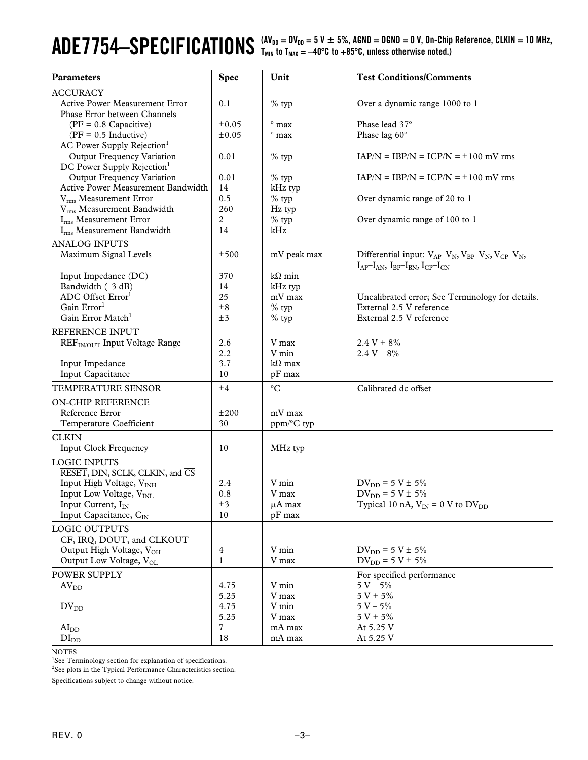# <span id="page-2-0"></span> $ADE7754—SPECIFICATIONS  $^{(AV_{DD} = DV_{DD} = 5 \text{ V} \pm 5 \%}$ , AGND = DGND = 0 V, On-Chip Reference, CLKIN = 10 MHz, and  $^{[O]} = 0$  (10000).$

| <b>Parameters</b>                                                       | <b>Spec</b>  | Unit               | <b>Test Conditions/Comments</b>                                  |
|-------------------------------------------------------------------------|--------------|--------------------|------------------------------------------------------------------|
| <b>ACCURACY</b>                                                         |              |                    |                                                                  |
| <b>Active Power Measurement Error</b>                                   | 0.1          | $%$ typ            | Over a dynamic range 1000 to 1                                   |
| Phase Error between Channels                                            |              |                    |                                                                  |
| $(PF = 0.8$ Capacitive)                                                 | $\pm 0.05$   | $^{\circ}$ max     | Phase lead 37°                                                   |
| $(PF = 0.5$ Inductive)                                                  | $\pm 0.05$   | $^{\rm o}$ max     | Phase lag 60°                                                    |
| AC Power Supply Rejection <sup>1</sup>                                  |              |                    |                                                                  |
| Output Frequency Variation                                              | 0.01         | $%$ typ            | $IAP/N = IBP/N = ICP/N = \pm 100$ mV rms                         |
| DC Power Supply Rejection <sup>1</sup>                                  |              |                    | $IAP/N = IBP/N = ICP/N = \pm 100$ mV rms                         |
| <b>Output Frequency Variation</b><br>Active Power Measurement Bandwidth | 0.01<br>14   | $%$ typ<br>kHz typ |                                                                  |
| V <sub>rms</sub> Measurement Error                                      | 0.5          | $%$ typ            | Over dynamic range of 20 to 1                                    |
| V <sub>rms</sub> Measurement Bandwidth                                  | 260          | Hz typ             |                                                                  |
| I <sub>rms</sub> Measurement Error                                      | 2            | $%$ typ            | Over dynamic range of 100 to 1                                   |
| Irms Measurement Bandwidth                                              | 14           | kHz                |                                                                  |
| <b>ANALOG INPUTS</b>                                                    |              |                    |                                                                  |
| Maximum Signal Levels                                                   | ±500         | mV peak max        | Differential input: $V_{AP}-V_N$ , $V_{BP}-V_N$ , $V_{CP}-V_N$ , |
|                                                                         |              |                    | $I_{AP}-I_{AN}$ , $I_{BP}-I_{BN}$ , $I_{CP}-I_{CN}$              |
| Input Impedance (DC)                                                    | 370          | $k\Omega$ min      |                                                                  |
| Bandwidth (-3 dB)                                                       | 14           | kHz typ            |                                                                  |
| ADC Offset Error <sup>1</sup>                                           | 25           | mV max             | Uncalibrated error; See Terminology for details.                 |
| Gain Error <sup>1</sup>                                                 | $\pm 8$      | $%$ typ            | External 2.5 V reference                                         |
| Gain Error Match <sup>1</sup>                                           | ±3           | $%$ typ            | External 2.5 V reference                                         |
| REFERENCE INPUT                                                         |              |                    |                                                                  |
| REF <sub>IN/OUT</sub> Input Voltage Range                               | 2.6          | V max              | $2.4 V + 8\%$                                                    |
|                                                                         | 2.2          | V min              | $2.4 V - 8%$                                                     |
| Input Impedance                                                         | 3.7          | $k\Omega$ max      |                                                                  |
| Input Capacitance                                                       | 10           | pF max             |                                                                  |
| TEMPERATURE SENSOR                                                      | ±4           | $\rm ^{o}C$        | Calibrated dc offset                                             |
| <b>ON-CHIP REFERENCE</b>                                                |              |                    |                                                                  |
| Reference Error                                                         | ±200         | mV max             |                                                                  |
| Temperature Coefficient                                                 | 30           | ppm/°C typ         |                                                                  |
| <b>CLKIN</b>                                                            |              |                    |                                                                  |
| <b>Input Clock Frequency</b>                                            | 10           | MHz typ            |                                                                  |
| <b>LOGIC INPUTS</b>                                                     |              |                    |                                                                  |
| RESET, DIN, SCLK, CLKIN, and CS                                         |              |                    |                                                                  |
| Input High Voltage, V <sub>INH</sub>                                    | 2.4          | V min              | $DV_{DD} = 5 V \pm 5\%$                                          |
| Input Low Voltage, V <sub>INI</sub>                                     | 0.8          | V max              | $DV_{DD} = 5 V \pm 5\%$                                          |
| Input Current, I <sub>IN</sub>                                          | ±3           | $\mu A$ max        | Typical 10 nA, $V_{IN} = 0$ V to $DV_{DD}$                       |
| Input Capacitance, CIN                                                  | 10           | pF max             |                                                                  |
| <b>LOGIC OUTPUTS</b>                                                    |              |                    |                                                                  |
| CF, IRQ, DOUT, and CLKOUT                                               |              |                    |                                                                  |
| Output High Voltage, V <sub>OH</sub>                                    | 4            | V min              | $DV_{DD} = 5 V \pm 5\%$                                          |
| Output Low Voltage, VOL                                                 | $\mathbf{1}$ | V max              | $DV_{DD} = 5 V \pm 5\%$                                          |
| POWER SUPPLY                                                            |              |                    | For specified performance                                        |
| AV <sub>DD</sub>                                                        | 4.75         | V min              | $5 V - 5%$                                                       |
|                                                                         | 5.25         | V max              | $5 V + 5%$                                                       |
| $DV_{DD}$                                                               | 4.75         | V min              | $5 V - 5%$                                                       |
|                                                                         | 5.25         | V max              | $5 V + 5%$                                                       |
| AI <sub>DD</sub>                                                        | 7            | mA max             | At 5.25 V                                                        |
| DI <sub>DD</sub>                                                        | 18           | $\rm mA$ $\rm max$ | At 5.25 V                                                        |

NOTES

<sup>1</sup>See Terminology section for explanation of specifications.

<sup>2</sup>See plots in the Typical Performance Characteristics section.

Specifications subject to change without notice.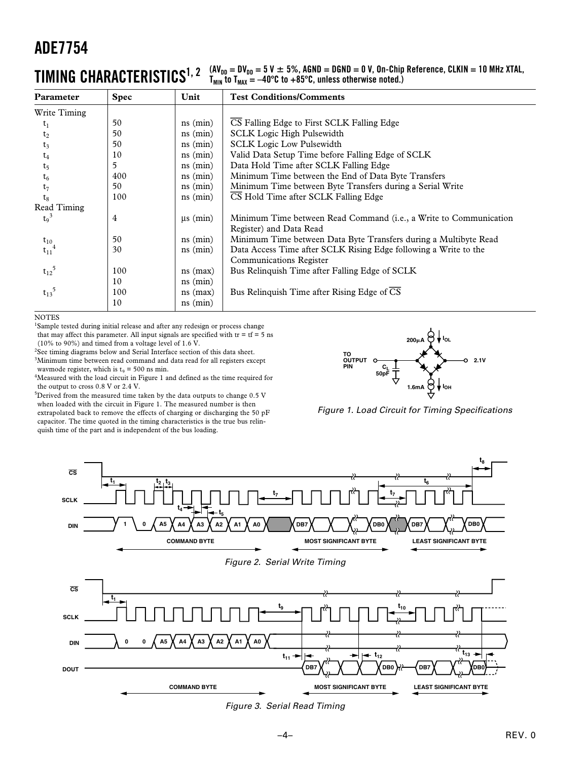### <span id="page-3-0"></span> $\prod_{\text{MIR}} \text{CHARACTERISTICS}^{1, 2}$   $\left. \begin{array}{l} (A\textsf{V}_{\text{DD}}=D\textsf{V}_{\text{DD}}=5 \textsf{V} \pm 5\% , A\textsf{GND}=D\textsf{GND}=0 \textsf{V}, \textsf{On-Chip Reference}, \textsf{CLKIN}=10 \textsf{ MHz XTAL}, \ \textsf{V}_{\text{MIR}}=0 \textsf{V} \pm 0.3 \textsf{C} \end{array} \right.$

| Parameter             | <b>Spec</b> | Unit                         | <b>Test Conditions/Comments</b>                                                                    |
|-----------------------|-------------|------------------------------|----------------------------------------------------------------------------------------------------|
| Write Timing          |             |                              |                                                                                                    |
| $t_1$                 | 50          | $ns$ ( $min$ )               | CS Falling Edge to First SCLK Falling Edge                                                         |
| t <sub>2</sub>        | 50          | $ns$ (min)                   | <b>SCLK</b> Logic High Pulsewidth                                                                  |
| $t_3$                 | 50          | $ns$ ( $min$ )               | <b>SCLK Logic Low Pulsewidth</b>                                                                   |
| $t_4$                 | 10          | $ns$ (min)                   | Valid Data Setup Time before Falling Edge of SCLK                                                  |
| t <sub>5</sub>        | 5           | $ns$ ( $min$ )               | Data Hold Time after SCLK Falling Edge                                                             |
| $t_6$                 | 400         | $ns$ (min)                   | Minimum Time between the End of Data Byte Transfers                                                |
| $t_7$                 | 50          | $ns$ (min)                   | Minimum Time between Byte Transfers during a Serial Write                                          |
| tg                    | 100         | $ns$ ( $min$ )               | CS Hold Time after SCLK Falling Edge                                                               |
| Read Timing           |             |                              |                                                                                                    |
| $t_9^3$               | 4           | $\mu s$ (min)                | Minimum Time between Read Command (i.e., a Write to Communication<br>Register) and Data Read       |
| $t_{10}$              | 50          | $ns$ ( $min$ )               | Minimum Time between Data Byte Transfers during a Multibyte Read                                   |
| $t_{11}^4$            | 30          | $ns$ ( $min$ )               | Data Access Time after SCLK Rising Edge following a Write to the<br><b>Communications Register</b> |
| $t_{12}^{\  \  \, 5}$ | 100         | $ns$ (max)                   | Bus Relinquish Time after Falling Edge of SCLK                                                     |
|                       | 10          | $ns$ (min)                   |                                                                                                    |
| $t_{13}^{\ 5}$        | 100<br>10   | $ns$ (max)<br>$ns$ ( $min$ ) | Bus Relinquish Time after Rising Edge of $\overline{CS}$                                           |

**NOTES** 

<sup>1</sup>Sample tested during initial release and after any redesign or process change that may affect this parameter. All input signals are specified with  $tr = tf = 5$  ns

(10% to 90%) and timed from a voltage level of 1.6 V.

<sup>2</sup>See timing diagrams below and Serial Interface section of this data sheet.  $3$ Minimum time between read command and data read for all registers except wavmode register, which is  $t_9 = 500$  ns min.

<sup>4</sup>Measured with the load circuit in Figure 1 and defined as the time required for the output to cross 0.8 V or 2.4 V.

<sup>5</sup>Derived from the measured time taken by the data outputs to change 0.5 V when loaded with the circuit in Figure 1. The measured number is then extrapolated back to remove the effects of charging or discharging the 50 pF capacitor. The time quoted in the timing characteristics is the true bus relinquish time of the part and is independent of the bus loading.



Figure 1. Load Circuit for Timing Specifications







Figure 3. Serial Read Timing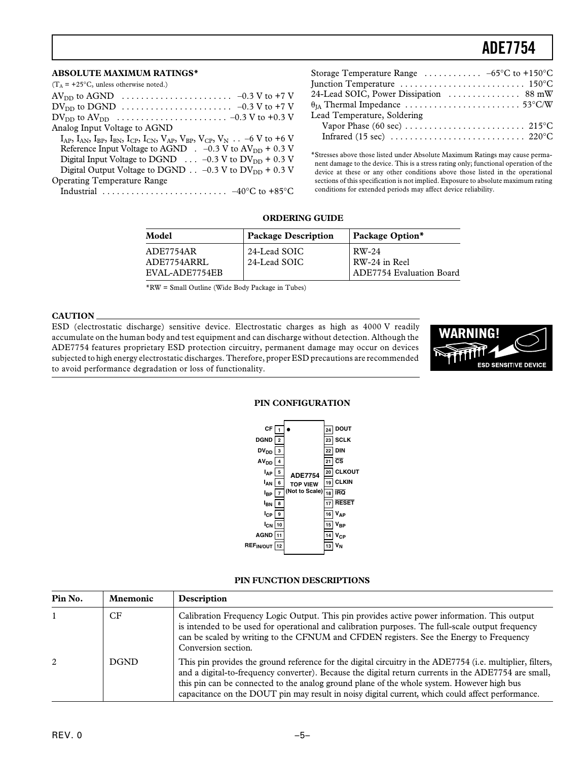#### <span id="page-4-0"></span>**ABSOLUTE MAXIMUM RATINGS\***

| $(T_A = +25$ °C, unless otherwise noted.)                                                                             |
|-----------------------------------------------------------------------------------------------------------------------|
| $AV_{DD}$ to AGND $\ldots \ldots \ldots \ldots \ldots \ldots \ldots \ldots \ldots \ldots \sim -0.3 V$ to +7 V         |
|                                                                                                                       |
|                                                                                                                       |
| Analog Input Voltage to AGND                                                                                          |
| $I_{AP}$ , $I_{AN}$ , $I_{BP}$ , $I_{BN}$ , $I_{CP}$ , $I_{CN}$ , $V_{AP}$ , $V_{RP}$ , $V_{CP}$ , $V_N$ -6 V to +6 V |
| Reference Input Voltage to AGND $\,$ . -0.3 V to AV <sub>DD</sub> + 0.3 V                                             |
| Digital Input Voltage to DGND $\ldots$ -0.3 V to DV <sub>DD</sub> + 0.3 V                                             |
| Digital Output Voltage to DGND $\ldots$ -0.3 V to DV <sub>DD</sub> + 0.3 V                                            |
| <b>Operating Temperature Range</b>                                                                                    |
|                                                                                                                       |

| Storage Temperature Range $\dots \dots \dots -65$ °C to +150°C                                                      |  |
|---------------------------------------------------------------------------------------------------------------------|--|
| Junction Temperature $\dots\dots\dots\dots\dots\dots\dots\dots$ 150°C                                               |  |
| 24-Lead SOIC, Power Dissipation  88 mW                                                                              |  |
| $\theta_{\mathrm{IA}}$ Thermal Impedance $\,\ldots\ldots\ldots\ldots\ldots\ldots\ldots\ldots\,53^\circ\mathrm{C/W}$ |  |
| Lead Temperature, Soldering                                                                                         |  |
|                                                                                                                     |  |
|                                                                                                                     |  |

\*Stresses above those listed under Absolute Maximum Ratings may cause permanent damage to the device. This is a stress rating only; functional operation of the device at these or any other conditions above those listed in the operational sections of this specification is not implied. Exposure to absolute maximum rating conditions for extended periods may affect device reliability.

#### **ORDERING GUIDE**

| Model                                      | <b>Package Description</b>   | Package Option*                                           |
|--------------------------------------------|------------------------------|-----------------------------------------------------------|
| ADE7754AR<br>ADE7754ARRL<br>EVAL-ADE7754EB | 24-Lead SOIC<br>24-Lead SOIC | RW-24<br>RW-24 in Reel<br><b>ADE7754 Evaluation Board</b> |

\*RW = Small Outline (Wide Body Package in Tubes)

#### **CAUTION**

ESD (electrostatic discharge) sensitive device. Electrostatic charges as high as 4000 V readily accumulate on the human body and test equipment and can discharge without detection. Although the ADE7754 features proprietary ESD protection circuitry, permanent damage may occur on devices subjected to high energy electrostatic discharges. Therefore, proper ESD precautions are recommended to avoid performance degradation or loss of functionality.



#### **TOP VIEW (Not to Scale) 24 DOUT 23 SCLK 22 DIN 21 CS 20 CLKOUT 19 CLKIN 18 IRQ 17 RESET 16 VAP 15 VBP 14 VCP 13 VN 1 2 DGND DV<sub>DD</sub>** | 3 **4V**<sub>DD</sub> <u>1</u> **5 IAP 6 IAN 7 8 9 10 11 AGND 12 REFIN/OUT ADE7754 ICP IBN CF IBP**

**PIN CONFIGURATION**

#### **PIN FUNCTION DESCRIPTIONS**

| Pin No. | <b>Mnemonic</b> | Description                                                                                                                                                                                                                                                                                                                                                                                                          |
|---------|-----------------|----------------------------------------------------------------------------------------------------------------------------------------------------------------------------------------------------------------------------------------------------------------------------------------------------------------------------------------------------------------------------------------------------------------------|
|         | СF              | Calibration Frequency Logic Output. This pin provides active power information. This output<br>is intended to be used for operational and calibration purposes. The full-scale output frequency<br>can be scaled by writing to the CFNUM and CFDEN registers. See the Energy to Frequency<br>Conversion section.                                                                                                     |
|         | <b>DGND</b>     | This pin provides the ground reference for the digital circuitry in the ADE7754 (i.e. multiplier, filters,<br>and a digital-to-frequency converter). Because the digital return currents in the ADE7754 are small,<br>this pin can be connected to the analog ground plane of the whole system. However high bus<br>capacitance on the DOUT pin may result in noisy digital current, which could affect performance. |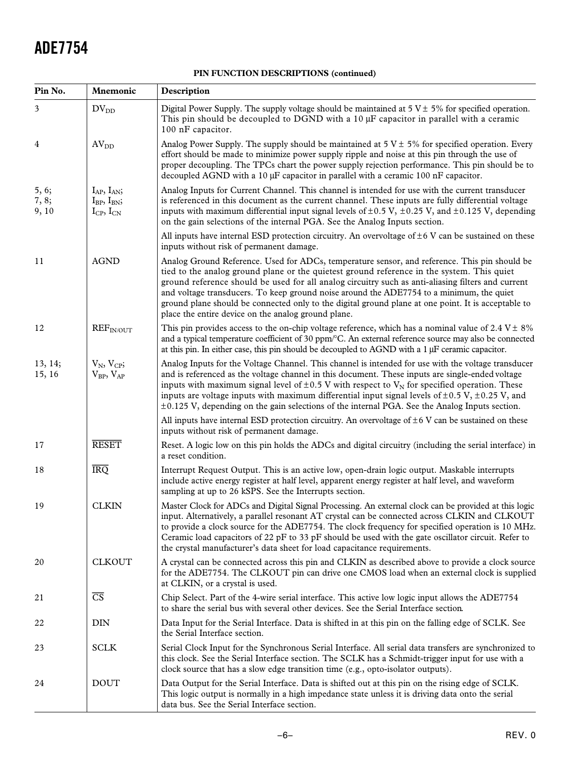| PIN FUNCTION DESCRIPTIONS (continued) |  |
|---------------------------------------|--|
|---------------------------------------|--|

| Pin No.                 | Mnemonic                                                              | Description                                                                                                                                                                                                                                                                                                                                                                                                                                                                                                                                                 |
|-------------------------|-----------------------------------------------------------------------|-------------------------------------------------------------------------------------------------------------------------------------------------------------------------------------------------------------------------------------------------------------------------------------------------------------------------------------------------------------------------------------------------------------------------------------------------------------------------------------------------------------------------------------------------------------|
| 3                       | $DV_{DD}$                                                             | Digital Power Supply. The supply voltage should be maintained at $5 V \pm 5\%$ for specified operation.<br>This pin should be decoupled to DGND with a $10 \mu$ F capacitor in parallel with a ceramic<br>100 nF capacitor.                                                                                                                                                                                                                                                                                                                                 |
| 4                       | AV <sub>DD</sub>                                                      | Analog Power Supply. The supply should be maintained at $5 V \pm 5\%$ for specified operation. Every<br>effort should be made to minimize power supply ripple and noise at this pin through the use of<br>proper decoupling. The TPCs chart the power supply rejection performance. This pin should be to<br>decoupled AGND with a 10 µF capacitor in parallel with a ceramic 100 nF capacitor.                                                                                                                                                             |
| 5, 6;<br>7, 8;<br>9, 10 | $I_{AP}$ , $I_{AN}$ ;<br>$I_{BP}$ , $I_{BN}$ ;<br>$I_{CP}$ , $I_{CN}$ | Analog Inputs for Current Channel. This channel is intended for use with the current transducer<br>is referenced in this document as the current channel. These inputs are fully differential voltage<br>inputs with maximum differential input signal levels of $\pm 0.5$ V, $\pm 0.25$ V, and $\pm 0.125$ V, depending<br>on the gain selections of the internal PGA. See the Analog Inputs section.                                                                                                                                                      |
|                         |                                                                       | All inputs have internal ESD protection circuitry. An overvoltage of $\pm 6$ V can be sustained on these<br>inputs without risk of permanent damage.                                                                                                                                                                                                                                                                                                                                                                                                        |
| 11                      | <b>AGND</b>                                                           | Analog Ground Reference. Used for ADCs, temperature sensor, and reference. This pin should be<br>tied to the analog ground plane or the quietest ground reference in the system. This quiet<br>ground reference should be used for all analog circuitry such as anti-aliasing filters and current<br>and voltage transducers. To keep ground noise around the ADE7754 to a minimum, the quiet<br>ground plane should be connected only to the digital ground plane at one point. It is acceptable to<br>place the entire device on the analog ground plane. |
| 12                      | REF <sub>IN/OUT</sub>                                                 | This pin provides access to the on-chip voltage reference, which has a nominal value of $2.4 \text{ V} \pm 8\%$<br>and a typical temperature coefficient of 30 ppm/°C. An external reference source may also be connected<br>at this pin. In either case, this pin should be decoupled to AGND with a $1 \mu$ F ceramic capacitor.                                                                                                                                                                                                                          |
| 13, 14;<br>15, 16       | $V_N$ , $V_{CP}$ ;<br>$V_{BP}$ , $V_{AP}$                             | Analog Inputs for the Voltage Channel. This channel is intended for use with the voltage transducer<br>and is referenced as the voltage channel in this document. These inputs are single-ended voltage<br>inputs with maximum signal level of $\pm 0.5$ V with respect to V <sub>N</sub> for specified operation. These<br>inputs are voltage inputs with maximum differential input signal levels of $\pm$ 0.5 V, $\pm$ 0.25 V, and<br>$\pm 0.125$ V, depending on the gain selections of the internal PGA. See the Analog Inputs section.                |
|                         |                                                                       | All inputs have internal ESD protection circuitry. An overvoltage of $\pm$ 6 V can be sustained on these<br>inputs without risk of permanent damage.                                                                                                                                                                                                                                                                                                                                                                                                        |
| 17                      | <b>RESET</b>                                                          | Reset. A logic low on this pin holds the ADCs and digital circuitry (including the serial interface) in<br>a reset condition.                                                                                                                                                                                                                                                                                                                                                                                                                               |
| 18                      | <b>IRQ</b>                                                            | Interrupt Request Output. This is an active low, open-drain logic output. Maskable interrupts<br>include active energy register at half level, apparent energy register at half level, and waveform<br>sampling at up to 26 kSPS. See the Interrupts section.                                                                                                                                                                                                                                                                                               |
| 19                      | <b>CLKIN</b>                                                          | Master Clock for ADCs and Digital Signal Processing. An external clock can be provided at this logic<br>input. Alternatively, a parallel resonant AT crystal can be connected across CLKIN and CLKOUT<br>to provide a clock source for the ADE7754. The clock frequency for specified operation is 10 MHz.<br>Ceramic load capacitors of 22 pF to 33 pF should be used with the gate oscillator circuit. Refer to<br>the crystal manufacturer's data sheet for load capacitance requirements.                                                               |
| 20                      | <b>CLKOUT</b>                                                         | A crystal can be connected across this pin and CLKIN as described above to provide a clock source<br>for the ADE7754. The CLKOUT pin can drive one CMOS load when an external clock is supplied<br>at CLKIN, or a crystal is used.                                                                                                                                                                                                                                                                                                                          |
| 21                      | $\overline{\text{CS}}$                                                | Chip Select. Part of the 4-wire serial interface. This active low logic input allows the ADE7754<br>to share the serial bus with several other devices. See the Serial Interface section.                                                                                                                                                                                                                                                                                                                                                                   |
| 22                      | <b>DIN</b>                                                            | Data Input for the Serial Interface. Data is shifted in at this pin on the falling edge of SCLK. See<br>the Serial Interface section.                                                                                                                                                                                                                                                                                                                                                                                                                       |
| 23                      | <b>SCLK</b>                                                           | Serial Clock Input for the Synchronous Serial Interface. All serial data transfers are synchronized to<br>this clock. See the Serial Interface section. The SCLK has a Schmidt-trigger input for use with a<br>clock source that has a slow edge transition time (e.g., opto-isolator outputs).                                                                                                                                                                                                                                                             |
| 24                      | <b>DOUT</b>                                                           | Data Output for the Serial Interface. Data is shifted out at this pin on the rising edge of SCLK.<br>This logic output is normally in a high impedance state unless it is driving data onto the serial<br>data bus. See the Serial Interface section.                                                                                                                                                                                                                                                                                                       |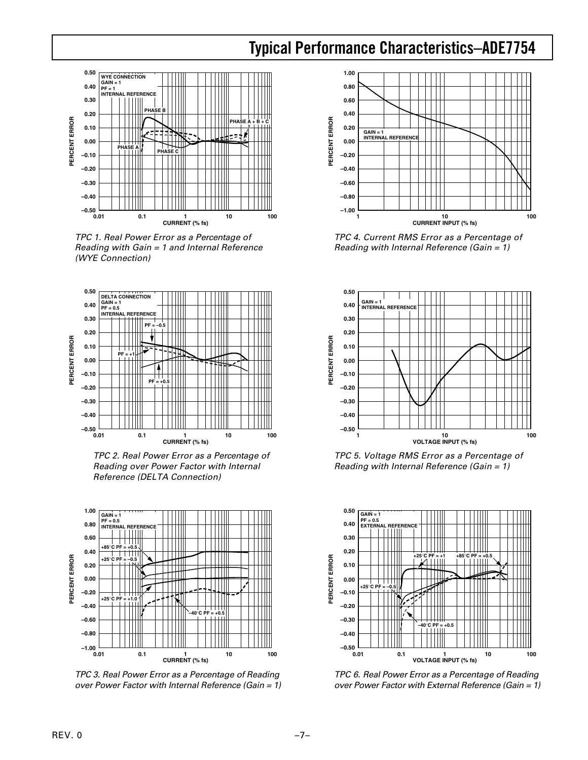### **Typical Performance Characteristics–ADE7754**

<span id="page-6-0"></span>

TPC 1. Real Power Error as a Percentage of Reading with Gain = 1 and Internal Reference (WYE Connection)



TPC 2. Real Power Error as a Percentage of Reading over Power Factor with Internal Reference (DELTA Connection)



TPC 3. Real Power Error as a Percentage of Reading over Power Factor with Internal Reference (Gain = 1)



TPC 4. Current RMS Error as a Percentage of Reading with Internal Reference (Gain = 1)



TPC 5. Voltage RMS Error as a Percentage of Reading with Internal Reference (Gain = 1)



TPC 6. Real Power Error as a Percentage of Reading over Power Factor with External Reference (Gain = 1)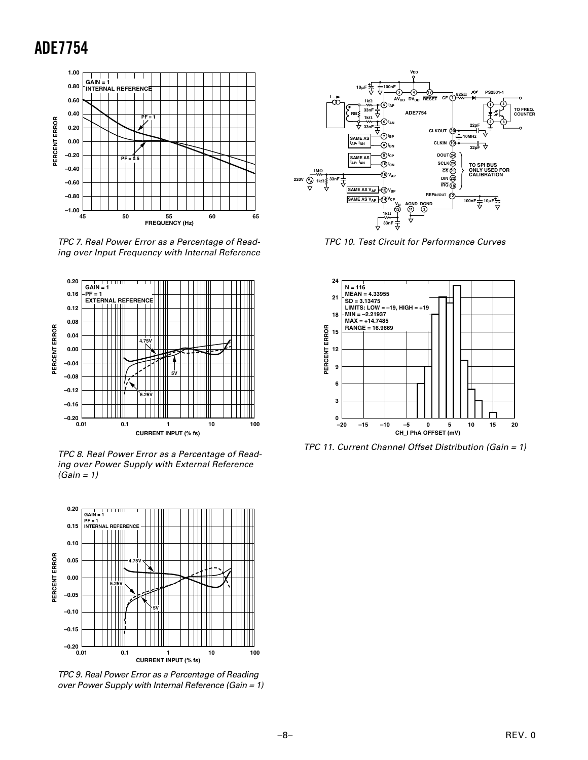

TPC 7. Real Power Error as a Percentage of Reading over Input Frequency with Internal Reference



TPC 8. Real Power Error as a Percentage of Reading over Power Supply with External Reference  $(Gain = 1)$ 



TPC 9. Real Power Error as a Percentage of Reading over Power Supply with Internal Reference (Gain = 1)



TPC 10. Test Circuit for Performance Curves



TPC 11. Current Channel Offset Distribution (Gain = 1)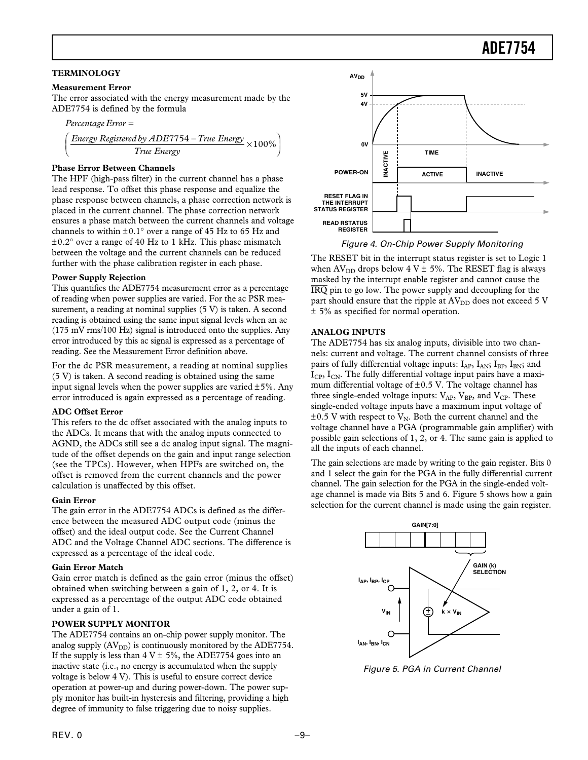#### <span id="page-8-0"></span>**TERMINOLOGY**

#### **Measurement Error**

The error associated with the energy measurement made by the ADE7754 is defined by the formula

$$
Percentage Error =
$$
\n
$$
\left(\frac{Energy \text{ Registered by ADE7754} - True \text{ Energy}}{True \text{ Energy}} \times 100\%
$$

#### **Phase Error Between Channels**

The HPF (high-pass filter) in the current channel has a phase lead response. To offset this phase response and equalize the phase response between channels, a phase correction network is placed in the current channel. The phase correction network ensures a phase match between the current channels and voltage channels to within  $\pm 0.1^{\circ}$  over a range of 45 Hz to 65 Hz and  $\pm 0.2^{\circ}$  over a range of 40 Hz to 1 kHz. This phase mismatch between the voltage and the current channels can be reduced further with the phase calibration register in each phase.

#### **Power Supply Rejection**

This quantifies the ADE7754 measurement error as a percentage of reading when power supplies are varied. For the ac PSR measurement, a reading at nominal supplies  $(5 V)$  is taken. A second reading is obtained using the same input signal levels when an ac (175 mV rms/100 Hz) signal is introduced onto the supplies. Any error introduced by this ac signal is expressed as a percentage of reading. See the Measurement Error definition above.

For the dc PSR measurement, a reading at nominal supplies (5 V) is taken. A second reading is obtained using the same input signal levels when the power supplies are varied  $\pm 5\%$ . Any error introduced is again expressed as a percentage of reading.

#### **ADC Offset Error**

This refers to the dc offset associated with the analog inputs to the ADCs. It means that with the analog inputs connected to AGND, the ADCs still see a dc analog input signal. The magnitude of the offset depends on the gain and input range selection (see the TPCs). However, when HPFs are switched on, the offset is removed from the current channels and the power calculation is unaffected by this offset.

#### **Gain Error**

The gain error in the ADE7754 ADCs is defined as the difference between the measured ADC output code (minus the offset) and the ideal output code. See the Current Channel ADC and the Voltage Channel ADC sections. The difference is expressed as a percentage of the ideal code.

#### **Gain Error Match**

Gain error match is defined as the gain error (minus the offset) obtained when switching between a gain of 1, 2, or 4. It is expressed as a percentage of the output ADC code obtained under a gain of 1.

#### **POWER SUPPLY MONITOR**

The ADE7754 contains an on-chip power supply monitor. The analog supply  $(AV<sub>DD</sub>)$  is continuously monitored by the ADE7754. If the supply is less than  $4 V \pm 5\%$ , the ADE7754 goes into an inactive state (i.e., no energy is accumulated when the supply voltage is below 4 V). This is useful to ensure correct device operation at power-up and during power-down. The power supply monitor has built-in hysteresis and filtering, providing a high degree of immunity to false triggering due to noisy supplies.



Figure 4. On-Chip Power Supply Monitoring

The RESET bit in the interrupt status register is set to Logic 1 when  $AV_{DD}$  drops below  $4 V ± 5%$ . The RESET flag is always masked by the interrupt enable register and cannot cause the *IRQ* pin to go low. The power supply and decoupling for the part should ensure that the ripple at  $AV<sub>DD</sub>$  does not exceed 5 V ± 5% as specified for normal operation.

#### **ANALOG INPUTS**

The ADE7754 has six analog inputs, divisible into two channels: current and voltage. The current channel consists of three pairs of fully differential voltage inputs:  $I_{AP}$ ,  $I_{AN}$ ;  $I_{BP}$ ,  $I_{BN}$ ; and  $I_{\rm CP}$ ,  $I_{\rm CN}$ . The fully differential voltage input pairs have a maximum differential voltage of  $\pm 0.5$  V. The voltage channel has three single-ended voltage inputs:  $V_{AP}$ ,  $V_{BP}$ , and  $V_{CP}$ . These single-ended voltage inputs have a maximum input voltage of  $\pm 0.5$  V with respect to V<sub>N</sub>. Both the current channel and the voltage channel have a PGA (programmable gain amplifier) with possible gain selections of 1, 2, or 4. The same gain is applied to all the inputs of each channel.

The gain selections are made by writing to the gain register. Bits 0 and 1 select the gain for the PGA in the fully differential current channel. The gain selection for the PGA in the single-ended voltage channel is made via Bits 5 and 6. Figure 5 shows how a gain selection for the current channel is made using the gain register.



Figure 5. PGA in Current Channel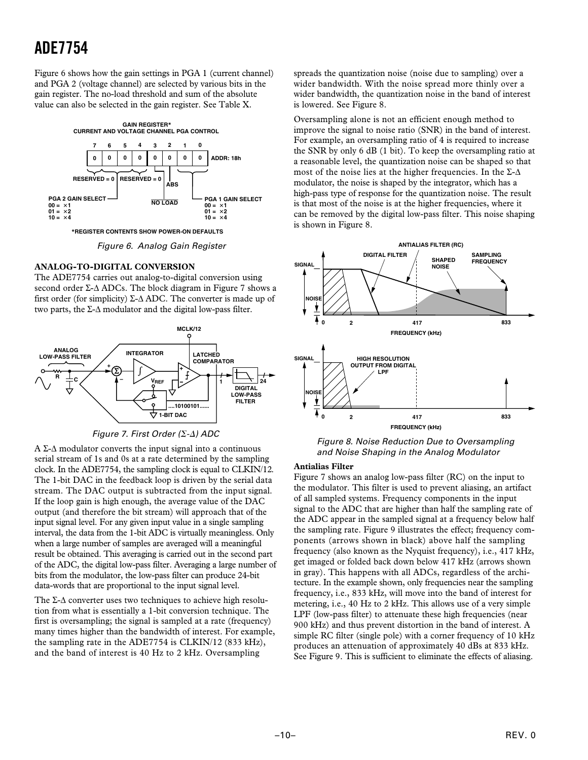<span id="page-9-0"></span>Figure 6 shows how the gain settings in PGA 1 (current channel) and PGA 2 (voltage channel) are selected by various bits in the gain register. The no-load threshold and sum of the absolute value can also be selected in the gain register. See Table X.



Figure 6. Analog Gain Register

#### **ANALOG-TO-DIGITAL CONVERSION**

The ADE7754 carries out analog-to-digital conversion using second order Σ-∆ ADCs. The block diagram in Figure 7 shows a first order (for simplicity)  $\Sigma$ - $\Delta$  ADC. The converter is made up of two parts, the Σ-∆ modulator and the digital low-pass filter.





A Σ-∆ modulator converts the input signal into a continuous serial stream of 1s and 0s at a rate determined by the sampling clock. In the ADE7754, the sampling clock is equal to CLKIN/12. The 1-bit DAC in the feedback loop is driven by the serial data stream. The DAC output is subtracted from the input signal. If the loop gain is high enough, the average value of the DAC output (and therefore the bit stream) will approach that of the input signal level. For any given input value in a single sampling interval, the data from the 1-bit ADC is virtually meaningless. Only when a large number of samples are averaged will a meaningful result be obtained. This averaging is carried out in the second part of the ADC, the digital low-pass filter. Averaging a large number of bits from the modulator, the low-pass filter can produce 24-bit data-words that are proportional to the input signal level.

The Σ-∆ converter uses two techniques to achieve high resolution from what is essentially a 1-bit conversion technique. The first is oversampling; the signal is sampled at a rate (frequency) many times higher than the bandwidth of interest. For example, the sampling rate in the ADE7754 is CLKIN/12 (833 kHz), and the band of interest is 40 Hz to 2 kHz. Oversampling

spreads the quantization noise (noise due to sampling) over a wider bandwidth. With the noise spread more thinly over a wider bandwidth, the quantization noise in the band of interest is lowered. See Figure 8.

Oversampling alone is not an efficient enough method to improve the signal to noise ratio (SNR) in the band of interest. For example, an oversampling ratio of 4 is required to increase the SNR by only 6 dB (1 bit). To keep the oversampling ratio at a reasonable level, the quantization noise can be shaped so that most of the noise lies at the higher frequencies. In the  $\Sigma$ - $\Delta$ modulator, the noise is shaped by the integrator, which has a high-pass type of response for the quantization noise. The result is that most of the noise is at the higher frequencies, where it can be removed by the digital low-pass filter. This noise shaping is shown in Figure 8.



Figure 8. Noise Reduction Due to Oversampling and Noise Shaping in the Analog Modulator

### **Antialias Filter**

Figure 7 shows an analog low-pass filter (RC) on the input to the modulator. This filter is used to prevent aliasing, an artifact of all sampled systems. Frequency components in the input signal to the ADC that are higher than half the sampling rate of the ADC appear in the sampled signal at a frequency below half the sampling rate. Figure 9 illustrates the effect; frequency components (arrows shown in black) above half the sampling frequency (also known as the Nyquist frequency), i.e., 417 kHz, get imaged or folded back down below 417 kHz (arrows shown in gray). This happens with all ADCs, regardless of the architecture. In the example shown, only frequencies near the sampling frequency, i.e., 833 kHz, will move into the band of interest for metering, i.e., 40 Hz to 2 kHz. This allows use of a very simple LPF (low-pass filter) to attenuate these high frequencies (near 900 kHz) and thus prevent distortion in the band of interest. A simple RC filter (single pole) with a corner frequency of 10 kHz produces an attenuation of approximately 40 dBs at 833 kHz. See Figure 9. This is sufficient to eliminate the effects of aliasing.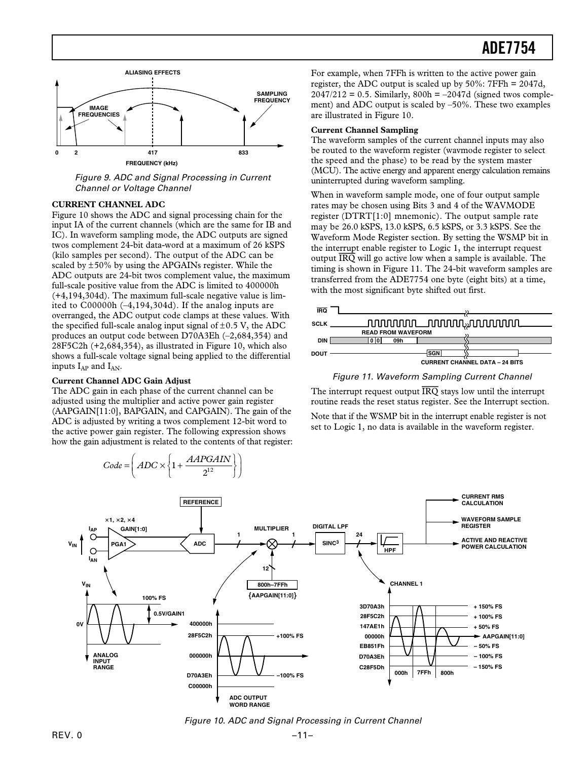<span id="page-10-0"></span>

Figure 9. ADC and Signal Processing in Current Channel or Voltage Channel

#### **CURRENT CHANNEL ADC**

Figure 10 shows the ADC and signal processing chain for the input IA of the current channels (which are the same for IB and IC). In waveform sampling mode, the ADC outputs are signed twos complement 24-bit data-word at a maximum of 26 kSPS (kilo samples per second). The output of the ADC can be scaled by  $\pm 50\%$  by using the APGAINs register. While the ADC outputs are 24-bit twos complement value, the maximum full-scale positive value from the ADC is limited to 400000h (+4,194,304d). The maximum full-scale negative value is limited to C00000h (–4,194,304d). If the analog inputs are overranged, the ADC output code clamps at these values. With the specified full-scale analog input signal of  $\pm 0.5$  V, the ADC produces an output code between D70A3Eh (–2,684,354) and 28F5C2h (+2,684,354), as illustrated in Figure 10, which also shows a full-scale voltage signal being applied to the differential inputs  $I_{AP}$  and  $I_{AN}$ .

#### **Current Channel ADC Gain Adjust**

ſ

The ADC gain in each phase of the current channel can be adjusted using the multiplier and active power gain register (AAPGAIN[11:0], BAPGAIN, and CAPGAIN). The gain of the ADC is adjusted by writing a twos complement 12-bit word to the active power gain register. The following expression shows how the gain adjustment is related to the contents of that register:



Figure 10. ADC and Signal Processing in Current Channel

For example, when 7FFh is written to the active power gain register, the ADC output is scaled up by 50%: 7FFh = 2047d,  $2047/212 = 0.5$ . Similarly,  $800h = -2047d$  (signed twos complement) and ADC output is scaled by –50%. These two examples are illustrated in Figure 10. **Current Channel Sampling**

The waveform samples of the current channel inputs may also be routed to the waveform register (wavmode register to select the speed and the phase) to be read by the system master (MCU). The active energy and apparent energy calculation remains uninterrupted during waveform sampling.

When in waveform sample mode, one of four output sample rates may be chosen using Bits 3 and 4 of the WAVMODE register (DTRT[1:0] mnemonic). The output sample rate may be 26.0 kSPS, 13.0 kSPS, 6.5 kSPS, or 3.3 kSPS. See the Waveform Mode Register section. By setting the WSMP bit in the interrupt enable register to Logic 1, the interrupt request output *IRQ* will go active low when a sample is available. The timing is shown in Figure 11. The 24-bit waveform samples are transferred from the ADE7754 one byte (eight bits) at a time, with the most significant byte shifted out first.



Figure 11. Waveform Sampling Current Channel

The interrupt request output *IRQ* stays low until the interrupt routine reads the reset status register. See the Interrupt section.

Note that if the WSMP bit in the interrupt enable register is not set to Logic 1, no data is available in the waveform register.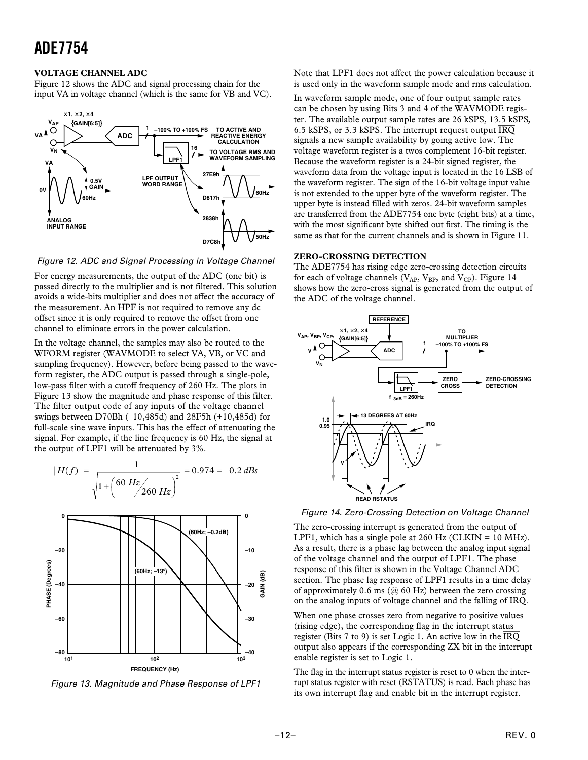#### <span id="page-11-0"></span>**VOLTAGE CHANNEL ADC**

Figure 12 shows the ADC and signal processing chain for the input VA in voltage channel (which is the same for VB and VC).



Figure 12. ADC and Signal Processing in Voltage Channel

For energy measurements, the output of the ADC (one bit) is passed directly to the multiplier and is not filtered. This solution avoids a wide-bits multiplier and does not affect the accuracy of the measurement. An HPF is not required to remove any dc offset since it is only required to remove the offset from one channel to eliminate errors in the power calculation.

In the voltage channel, the samples may also be routed to the WFORM register (WAVMODE to select VA, VB, or VC and sampling frequency). However, before being passed to the waveform register, the ADC output is passed through a single-pole, low-pass filter with a cutoff frequency of 260 Hz. The plots in Figure 13 show the magnitude and phase response of this filter. The filter output code of any inputs of the voltage channel swings between D70Bh (–10,485d) and 28F5h (+10,485d) for full-scale sine wave inputs. This has the effect of attenuating the signal. For example, if the line frequency is 60 Hz, the signal at the output of LPF1 will be attenuated by 3%.



Figure 13. Magnitude and Phase Response of LPF1

Note that LPF1 does not affect the power calculation because it is used only in the waveform sample mode and rms calculation.

In waveform sample mode, one of four output sample rates can be chosen by using Bits 3 and 4 of the WAVMODE register. The available output sample rates are 26 kSPS, 13.5 kSPS, 6.5 kSPS, or 3.3 kSPS. The interrupt request output *IRQ* signals a new sample availability by going active low. The voltage waveform register is a twos complement 16-bit register. Because the waveform register is a 24-bit signed register, the waveform data from the voltage input is located in the 16 LSB of the waveform register. The sign of the 16-bit voltage input value is not extended to the upper byte of the waveform register. The upper byte is instead filled with zeros. 24-bit waveform samples are transferred from the ADE7754 one byte (eight bits) at a time, with the most significant byte shifted out first. The timing is the same as that for the current channels and is shown in Figure 11.

#### **ZERO-CROSSING DETECTION**

The ADE7754 has rising edge zero-crossing detection circuits for each of voltage channels ( $V_{AP}$ ,  $V_{BP}$ , and  $V_{CP}$ ). Figure 14 shows how the zero-cross signal is generated from the output of the ADC of the voltage channel.



Figure 14. Zero-Crossing Detection on Voltage Channel

The zero-crossing interrupt is generated from the output of LPF1, which has a single pole at  $260$  Hz (CLKIN =  $10$  MHz). As a result, there is a phase lag between the analog input signal of the voltage channel and the output of LPF1. The phase response of this filter is shown in the Voltage Channel ADC section. The phase lag response of LPF1 results in a time delay of approximately 0.6 ms  $(a)$  60 Hz) between the zero crossing on the analog inputs of voltage channel and the falling of IRQ.

When one phase crosses zero from negative to positive values (rising edge), the corresponding flag in the interrupt status register (Bits 7 to 9) is set Logic 1. An active low in the *IRQ* output also appears if the corresponding ZX bit in the interrupt enable register is set to Logic 1.

The flag in the interrupt status register is reset to 0 when the interrupt status register with reset (RSTATUS) is read. Each phase has its own interrupt flag and enable bit in the interrupt register.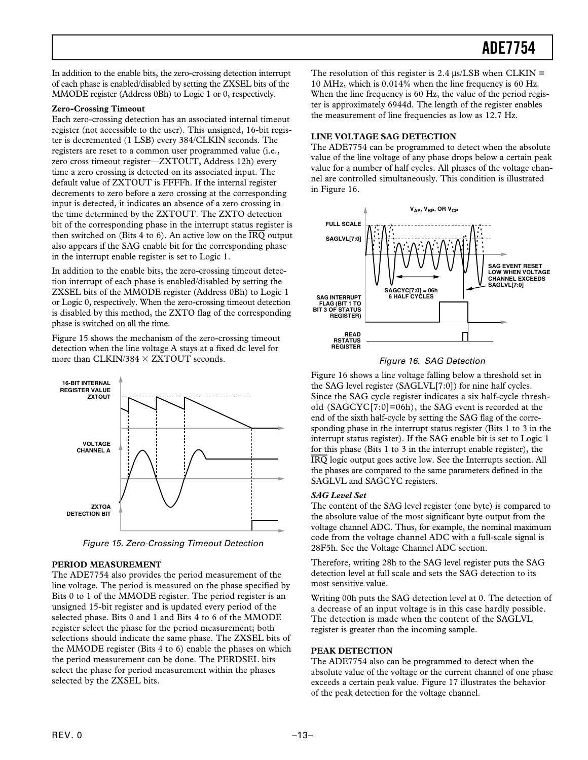<span id="page-12-0"></span>In addition to the enable bits, the zero-crossing detection interrupt of each phase is enabled/disabled by setting the ZXSEL bits of the MMODE register (Address 0Bh) to Logic 1 or 0, respectively.

#### **Zero-Crossing Timeout**

Each zero-crossing detection has an associated internal timeout register (not accessible to the user). This unsigned, 16-bit register is decremented (1 LSB) every 384/CLKIN seconds. The registers are reset to a common user programmed value (i.e., zero cross timeout register—ZXTOUT, Address 12h) every time a zero crossing is detected on its associated input. The default value of ZXTOUT is FFFFh. If the internal register decrements to zero before a zero crossing at the corresponding input is detected, it indicates an absence of a zero crossing in the time determined by the ZXTOUT. The ZXTO detection bit of the corresponding phase in the interrupt status register is then switched on (Bits 4 to 6). An active low on the *IRQ* output also appears if the SAG enable bit for the corresponding phase in the interrupt enable register is set to Logic 1.

In addition to the enable bits, the zero-crossing timeout detection interrupt of each phase is enabled/disabled by setting the ZXSEL bits of the MMODE register (Address 0Bh) to Logic 1 or Logic 0, respectively. When the zero-crossing timeout detection is disabled by this method, the ZXTO flag of the corresponding phase is switched on all the time.

Figure 15 shows the mechanism of the zero-crossing timeout detection when the line voltage A stays at a fixed dc level for more than CLKIN/384  $\times$  ZXTOUT seconds.



Figure 15. Zero-Crossing Timeout Detection

#### **PERIOD MEASUREMENT**

The ADE7754 also provides the period measurement of the line voltage. The period is measured on the phase specified by Bits 0 to 1 of the MMODE register. The period register is an unsigned 15-bit register and is updated every period of the selected phase. Bits 0 and 1 and Bits 4 to 6 of the MMODE register select the phase for the period measurement; both selections should indicate the same phase. The ZXSEL bits of the MMODE register (Bits 4 to 6) enable the phases on which the period measurement can be done. The PERDSEL bits select the phase for period measurement within the phases selected by the ZXSEL bits.

The resolution of this register is 2.4  $\mu$ s/LSB when CLKIN = 10 MHz, which is 0.014% when the line frequency is 60 Hz. When the line frequency is 60 Hz, the value of the period register is approximately 6944d. The length of the register enables the measurement of line frequencies as low as 12.7 Hz.

#### **LINE VOLTAGE SAG DETECTION**

The ADE7754 can be programmed to detect when the absolute value of the line voltage of any phase drops below a certain peak value for a number of half cycles. All phases of the voltage channel are controlled simultaneously. This condition is illustrated in Figure 16.





Figure 16 shows a line voltage falling below a threshold set in the SAG level register (SAGLVL[7:0]) for nine half cycles. Since the SAG cycle register indicates a six half-cycle threshold (SAGCYC[7:0]=06h), the SAG event is recorded at the end of the sixth half-cycle by setting the SAG flag of the corresponding phase in the interrupt status register (Bits 1 to 3 in the interrupt status register). If the SAG enable bit is set to Logic 1 for this phase (Bits 1 to 3 in the interrupt enable register), the *IRQ* logic output goes active low. See the Interrupts section. All the phases are compared to the same parameters defined in the SAGLVL and SAGCYC registers.

#### *SAG Level Set*

The content of the SAG level register (one byte) is compared to the absolute value of the most significant byte output from the voltage channel ADC. Thus, for example, the nominal maximum code from the voltage channel ADC with a full-scale signal is 28F5h. See the Voltage Channel ADC section.

Therefore, writing 28h to the SAG level register puts the SAG detection level at full scale and sets the SAG detection to its most sensitive value.

Writing 00h puts the SAG detection level at 0. The detection of a decrease of an input voltage is in this case hardly possible. The detection is made when the content of the SAGLVL register is greater than the incoming sample.

#### **PEAK DETECTION**

The ADE7754 also can be programmed to detect when the absolute value of the voltage or the current channel of one phase exceeds a certain peak value. Figure 17 illustrates the behavior of the peak detection for the voltage channel.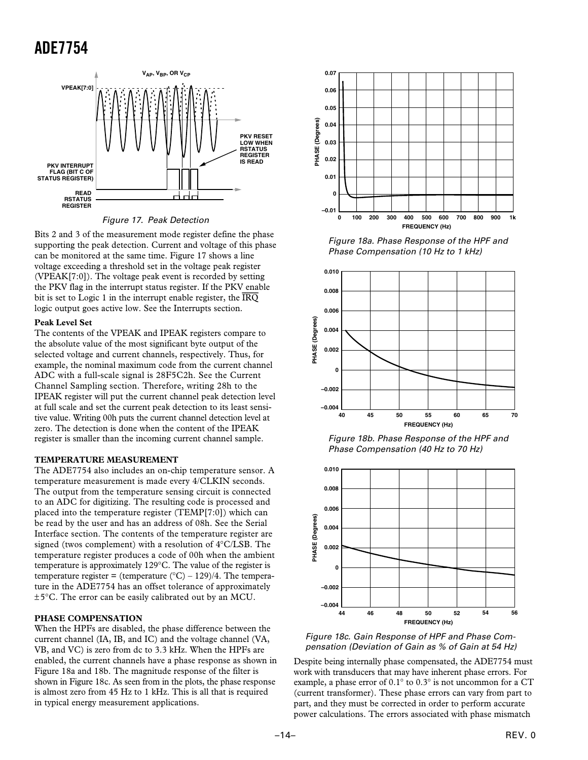<span id="page-13-0"></span>

Figure 17. Peak Detection

Bits 2 and 3 of the measurement mode register define the phase supporting the peak detection. Current and voltage of this phase can be monitored at the same time. Figure 17 shows a line voltage exceeding a threshold set in the voltage peak register (VPEAK[7:0]). The voltage peak event is recorded by setting the PKV flag in the interrupt status register. If the PKV enable bit is set to Logic 1 in the interrupt enable register, the *IRQ* logic output goes active low. See the Interrupts section.

#### **Peak Level Set**

The contents of the VPEAK and IPEAK registers compare to the absolute value of the most significant byte output of the selected voltage and current channels, respectively. Thus, for example, the nominal maximum code from the current channel ADC with a full-scale signal is 28F5C2h. See the Current Channel Sampling section. Therefore, writing 28h to the IPEAK register will put the current channel peak detection level at full scale and set the current peak detection to its least sensitive value. Writing 00h puts the current channel detection level at zero. The detection is done when the content of the IPEAK register is smaller than the incoming current channel sample.

#### **TEMPERATURE MEASUREMENT**

The ADE7754 also includes an on-chip temperature sensor. A temperature measurement is made every 4/CLKIN seconds. The output from the temperature sensing circuit is connected to an ADC for digitizing. The resulting code is processed and placed into the temperature register (TEMP[7:0]) which can be read by the user and has an address of 08h. See the Serial Interface section. The contents of the temperature register are signed (twos complement) with a resolution of 4°C/LSB. The temperature register produces a code of 00h when the ambient temperature is approximately 129°C. The value of the register is temperature register = (temperature  $(^{\circ}C) - 129$ )/4. The temperature in the ADE7754 has an offset tolerance of approximately ±5°C. The error can be easily calibrated out by an MCU.

#### **PHASE COMPENSATION**

When the HPFs are disabled, the phase difference between the current channel (IA, IB, and IC) and the voltage channel (VA, VB, and VC) is zero from dc to 3.3 kHz. When the HPFs are enabled, the current channels have a phase response as shown in Figure 18a and 18b. The magnitude response of the filter is shown in Figure 18c. As seen from in the plots, the phase response is almost zero from 45 Hz to 1 kHz. This is all that is required in typical energy measurement applications.



Figure 18a. Phase Response of the HPF and Phase Compensation (10 Hz to 1 kHz)



Figure 18b. Phase Response of the HPF and Phase Compensation (40 Hz to 70 Hz)



Figure 18c. Gain Response of HPF and Phase Compensation (Deviation of Gain as % of Gain at 54 Hz)

Despite being internally phase compensated, the ADE7754 must work with transducers that may have inherent phase errors. For example, a phase error of 0.1° to 0.3° is not uncommon for a CT (current transformer). These phase errors can vary from part to part, and they must be corrected in order to perform accurate power calculations. The errors associated with phase mismatch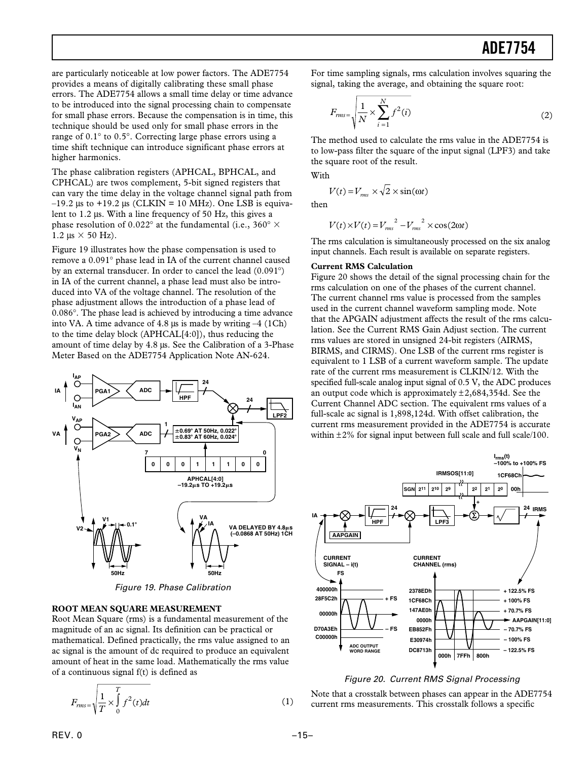<span id="page-14-0"></span>are particularly noticeable at low power factors. The ADE7754 provides a means of digitally calibrating these small phase errors. The ADE7754 allows a small time delay or time advance to be introduced into the signal processing chain to compensate for small phase errors. Because the compensation is in time, this technique should be used only for small phase errors in the range of 0.1° to 0.5°. Correcting large phase errors using a time shift technique can introduce significant phase errors at higher harmonics.

The phase calibration registers (APHCAL, BPHCAL, and CPHCAL) are twos complement, 5-bit signed registers that can vary the time delay in the voltage channel signal path from  $-19.2$  µs to  $+19.2$  µs (CLKIN = 10 MHz). One LSB is equivalent to 1.2 µs. With a line frequency of 50 Hz, this gives a phase resolution of 0.022° at the fundamental (i.e., 360°  $\times$  $1.2 \text{ }\mu\text{s} \times 50 \text{ Hz}$ .

Figure 19 illustrates how the phase compensation is used to remove a 0.091° phase lead in IA of the current channel caused by an external transducer. In order to cancel the lead (0.091°) in IA of the current channel, a phase lead must also be introduced into VA of the voltage channel. The resolution of the phase adjustment allows the introduction of a phase lead of 0.086°. The phase lead is achieved by introducing a time advance into VA. A time advance of 4.8  $\mu$ s is made by writing  $-4$  (1Ch) to the time delay block (APHCAL[4:0]), thus reducing the amount of time delay by 4.8 µs. See the Calibration of a 3-Phase Meter Based on the ADE7754 Application Note AN-624.



Figure 19. Phase Calibration

#### **ROOT MEAN SQUARE MEASUREMENT**

Root Mean Square (rms) is a fundamental measurement of the magnitude of an ac signal. Its definition can be practical or mathematical. Defined practically, the rms value assigned to an ac signal is the amount of dc required to produce an equivalent amount of heat in the same load. Mathematically the rms value of a continuous signal f(t) is defined as

$$
F_{rms} = \sqrt{\frac{1}{T} \times \int_{0}^{T} f^2(t)dt}
$$
 (1)

For time sampling signals, rms calculation involves squaring the signal, taking the average, and obtaining the square root:

$$
F_{rms} = \sqrt{\frac{1}{N} \times \sum_{i=1}^{N} f^2(i)}
$$
\n(2)

The method used to calculate the rms value in the ADE7754 is to low-pass filter the square of the input signal (LPF3) and take the square root of the result.

With

$$
V(t) = V_{rms} \times \sqrt{2} \times \sin(\omega t)
$$

then

ľ

$$
V(t) \times V(t) = V_{rms}^{2} - V_{rms}^{2} \times \cos(2\omega t)
$$

The rms calculation is simultaneously processed on the six analog input channels. Each result is available on separate registers.

#### **Current RMS Calculation**

Figure 20 shows the detail of the signal processing chain for the rms calculation on one of the phases of the current channel. The current channel rms value is processed from the samples used in the current channel waveform sampling mode. Note that the APGAIN adjustment affects the result of the rms calculation. See the Current RMS Gain Adjust section. The current rms values are stored in unsigned 24-bit registers (AIRMS, BIRMS, and CIRMS). One LSB of the current rms register is equivalent to 1 LSB of a current waveform sample. The update rate of the current rms measurement is CLKIN/12. With the specified full-scale analog input signal of 0.5 V, the ADC produces an output code which is approximately  $\pm 2,684,354d$ . See the Current Channel ADC section. The equivalent rms values of a full-scale ac signal is 1,898,124d. With offset calibration, the current rms measurement provided in the ADE7754 is accurate within  $\pm 2\%$  for signal input between full scale and full scale/100.



#### Figure 20. Current RMS Signal Processing

Note that a crosstalk between phases can appear in the ADE7754 current rms measurements. This crosstalk follows a specific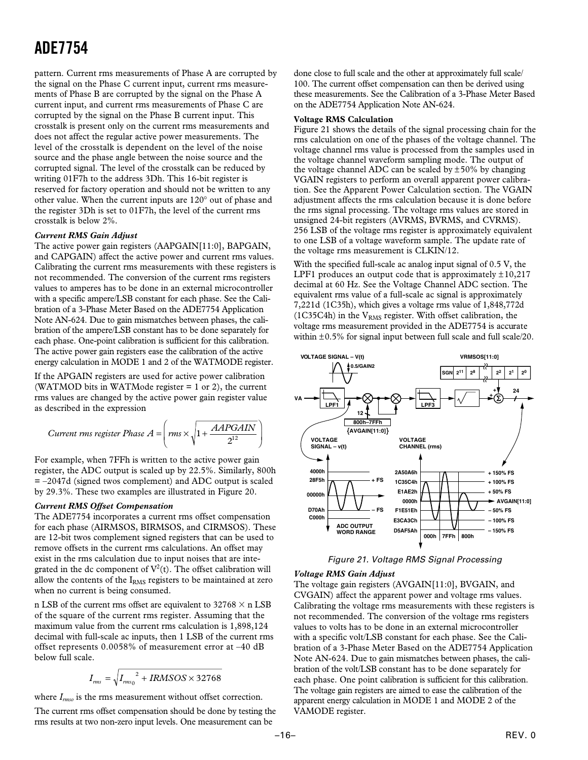<span id="page-15-0"></span>pattern. Current rms measurements of Phase A are corrupted by the signal on the Phase C current input, current rms measurements of Phase B are corrupted by the signal on the Phase A current input, and current rms measurements of Phase C are corrupted by the signal on the Phase B current input. This crosstalk is present only on the current rms measurements and does not affect the regular active power measurements. The level of the crosstalk is dependent on the level of the noise source and the phase angle between the noise source and the corrupted signal. The level of the crosstalk can be reduced by writing 01F7h to the address 3Dh. This 16-bit register is reserved for factory operation and should not be written to any other value. When the current inputs are 120° out of phase and the register 3Dh is set to 01F7h, the level of the current rms crosstalk is below 2%.

#### *Current RMS Gain Adjust*

The active power gain registers (AAPGAIN[11:0], BAPGAIN, and CAPGAIN) affect the active power and current rms values. Calibrating the current rms measurements with these registers is not recommended. The conversion of the current rms registers values to amperes has to be done in an external microcontroller with a specific ampere/LSB constant for each phase. See the Calibration of a 3-Phase Meter Based on the ADE7754 Application Note AN-624. Due to gain mismatches between phases, the calibration of the ampere/LSB constant has to be done separately for each phase. One-point calibration is sufficient for this calibration. The active power gain registers ease the calibration of the active energy calculation in MODE 1 and 2 of the WATMODE register.

If the APGAIN registers are used for active power calibration (WATMOD bits in WATMode register  $= 1$  or 2), the current rms values are changed by the active power gain register value as described in the expression

$$
Current\ rms\ register\ Phase\ A = \left(rms \times \sqrt{1 + \frac{AAPGAN}{2^{12}}}\right)
$$

For example, when 7FFh is written to the active power gain register, the ADC output is scaled up by 22.5%. Similarly, 800h  $= -2047d$  (signed twos complement) and ADC output is scaled by 29.3%. These two examples are illustrated in Figure 20.

#### *Current RMS Offset Compensation*

The ADE7754 incorporates a current rms offset compensation for each phase (AIRMSOS, BIRMSOS, and CIRMSOS). These are 12-bit twos complement signed registers that can be used to remove offsets in the current rms calculations. An offset may exist in the rms calculation due to input noises that are integrated in the dc component of  $V^2(t)$ . The offset calibration will allow the contents of the  $I<sub>RMS</sub>$  registers to be maintained at zero when no current is being consumed.

n LSB of the current rms offset are equivalent to  $32768 \times n$  LSB of the square of the current rms register. Assuming that the maximum value from the current rms calculation is 1,898,124 decimal with full-scale ac inputs, then 1 LSB of the current rms offset represents 0.0058% of measurement error at –40 dB below full scale.

$$
I_{\rm rms} = \sqrt{I_{\rm rms}^2 + IRMSOS \times 32768}
$$

where  $I_{rms0}$  is the rms measurement without offset correction.

The current rms offset compensation should be done by testing the rms results at two non-zero input levels. One measurement can be

done close to full scale and the other at approximately full scale/ 100. The current offset compensation can then be derived using these measurements. See the Calibration of a 3-Phase Meter Based on the ADE7754 Application Note AN-624.

#### **Voltage RMS Calculation**

Figure 21 shows the details of the signal processing chain for the rms calculation on one of the phases of the voltage channel. The voltage channel rms value is processed from the samples used in the voltage channel waveform sampling mode. The output of the voltage channel ADC can be scaled by  $\pm 50\%$  by changing VGAIN registers to perform an overall apparent power calibration. See the Apparent Power Calculation section. The VGAIN adjustment affects the rms calculation because it is done before the rms signal processing. The voltage rms values are stored in unsigned 24-bit registers (AVRMS, BVRMS, and CVRMS). 256 LSB of the voltage rms register is approximately equivalent to one LSB of a voltage waveform sample. The update rate of the voltage rms measurement is CLKIN/12.

With the specified full-scale ac analog input signal of 0.5 V, the LPF1 produces an output code that is approximately  $\pm 10,217$ decimal at 60 Hz. See the Voltage Channel ADC section. The equivalent rms value of a full-scale ac signal is approximately 7,221d (1C35h), which gives a voltage rms value of 1,848,772d (1C35C4h) in the  $V<sub>RMS</sub>$  register. With offset calibration, the voltage rms measurement provided in the ADE7754 is accurate within  $\pm 0.5\%$  for signal input between full scale and full scale/20.



Figure 21. Voltage RMS Signal Processing

#### *Voltage RMS Gain Adjust*

The voltage gain registers (AVGAIN[11:0], BVGAIN, and CVGAIN) affect the apparent power and voltage rms values. Calibrating the voltage rms measurements with these registers is not recommended. The conversion of the voltage rms registers values to volts has to be done in an external microcontroller with a specific volt/LSB constant for each phase. See the Calibration of a 3-Phase Meter Based on the ADE7754 Application Note AN-624. Due to gain mismatches between phases, the calibration of the volt/LSB constant has to be done separately for each phase. One point calibration is sufficient for this calibration. The voltage gain registers are aimed to ease the calibration of the apparent energy calculation in MODE 1 and MODE 2 of the VAMODE register.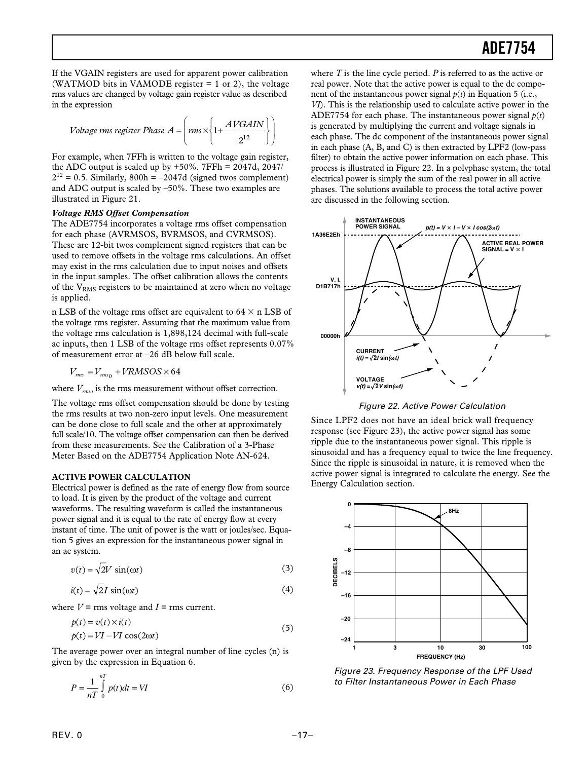<span id="page-16-0"></span>If the VGAIN registers are used for apparent power calibration (WATMOD bits in VAMODE register  $= 1$  or 2), the voltage rms values are changed by voltage gain register value as described in the expression

$$
Voltage rms register Phase A = \left( rms \times \left\{ 1 + \frac{AVGAIN}{2^{12}} \right\} \right)
$$

For example, when 7FFh is written to the voltage gain register, the ADC output is scaled up by  $+50\%$ . 7FFh = 2047d, 2047/  $2^{12} = 0.5$ . Similarly,  $800h = -2047d$  (signed twos complement) and ADC output is scaled by –50%. These two examples are illustrated in Figure 21.

#### *Voltage RMS Offset Compensation*

The ADE7754 incorporates a voltage rms offset compensation for each phase (AVRMSOS, BVRMSOS, and CVRMSOS). These are 12-bit twos complement signed registers that can be used to remove offsets in the voltage rms calculations. An offset may exist in the rms calculation due to input noises and offsets in the input samples. The offset calibration allows the contents of the  $V<sub>RMS</sub>$  registers to be maintained at zero when no voltage is applied.

n LSB of the voltage rms offset are equivalent to  $64 \times n$  LSB of the voltage rms register. Assuming that the maximum value from the voltage rms calculation is 1,898,124 decimal with full-scale ac inputs, then 1 LSB of the voltage rms offset represents 0.07% of measurement error at –26 dB below full scale.

$$
V_{rms} = V_{rms_0} + VRMSOS \times 64
$$

where  $V_{\text{rms}o}$  is the rms measurement without offset correction.

The voltage rms offset compensation should be done by testing the rms results at two non-zero input levels. One measurement can be done close to full scale and the other at approximately full scale/10. The voltage offset compensation can then be derived from these measurements. See the Calibration of a 3-Phase Meter Based on the ADE7754 Application Note AN-624.

#### **ACTIVE POWER CALCULATION**

Electrical power is defined as the rate of energy flow from source to load. It is given by the product of the voltage and current waveforms. The resulting waveform is called the instantaneous power signal and it is equal to the rate of energy flow at every instant of time. The unit of power is the watt or joules/sec. Equation 5 gives an expression for the instantaneous power signal in an ac system.

$$
v(t) = \sqrt{2V \sin(\omega t)}
$$
 (3)

$$
i(t) = \sqrt{2I} \sin(\omega t) \tag{4}
$$

where  $V =$  rms voltage and  $I =$  rms current.

$$
p(t) = v(t) \times i(t)
$$
  
\n
$$
p(t) = VI - VI \cos(2\omega t)
$$
\n(5)

The average power over an integral number of line cycles (n) is given by the expression in Equation 6.

$$
P = \frac{1}{nT} \int_{0}^{nT} p(t)dt = VI
$$
\n(6)

where *T* is the line cycle period. *P* is referred to as the active or real power. Note that the active power is equal to the dc component of the instantaneous power signal *p*(*t*) in Equation 5 (i.e., *VI*). This is the relationship used to calculate active power in the ADE7754 for each phase. The instantaneous power signal  $p(t)$ is generated by multiplying the current and voltage signals in each phase. The dc component of the instantaneous power signal in each phase (A, B, and C) is then extracted by LPF2 (low-pass filter) to obtain the active power information on each phase. This process is illustrated in Figure 22. In a polyphase system, the total electrical power is simply the sum of the real power in all active phases. The solutions available to process the total active power are discussed in the following section.



Figure 22. Active Power Calculation

Since LPF2 does not have an ideal brick wall frequency response (see Figure 23), the active power signal has some ripple due to the instantaneous power signal. This ripple is sinusoidal and has a frequency equal to twice the line frequency. Since the ripple is sinusoidal in nature, it is removed when the active power signal is integrated to calculate the energy. See the Energy Calculation section.



Figure 23. Frequency Response of the LPF Used to Filter Instantaneous Power in Each Phase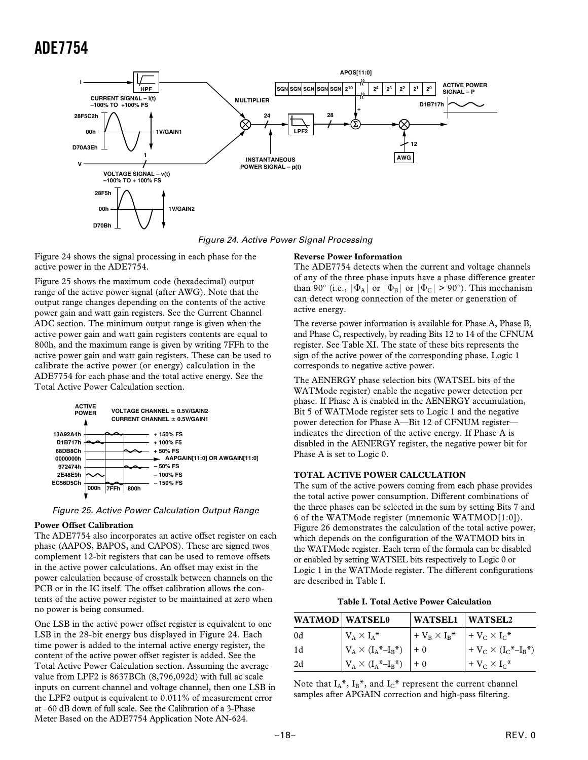<span id="page-17-0"></span>

Figure 24. Active Power Signal Processing

Figure 24 shows the signal processing in each phase for the active power in the ADE7754.

Figure 25 shows the maximum code (hexadecimal) output range of the active power signal (after AWG). Note that the output range changes depending on the contents of the active power gain and watt gain registers. See the Current Channel ADC section. The minimum output range is given when the active power gain and watt gain registers contents are equal to 800h, and the maximum range is given by writing 7FFh to the active power gain and watt gain registers. These can be used to calibrate the active power (or energy) calculation in the ADE7754 for each phase and the total active energy. See the Total Active Power Calculation section.



Figure 25. Active Power Calculation Output Range

#### **Power Offset Calibration**

The ADE7754 also incorporates an active offset register on each phase (AAPOS, BAPOS, and CAPOS). These are signed twos complement 12-bit registers that can be used to remove offsets in the active power calculations. An offset may exist in the power calculation because of crosstalk between channels on the PCB or in the IC itself. The offset calibration allows the contents of the active power register to be maintained at zero when no power is being consumed.

One LSB in the active power offset register is equivalent to one LSB in the 28-bit energy bus displayed in Figure 24. Each time power is added to the internal active energy register, the content of the active power offset register is added. See the Total Active Power Calculation section. Assuming the average value from LPF2 is 8637BCh (8,796,092d) with full ac scale inputs on current channel and voltage channel, then one LSB in the LPF2 output is equivalent to 0.011% of measurement error at –60 dB down of full scale. See the Calibration of a 3-Phase Meter Based on the ADE7754 Application Note AN-624.

#### **Reverse Power Information**

The ADE7754 detects when the current and voltage channels of any of the three phase inputs have a phase difference greater than 90° (i.e.,  $|\Phi_A|$  or  $|\Phi_B|$  or  $|\Phi_C| > 90$ °). This mechanism can detect wrong connection of the meter or generation of active energy.

The reverse power information is available for Phase A, Phase B, and Phase C, respectively, by reading Bits 12 to 14 of the CFNUM register. See Table XI. The state of these bits represents the sign of the active power of the corresponding phase. Logic 1 corresponds to negative active power.

The AENERGY phase selection bits (WATSEL bits of the WATMode register) enable the negative power detection per phase. If Phase A is enabled in the AENERGY accumulation, Bit 5 of WATMode register sets to Logic 1 and the negative power detection for Phase A—Bit 12 of CFNUM register indicates the direction of the active energy. If Phase A is disabled in the AENERGY register, the negative power bit for Phase A is set to Logic 0.

#### **TOTAL ACTIVE POWER CALCULATION**

The sum of the active powers coming from each phase provides the total active power consumption. Different combinations of the three phases can be selected in the sum by setting Bits 7 and 6 of the WATMode register (mnemonic WATMOD[1:0]). Figure 26 demonstrates the calculation of the total active power, which depends on the configuration of the WATMOD bits in the WATMode register. Each term of the formula can be disabled or enabled by setting WATSEL bits respectively to Logic 0 or Logic 1 in the WATMode register. The different configurations are described in Table I.

**Table I. Total Active Power Calculation**

| <b>WATMOD WATSEL0</b> |                                                                                                                                                                                   | WATSEL1 WATSEL2                           |                                |
|-----------------------|-----------------------------------------------------------------------------------------------------------------------------------------------------------------------------------|-------------------------------------------|--------------------------------|
| 0d                    | $V_A \times I_A^*$                                                                                                                                                                | $+ V_B \times I_B^*$ $+ V_C \times I_C^*$ |                                |
| 1d                    | $\begin{array}{ l l } \hline V_{\text{A}} \times (I_{\text{A}}{}^{\ast} \text{--} I_{\text{B}}{}^{\ast}) & \hline \end{array} \begin{array}{ l } \hline +0 \\ \hline \end{array}$ |                                           | + $V_C \times (I_C^* - I_B^*)$ |
| 2d                    | $V_A \times (I_A^* - I_B^*)$   + 0                                                                                                                                                |                                           | $+V_C\times I_C^*$             |

Note that  $I_A^*$ ,  $I_B^*$ , and  $I_C^*$  represent the current channel samples after APGAIN correction and high-pass filtering.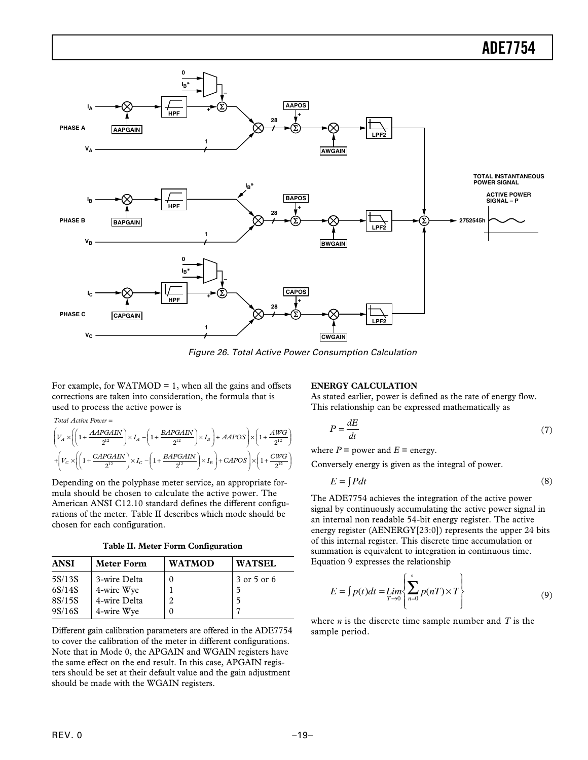<span id="page-18-0"></span>

Figure 26. Total Active Power Consumption Calculation

For example, for WATMOD  $= 1$ , when all the gains and offsets corrections are taken into consideration, the formula that is used to process the active power is

*Total Active Power* =

$$
\begin{aligned}&\left(V_A\times\left(\left(1+\frac{AAPGAIN}{2^{12}}\right)\times I_A-\left(1+\frac{BAPGAIN}{2^{12}}\right)\times I_B\right)+AAPOS\right)\times\left(1+\frac{AWG}{2^{12}}\right)\\&+\left(V_C\times\left(\left(1+\frac{CAPGAIN}{2^{12}}\right)\times I_C-\left(1+\frac{BAPGAIN}{2^{12}}\right)\times I_B\right)+CAPOS\right)\times\left(1+\frac{CWG}{2^{12}}\right)\end{aligned}
$$

Depending on the polyphase meter service, an appropriate formula should be chosen to calculate the active power. The American ANSI C12.10 standard defines the different configurations of the meter. Table II describes which mode should be chosen for each configuration.

|  |  |  |  | Table II. Meter Form Configuration |  |
|--|--|--|--|------------------------------------|--|
|--|--|--|--|------------------------------------|--|

| <b>ANSI</b> | <b>Meter Form</b> | <b>WATMOD</b> | <b>WATSEL</b> |
|-------------|-------------------|---------------|---------------|
| 5S/13S      | 3-wire Delta      |               | 3 or 5 or 6   |
| 6S/14S      | 4-wire Wye        |               |               |
| 8S/15S      | 4-wire Delta      |               |               |
| 9S/16S      | 4-wire Wye        |               |               |

Different gain calibration parameters are offered in the ADE7754 to cover the calibration of the meter in different configurations. Note that in Mode 0, the APGAIN and WGAIN registers have the same effect on the end result. In this case, APGAIN registers should be set at their default value and the gain adjustment should be made with the WGAIN registers.

#### **ENERGY CALCULATION**

As stated earlier, power is defined as the rate of energy flow. This relationship can be expressed mathematically as

$$
P = \frac{dE}{dt} \tag{7}
$$

where  $P =$  power and  $E =$  energy.

Conversely energy is given as the integral of power.

$$
E = \int Pdt
$$
 (8)

The ADE7754 achieves the integration of the active power signal by continuously accumulating the active power signal in an internal non readable 54-bit energy register. The active energy register (AENERGY[23:0]) represents the upper 24 bits of this internal register. This discrete time accumulation or summation is equivalent to integration in continuous time. Equation 9 expresses the relationship

$$
E = \int p(t)dt = \lim_{T \to 0} \left\{ \sum_{n=0}^{\infty} p(nT) \times T \right\}
$$
 (9)

where *n* is the discrete time sample number and *T* is the sample period.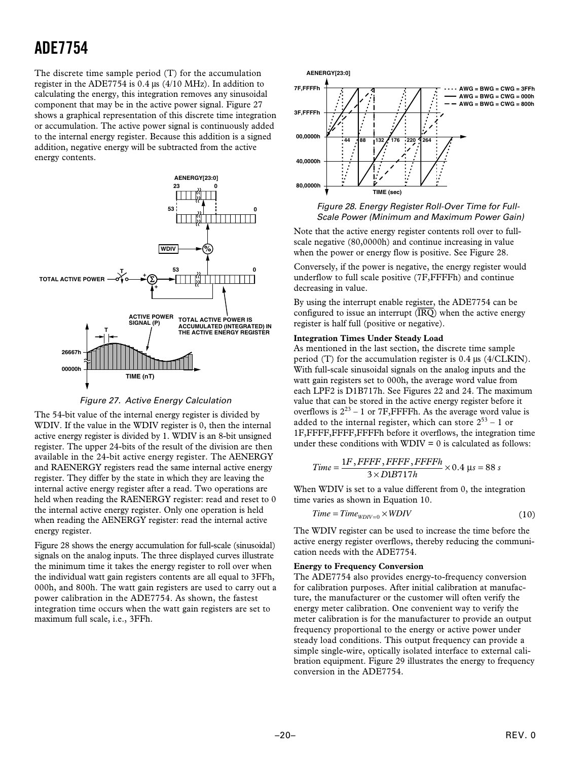<span id="page-19-0"></span>The discrete time sample period (T) for the accumulation register in the ADE7754 is 0.4 µs (4/10 MHz). In addition to calculating the energy, this integration removes any sinusoidal component that may be in the active power signal. Figure 27 shows a graphical representation of this discrete time integration or accumulation. The active power signal is continuously added to the internal energy register. Because this addition is a signed addition, negative energy will be subtracted from the active energy contents.



Figure 27. Active Energy Calculation

The 54-bit value of the internal energy register is divided by WDIV. If the value in the WDIV register is 0, then the internal active energy register is divided by 1. WDIV is an 8-bit unsigned register. The upper 24-bits of the result of the division are then available in the 24-bit active energy register. The AENERGY and RAENERGY registers read the same internal active energy register. They differ by the state in which they are leaving the internal active energy register after a read. Two operations are held when reading the RAENERGY register: read and reset to 0 the internal active energy register. Only one operation is held when reading the AENERGY register: read the internal active energy register.

Figure 28 shows the energy accumulation for full-scale (sinusoidal) signals on the analog inputs. The three displayed curves illustrate the minimum time it takes the energy register to roll over when the individual watt gain registers contents are all equal to 3FFh, 000h, and 800h. The watt gain registers are used to carry out a power calibration in the ADE7754. As shown, the fastest integration time occurs when the watt gain registers are set to maximum full scale, i.e., 3FFh.





Note that the active energy register contents roll over to fullscale negative (80,0000h) and continue increasing in value when the power or energy flow is positive. See Figure 28.

Conversely, if the power is negative, the energy register would underflow to full scale positive (7F,FFFFh) and continue decreasing in value.

By using the interrupt enable register, the ADE7754 can be configured to issue an interrupt  $(\overline{IRQ})$  when the active energy register is half full (positive or negative).

#### **Integration Times Under Steady Load**

As mentioned in the last section, the discrete time sample period (T) for the accumulation register is 0.4 µs (4/CLKIN). With full-scale sinusoidal signals on the analog inputs and the watt gain registers set to 000h, the average word value from each LPF2 is D1B717h. See Figures 22 and 24. The maximum value that can be stored in the active energy register before it overflows is  $2^{23}$  – 1 or 7F, FFFFh. As the average word value is added to the internal register, which can store  $2^{53}$  – 1 or 1F,FFFF,FFFF,FFFFh before it overflows, the integration time under these conditions with  $WDIV = 0$  is calculated as follows:

$$
Time = \frac{1F, FFFF, FFFF, FFFFh}{3 \times D1B717h} \times 0.4 \text{ }\mu s = 88 \text{ s}
$$

When WDIV is set to a value different from 0, the integration time varies as shown in Equation 10.

$$
Time = Time_{WDIV=0} \times WDIV
$$
 (10)

The WDIV register can be used to increase the time before the active energy register overflows, thereby reducing the communication needs with the ADE7754.

#### **Energy to Frequency Conversion**

The ADE7754 also provides energy-to-frequency conversion for calibration purposes. After initial calibration at manufacture, the manufacturer or the customer will often verify the energy meter calibration. One convenient way to verify the meter calibration is for the manufacturer to provide an output frequency proportional to the energy or active power under steady load conditions. This output frequency can provide a simple single-wire, optically isolated interface to external calibration equipment. Figure 29 illustrates the energy to frequency conversion in the ADE7754.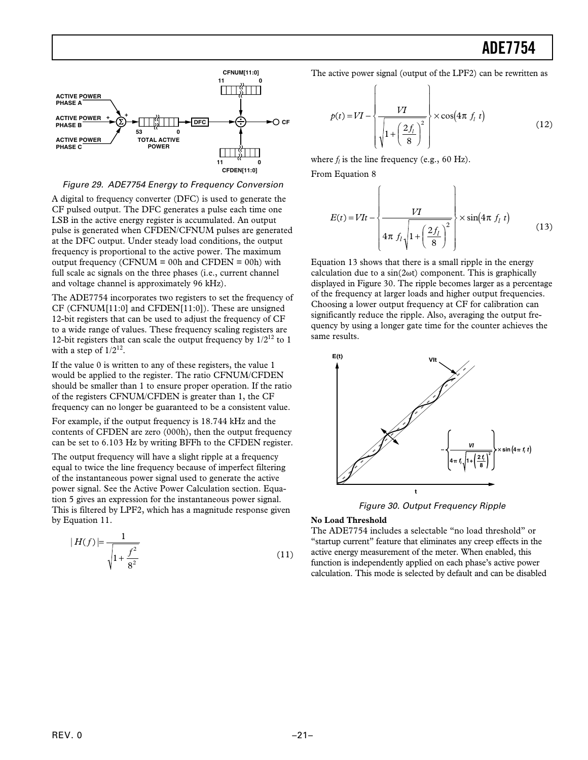<span id="page-20-0"></span>

#### Figure 29. ADE7754 Energy to Frequency Conversion

A digital to frequency converter (DFC) is used to generate the CF pulsed output. The DFC generates a pulse each time one LSB in the active energy register is accumulated. An output pulse is generated when CFDEN/CFNUM pulses are generated at the DFC output. Under steady load conditions, the output frequency is proportional to the active power. The maximum output frequency (CFNUM =  $00h$  and CFDEN =  $00h$ ) with full scale ac signals on the three phases (i.e., current channel and voltage channel is approximately 96 kHz).

The ADE7754 incorporates two registers to set the frequency of CF (CFNUM[11:0] and CFDEN[11:0]). These are unsigned 12-bit registers that can be used to adjust the frequency of CF to a wide range of values. These frequency scaling registers are 12-bit registers that can scale the output frequency by  $1/2^{12}$  to 1 with a step of  $1/2^{12}$ .

If the value 0 is written to any of these registers, the value 1 would be applied to the register. The ratio CFNUM/CFDEN should be smaller than 1 to ensure proper operation. If the ratio of the registers CFNUM/CFDEN is greater than 1, the CF frequency can no longer be guaranteed to be a consistent value.

For example, if the output frequency is 18.744 kHz and the contents of CFDEN are zero (000h), then the output frequency can be set to 6.103 Hz by writing BFFh to the CFDEN register.

The output frequency will have a slight ripple at a frequency equal to twice the line frequency because of imperfect filtering of the instantaneous power signal used to generate the active power signal. See the Active Power Calculation section. Equation 5 gives an expression for the instantaneous power signal. This is filtered by LPF2, which has a magnitude response given by Equation 11.

$$
|H(f)| = \frac{1}{\sqrt{1 + \frac{f^2}{8^2}}}
$$
 (11)

The active power signal (output of the LPF2) can be rewritten as

$$
p(t) = VI - \left\{\frac{VI}{\sqrt{1 + \left(\frac{2f_l}{8}\right)^2}}\right\} \times \cos(4\pi f_l t)
$$
 (12)

where  $f_l$  is the line frequency (e.g., 60 Hz). From Equation 8

$$
E(t) = VIt - \left\{\frac{VI}{4\pi f_l \sqrt{1 + \left(\frac{2f_l}{8}\right)^2}}\right\} \times \sin(4\pi f_l t)
$$
 (13)

Equation 13 shows that there is a small ripple in the energy calculation due to a  $sin(2\omega t)$  component. This is graphically displayed in Figure 30. The ripple becomes larger as a percentage of the frequency at larger loads and higher output frequencies. Choosing a lower output frequency at CF for calibration can significantly reduce the ripple. Also, averaging the output frequency by using a longer gate time for the counter achieves the same results.



Figure 30. Output Frequency Ripple

#### **No Load Threshold**

The ADE7754 includes a selectable "no load threshold" or "startup current" feature that eliminates any creep effects in the active energy measurement of the meter. When enabled, this function is independently applied on each phase's active power calculation. This mode is selected by default and can be disabled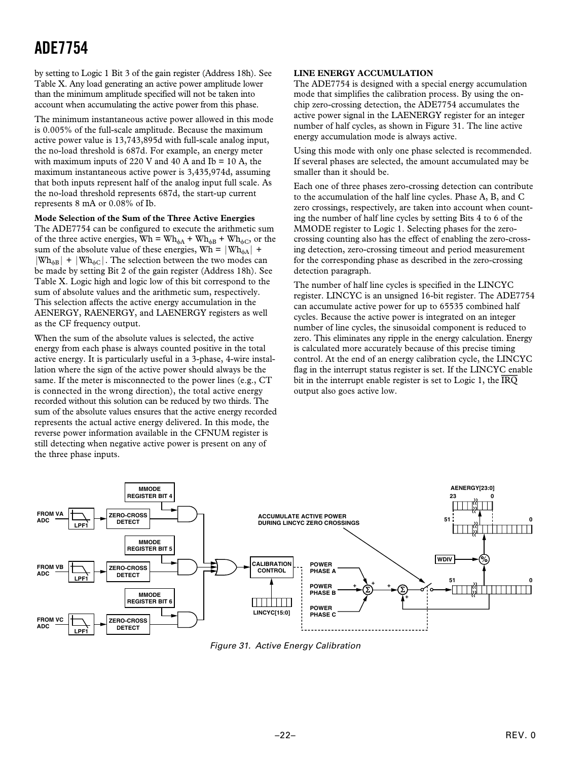<span id="page-21-0"></span>by setting to Logic 1 Bit 3 of the gain register (Address 18h). See Table X. Any load generating an active power amplitude lower than the minimum amplitude specified will not be taken into account when accumulating the active power from this phase.

The minimum instantaneous active power allowed in this mode is 0.005% of the full-scale amplitude. Because the maximum active power value is 13,743,895d with full-scale analog input, the no-load threshold is 687d. For example, an energy meter with maximum inputs of 220 V and 40 A and Ib  $= 10$  A, the maximum instantaneous active power is 3,435,974d, assuming that both inputs represent half of the analog input full scale. As the no-load threshold represents 687d, the start-up current represents 8 mA or 0.08% of Ib.

#### **Mode Selection of the Sum of the Three Active Energies**

The ADE7754 can be configured to execute the arithmetic sum of the three active energies,  $Wh = Wh_{\phi A} + Wh_{\phi B} + Wh_{\phi C}$ , or the sum of the absolute value of these energies,  $Wh = |Wh_{\text{dA}}|$  +  $|Wh_{\text{dB}}| + |Wh_{\text{AC}}|$ . The selection between the two modes can be made by setting Bit 2 of the gain register (Address 18h). See Table X. Logic high and logic low of this bit correspond to the sum of absolute values and the arithmetic sum, respectively. This selection affects the active energy accumulation in the AENERGY, RAENERGY, and LAENERGY registers as well as the CF frequency output.

When the sum of the absolute values is selected, the active energy from each phase is always counted positive in the total active energy. It is particularly useful in a 3-phase, 4-wire installation where the sign of the active power should always be the same. If the meter is misconnected to the power lines (e.g., CT is connected in the wrong direction), the total active energy recorded without this solution can be reduced by two thirds. The sum of the absolute values ensures that the active energy recorded represents the actual active energy delivered. In this mode, the reverse power information available in the CFNUM register is still detecting when negative active power is present on any of the three phase inputs.

#### **LINE ENERGY ACCUMULATION**

The ADE7754 is designed with a special energy accumulation mode that simplifies the calibration process. By using the onchip zero-crossing detection, the ADE7754 accumulates the active power signal in the LAENERGY register for an integer number of half cycles, as shown in Figure 31. The line active energy accumulation mode is always active.

Using this mode with only one phase selected is recommended. If several phases are selected, the amount accumulated may be smaller than it should be.

Each one of three phases zero-crossing detection can contribute to the accumulation of the half line cycles. Phase A, B, and C zero crossings, respectively, are taken into account when counting the number of half line cycles by setting Bits 4 to 6 of the MMODE register to Logic 1. Selecting phases for the zerocrossing counting also has the effect of enabling the zero-crossing detection, zero-crossing timeout and period measurement for the corresponding phase as described in the zero-crossing detection paragraph.

The number of half line cycles is specified in the LINCYC register. LINCYC is an unsigned 16-bit register. The ADE7754 can accumulate active power for up to 65535 combined half cycles. Because the active power is integrated on an integer number of line cycles, the sinusoidal component is reduced to zero. This eliminates any ripple in the energy calculation. Energy is calculated more accurately because of this precise timing control. At the end of an energy calibration cycle, the LINCYC flag in the interrupt status register is set. If the LINCYC enable bit in the interrupt enable register is set to Logic 1, the *IRQ* output also goes active low.



Figure 31. Active Energy Calibration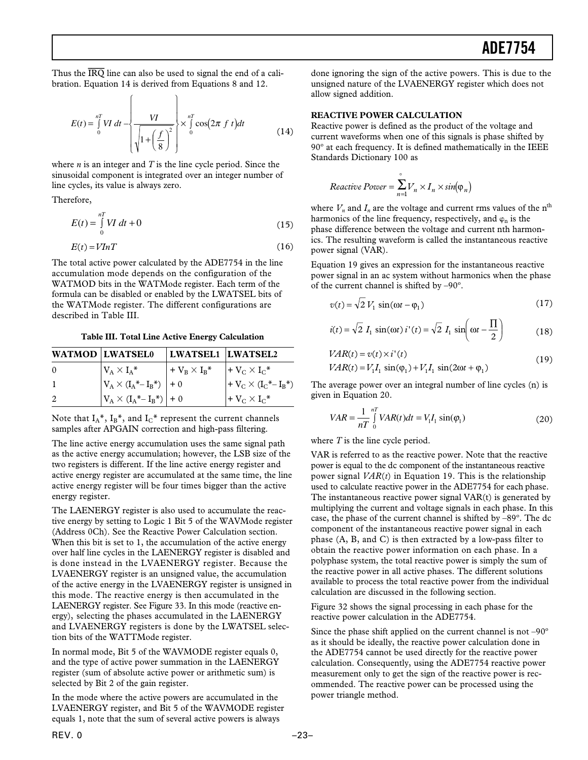<span id="page-22-0"></span>Thus the *IRQ* line can also be used to signal the end of a calibration. Equation 14 is derived from Equations 8 and 12.

$$
E(t) = \int_{0}^{nT} VI \, dt - \left\{ \frac{VI}{\sqrt{1 + \left(\frac{f}{8}\right)^2}} \right\} \times \int_{0}^{nT} \cos(2\pi f \, t) dt \tag{14}
$$

 $\mathbf{r}$ 

where *n* is an integer and *T* is the line cycle period. Since the sinusoidal component is integrated over an integer number of line cycles, its value is always zero.

Therefore,

$$
E(t) = \int_{0}^{nT} VI \, dt + 0 \tag{15}
$$

$$
E(t) = VInT \tag{16}
$$

The total active power calculated by the ADE7754 in the line accumulation mode depends on the configuration of the WATMOD bits in the WATMode register. Each term of the formula can be disabled or enabled by the LWATSEL bits of the WATMode register. The different configurations are described in Table III.

**Table III. Total Line Active Energy Calculation**

|          | <b>WATMOD LWATSEL0</b>                       | <b>LWATSEL1 LWATSEL2</b> |                                |
|----------|----------------------------------------------|--------------------------|--------------------------------|
| $\theta$ | $V_A \times I_A^*$                           | $+V_B \times I_B^*$      | $+V_C \times I_C^*$            |
|          | $ V_{A} \times (I_{A}^{*} - I_{B}^{*})  + 0$ |                          | $+ V_C \times (I_C^* - I_B^*)$ |
| 2        | $ V_A \times (I_A^* - I_B^*)  + 0$           |                          | $+V_C\times I_C^*$             |

Note that  $I_A^*$ ,  $I_B^*$ , and  $I_C^*$  represent the current channels samples after APGAIN correction and high-pass filtering.

The line active energy accumulation uses the same signal path as the active energy accumulation; however, the LSB size of the two registers is different. If the line active energy register and active energy register are accumulated at the same time, the line active energy register will be four times bigger than the active energy register.

The LAENERGY register is also used to accumulate the reactive energy by setting to Logic 1 Bit 5 of the WAVMode register (Address 0Ch). See the Reactive Power Calculation section. When this bit is set to 1, the accumulation of the active energy over half line cycles in the LAENERGY register is disabled and is done instead in the LVAENERGY register. Because the LVAENERGY register is an unsigned value, the accumulation of the active energy in the LVAENERGY register is unsigned in this mode. The reactive energy is then accumulated in the LAENERGY register. See Figure 33. In this mode (reactive energy), selecting the phases accumulated in the LAENERGY and LVAENERGY registers is done by the LWATSEL selection bits of the WATTMode register.

In normal mode, Bit 5 of the WAVMODE register equals 0, and the type of active power summation in the LAENERGY register (sum of absolute active power or arithmetic sum) is selected by Bit 2 of the gain register.

In the mode where the active powers are accumulated in the LVAENERGY register, and Bit 5 of the WAVMODE register equals 1, note that the sum of several active powers is always

done ignoring the sign of the active powers. This is due to the unsigned nature of the LVAENERGY register which does not allow signed addition.

#### **REACTIVE POWER CALCULATION**

Reactive power is defined as the product of the voltage and current waveforms when one of this signals is phase shifted by 90º at each frequency. It is defined mathematically in the IEEE Standards Dictionary 100 as

$$
Reactive\ Power = \sum_{n=1}^{\circ} V_n \times I_n \times \sin(\varphi_n)
$$

where  $V_n$  and  $I_n$  are the voltage and current rms values of the n<sup>th</sup> harmonics of the line frequency, respectively, and  $\varphi_{\rm{n}}$  is the phase difference between the voltage and current nth harmonics. The resulting waveform is called the instantaneous reactive power signal (VAR).

Equation 19 gives an expression for the instantaneous reactive power signal in an ac system without harmonics when the phase of the current channel is shifted by  $-90^\circ$ .

$$
v(t) = \sqrt{2} V_1 \sin(\omega t - \varphi_1)
$$
 (17)

$$
i(t) = \sqrt{2} I_1 \sin(\omega t) i'(t) = \sqrt{2} I_1 \sin\left(\omega t - \frac{\Pi}{2}\right)
$$
 (18)

$$
VAR(t) = v(t) \times i'(t)
$$
  
\n
$$
VAR(t) = V_1 I_1 \sin(\varphi_1) + V_1 I_1 \sin(2\omega t + \varphi_1)
$$
\n(19)

The average power over an integral number of line cycles (n) is given in Equation 20.

$$
VAR = \frac{1}{nT} \int_{0}^{nT} VAR(t)dt = V_1 I_1 \sin(\varphi_1)
$$
 (20)

where *T* is the line cycle period.

VAR is referred to as the reactive power. Note that the reactive power is equal to the dc component of the instantaneous reactive power signal *VAR*(*t*) in Equation 19. This is the relationship used to calculate reactive power in the ADE7754 for each phase. The instantaneous reactive power signal VAR(t) is generated by multiplying the current and voltage signals in each phase. In this case, the phase of the current channel is shifted by –89º. The dc component of the instantaneous reactive power signal in each phase (A, B, and C) is then extracted by a low-pass filter to obtain the reactive power information on each phase. In a polyphase system, the total reactive power is simply the sum of the reactive power in all active phases. The different solutions available to process the total reactive power from the individual calculation are discussed in the following section.

Figure 32 shows the signal processing in each phase for the reactive power calculation in the ADE7754.

Since the phase shift applied on the current channel is not –90º as it should be ideally, the reactive power calculation done in the ADE7754 cannot be used directly for the reactive power calculation. Consequently, using the ADE7754 reactive power measurement only to get the sign of the reactive power is recommended. The reactive power can be processed using the power triangle method.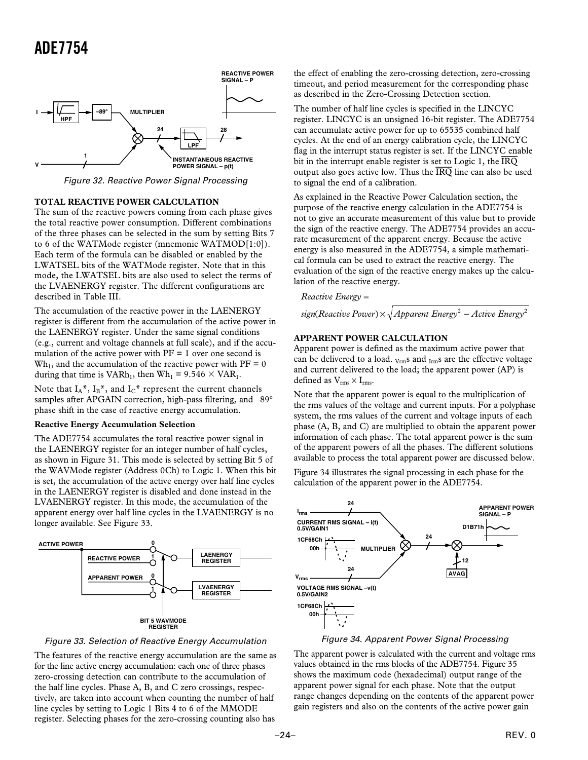<span id="page-23-0"></span>

Figure 32. Reactive Power Signal Processing

#### **TOTAL REACTIVE POWER CALCULATION**

The sum of the reactive powers coming from each phase gives the total reactive power consumption. Different combinations of the three phases can be selected in the sum by setting Bits 7 to 6 of the WATMode register (mnemonic WATMOD[1:0]). Each term of the formula can be disabled or enabled by the LWATSEL bits of the WATMode register. Note that in this mode, the LWATSEL bits are also used to select the terms of the LVAENERGY register. The different configurations are described in Table III.

The accumulation of the reactive power in the LAENERGY register is different from the accumulation of the active power in the LAENERGY register. Under the same signal conditions (e.g., current and voltage channels at full scale), and if the accumulation of the active power with  $PF = 1$  over one second is  $Wh_1$ , and the accumulation of the reactive power with  $PF = 0$ during that time is  $VARh_1$ , then  $Wh_1 = 9.546 \times VAR_1$ .

Note that  $I_A^*$ ,  $I_B^*$ , and  $I_C^*$  represent the current channels samples after APGAIN correction, high-pass filtering, and –89º phase shift in the case of reactive energy accumulation.

#### **Reactive Energy Accumulation Selection**

The ADE7754 accumulates the total reactive power signal in the LAENERGY register for an integer number of half cycles, as shown in Figure 31. This mode is selected by setting Bit 5 of the WAVMode register (Address 0Ch) to Logic 1. When this bit is set, the accumulation of the active energy over half line cycles in the LAENERGY register is disabled and done instead in the LVAENERGY register. In this mode, the accumulation of the apparent energy over half line cycles in the LVAENERGY is no longer available. See Figure 33.



Figure 33. Selection of Reactive Energy Accumulation

The features of the reactive energy accumulation are the same as for the line active energy accumulation: each one of three phases zero-crossing detection can contribute to the accumulation of the half line cycles. Phase A, B, and C zero crossings, respectively, are taken into account when counting the number of half line cycles by setting to Logic 1 Bits 4 to 6 of the MMODE register. Selecting phases for the zero-crossing counting also has

the effect of enabling the zero-crossing detection, zero-crossing timeout, and period measurement for the corresponding phase as described in the Zero-Crossing Detection section.

The number of half line cycles is specified in the LINCYC register. LINCYC is an unsigned 16-bit register. The ADE7754 can accumulate active power for up to 65535 combined half cycles. At the end of an energy calibration cycle, the LINCYC flag in the interrupt status register is set. If the LINCYC enable bit in the interrupt enable register is set to Logic 1, the *IRQ* output also goes active low. Thus the *IRQ* line can also be used to signal the end of a calibration.

As explained in the Reactive Power Calculation section, the purpose of the reactive energy calculation in the ADE7754 is not to give an accurate measurement of this value but to provide the sign of the reactive energy. The ADE7754 provides an accurate measurement of the apparent energy. Because the active energy is also measured in the ADE7754, a simple mathematical formula can be used to extract the reactive energy. The evaluation of the sign of the reactive energy makes up the calculation of the reactive energy.

*Reactive Energy* =

 $sign(Reactive Power) \times \sqrt{Apparent Energy^2 - Active Energy^2}$ 

#### **APPARENT POWER CALCULATION**

Apparent power is defined as the maximum active power that can be delivered to a load.  $_{Vrm ms}$  and  $_{Irm ms}$  are the effective voltage and current delivered to the load; the apparent power (AP) is defined as  $V_{rms} \times I_{rms}$ .

Note that the apparent power is equal to the multiplication of the rms values of the voltage and current inputs. For a polyphase system, the rms values of the current and voltage inputs of each phase (A, B, and C) are multiplied to obtain the apparent power information of each phase. The total apparent power is the sum of the apparent powers of all the phases. The different solutions available to process the total apparent power are discussed below.

Figure 34 illustrates the signal processing in each phase for the calculation of the apparent power in the ADE7754.



Figure 34. Apparent Power Signal Processing

The apparent power is calculated with the current and voltage rms values obtained in the rms blocks of the ADE7754. Figure 35 shows the maximum code (hexadecimal) output range of the apparent power signal for each phase. Note that the output range changes depending on the contents of the apparent power gain registers and also on the contents of the active power gain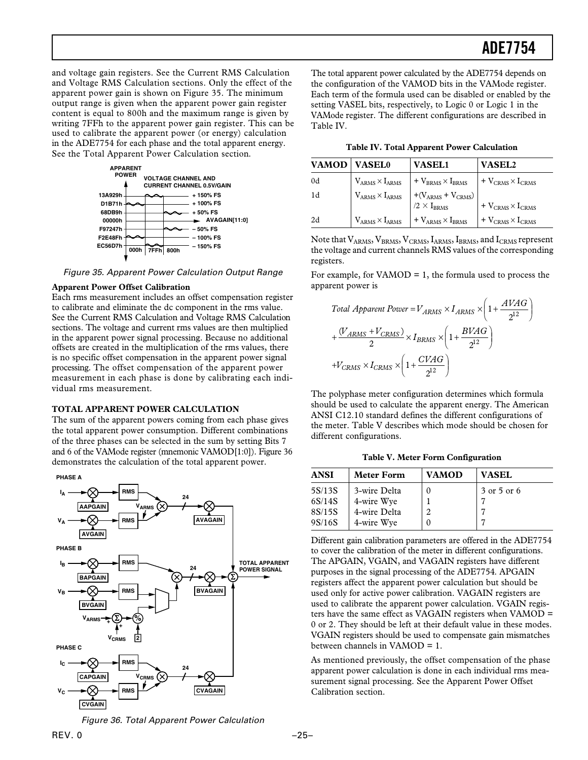<span id="page-24-0"></span>and voltage gain registers. See the Current RMS Calculation and Voltage RMS Calculation sections. Only the effect of the apparent power gain is shown on Figure 35. The minimum output range is given when the apparent power gain register content is equal to 800h and the maximum range is given by writing 7FFh to the apparent power gain register. This can be used to calibrate the apparent power (or energy) calculation in the ADE7754 for each phase and the total apparent energy. See the Total Apparent Power Calculation section.



Figure 35. Apparent Power Calculation Output Range

#### **Apparent Power Offset Calibration**

Each rms measurement includes an offset compensation register to calibrate and eliminate the dc component in the rms value. See the Current RMS Calculation and Voltage RMS Calculation sections. The voltage and current rms values are then multiplied in the apparent power signal processing. Because no additional offsets are created in the multiplication of the rms values, there is no specific offset compensation in the apparent power signal processing. The offset compensation of the apparent power measurement in each phase is done by calibrating each individual rms measurement.

#### **TOTAL APPARENT POWER CALCULATION**

The sum of the apparent powers coming from each phase gives the total apparent power consumption. Different combinations of the three phases can be selected in the sum by setting Bits 7 and 6 of the VAMode register (mnemonic VAMOD[1:0]). Figure 36 demonstrates the calculation of the total apparent power.



The total apparent power calculated by the ADE7754 depends on the configuration of the VAMOD bits in the VAMode register. Each term of the formula used can be disabled or enabled by the setting VASEL bits, respectively, to Logic 0 or Logic 1 in the VAMode register. The different configurations are described in Table IV.

|  |  |  |  |  | Table IV. Total Apparent Power Calculation |
|--|--|--|--|--|--------------------------------------------|
|--|--|--|--|--|--------------------------------------------|

| VAMOD | <b>VASEL0</b> | <b>VASEL1</b>                                                                                   | <b>VASEL2</b>                                    |
|-------|---------------|-------------------------------------------------------------------------------------------------|--------------------------------------------------|
| 0d    |               | $V_{ARMS} \times I_{ARMS}$ + $V_{BRMS} \times I_{BRMS}$ + $V_{CRMS} \times I_{CRMS}$            |                                                  |
| - 1d  |               | ARVAS $\begin{vmatrix} 1 & 0 \\ 0 & 1 \end{vmatrix}$ + (V <sub>ARMS</sub> + V <sub>CRMS</sub> ) | $+$ V <sub>CRMS</sub> $\times$ I <sub>CRMS</sub> |
| 2d    |               | $V_{ARMS} \times I_{ARMS}$ + $V_{ARMS} \times I_{BRMS}$                                         | $+$ V <sub>CRMS</sub> $\times$ I <sub>CRMS</sub> |

Note that  $V_{ARMS}$ ,  $V_{BRMS}$ ,  $V_{CRMS}$ ,  $I_{ARMS}$ ,  $I_{BRMS}$ , and  $I_{CRMS}$  represent the voltage and current channels RMS values of the corresponding registers.

For example, for VAMOD  $= 1$ , the formula used to process the apparent power is

Total Apparent Power = 
$$
V_{ARMS} \times I_{ARMS} \times \left(1 + \frac{AYAG}{2^{12}}\right)
$$
  
+  $\frac{(V_{ARMS} + V_{CRMS})}{2} \times I_{BRMS} \times \left(1 + \frac{BVAG}{2^{12}}\right)$   
+ $V_{CRMS} \times I_{CRMS} \times \left(1 + \frac{CVAG}{2^{12}}\right)$ 

The polyphase meter configuration determines which formula should be used to calculate the apparent energy. The American ANSI C12.10 standard defines the different configurations of the meter. Table V describes which mode should be chosen for different configurations.

**Table V. Meter Form Configuration**

| <b>ANSI</b> | <b>Meter Form</b> | <b>VAMOD</b>   | <b>VASEL</b> |
|-------------|-------------------|----------------|--------------|
| 5S/13S      | 3-wire Delta      |                | 3 or 5 or 6  |
| 6S/14S      | 4-wire Wye        |                |              |
| 8S/15S      | 4-wire Delta      | $\overline{c}$ |              |
| 9S/16S      | 4-wire Wye        |                |              |

Different gain calibration parameters are offered in the ADE7754 to cover the calibration of the meter in different configurations. The APGAIN, VGAIN, and VAGAIN registers have different purposes in the signal processing of the ADE7754. APGAIN registers affect the apparent power calculation but should be used only for active power calibration. VAGAIN registers are used to calibrate the apparent power calculation. VGAIN registers have the same effect as VAGAIN registers when VAMOD = 0 or 2. They should be left at their default value in these modes. VGAIN registers should be used to compensate gain mismatches between channels in VAMOD = 1.

As mentioned previously, the offset compensation of the phase apparent power calculation is done in each individual rms measurement signal processing. See the Apparent Power Offset Calibration section.

Figure 36. Total Apparent Power Calculation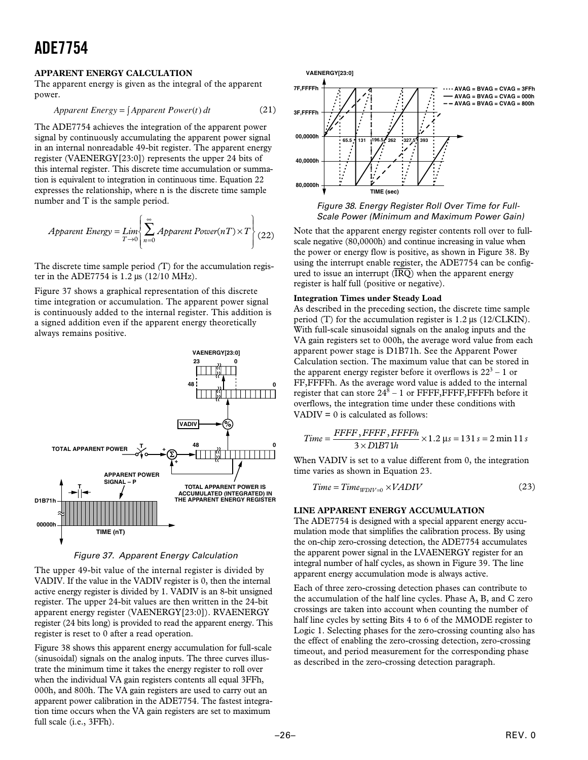#### <span id="page-25-0"></span>**APPARENT ENERGY CALCULATION**

The apparent energy is given as the integral of the apparent power.

$$
Apparent Energy = \int Apparent Power(t) dt
$$
 (21)

The ADE7754 achieves the integration of the apparent power signal by continuously accumulating the apparent power signal in an internal nonreadable 49-bit register. The apparent energy register (VAENERGY[23:0]) represents the upper 24 bits of this internal register. This discrete time accumulation or summation is equivalent to integration in continuous time. Equation 22 expresses the relationship, where n is the discrete time sample number and T is the sample period.

$$
Apparent Energy = Lim \left\{ \sum_{T \to 0}^{\infty} Apparent Power(nT) \times T \right\} (22)
$$

The discrete time sample period *(*T) for the accumulation register in the ADE7754 is 1.2 µs (12/10 MHz).

Figure 37 shows a graphical representation of this discrete time integration or accumulation. The apparent power signal is continuously added to the internal register. This addition is a signed addition even if the apparent energy theoretically always remains positive.



Figure 37. Apparent Energy Calculation

The upper 49-bit value of the internal register is divided by VADIV. If the value in the VADIV register is 0, then the internal active energy register is divided by 1. VADIV is an 8-bit unsigned register. The upper 24-bit values are then written in the 24-bit apparent energy register (VAENERGY[23:0]). RVAENERGY register (24 bits long) is provided to read the apparent energy. This register is reset to 0 after a read operation.

Figure 38 shows this apparent energy accumulation for full-scale (sinusoidal) signals on the analog inputs. The three curves illustrate the minimum time it takes the energy register to roll over when the individual VA gain registers contents all equal 3FFh, 000h, and 800h. The VA gain registers are used to carry out an apparent power calibration in the ADE7754. The fastest integration time occurs when the VA gain registers are set to maximum full scale (i.e., 3FFh).



Figure 38. Energy Register Roll Over Time for Full-Scale Power (Minimum and Maximum Power Gain)

Note that the apparent energy register contents roll over to fullscale negative (80,0000h) and continue increasing in value when the power or energy flow is positive, as shown in Figure 38. By using the interrupt enable register, the ADE7754 can be configured to issue an interrupt  $(\overline{IRQ})$  when the apparent energy register is half full (positive or negative).

#### **Integration Times under Steady Load**

As described in the preceding section, the discrete time sample period (T) for the accumulation register is 1.2 µs (12/CLKIN). With full-scale sinusoidal signals on the analog inputs and the VA gain registers set to 000h, the average word value from each apparent power stage is D1B71h. See the Apparent Power Calculation section. The maximum value that can be stored in the apparent energy register before it overflows is  $22^3 - 1$  or FF,FFFFh. As the average word value is added to the internal register that can store  $24^8 - 1$  or FFFF, FFFF, FFFFh before it overflows, the integration time under these conditions with  $VADIV = 0$  is calculated as follows:

$$
Time = \frac{FFFF, FFFF}{3 \times D1B71h} \times 1.2 \,\mu s = 131 \,s = 2 \,\min 11 \,s
$$

When VADIV is set to a value different from 0, the integration time varies as shown in Equation 23.

$$
Time = Time_{WDIV=0} \times VADIV
$$
 (23)

#### **LINE APPARENT ENERGY ACCUMULATION**

The ADE7754 is designed with a special apparent energy accumulation mode that simplifies the calibration process. By using the on-chip zero-crossing detection, the ADE7754 accumulates the apparent power signal in the LVAENERGY register for an integral number of half cycles, as shown in Figure 39. The line apparent energy accumulation mode is always active.

Each of three zero-crossing detection phases can contribute to the accumulation of the half line cycles. Phase A, B, and C zero crossings are taken into account when counting the number of half line cycles by setting Bits 4 to 6 of the MMODE register to Logic 1. Selecting phases for the zero-crossing counting also has the effect of enabling the zero-crossing detection, zero-crossing timeout, and period measurement for the corresponding phase as described in the zero-crossing detection paragraph.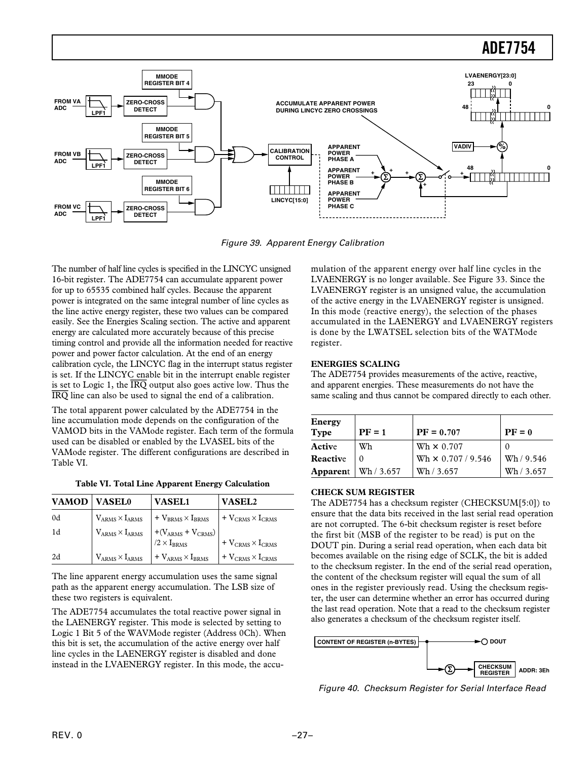#### <span id="page-26-0"></span>**ADE7754 LVAENERGY[23:0] MMODE REGISTER BIT 4 23 0**  $\Box$ **FROM VA ZERO-CROSS ACCUMULATE APPARENT POWER ADC 48 0 DETECT DURING LINCYC ZERO CROSSINGS LPF1 THE LITTLE MMODE REGISTER BIT 5 APPARENT VADIV % CALIBRATION FROM VB ZERO-CROSS POWER CONTROL PHASE A ADC DETECT LPF1 48 0 <sup>+</sup> APPARENT <sup>+</sup> <sup>+</sup> <sup>+</sup> POWER** ,,,,,,,,,, **MMODE PHASE B + REGISTER BIT 6** <u>Film and the se</u> **APPARENT LINCYC[15:0] POWER FROM VC ZERO-CROSS PHASE C ADC DETECT LPF1**

Figure 39. Apparent Energy Calibration

The number of half line cycles is specified in the LINCYC unsigned 16-bit register. The ADE7754 can accumulate apparent power for up to 65535 combined half cycles. Because the apparent power is integrated on the same integral number of line cycles as the line active energy register, these two values can be compared easily. See the Energies Scaling section. The active and apparent energy are calculated more accurately because of this precise timing control and provide all the information needed for reactive power and power factor calculation. At the end of an energy calibration cycle, the LINCYC flag in the interrupt status register is set. If the LINCYC enable bit in the interrupt enable register is set to Logic 1, the *IRQ* output also goes active low. Thus the *IRQ* line can also be used to signal the end of a calibration.

The total apparent power calculated by the ADE7754 in the line accumulation mode depends on the configuration of the VAMOD bits in the VAMode register. Each term of the formula used can be disabled or enabled by the LVASEL bits of the VAMode register. The different configurations are described in Table VI.

|  |  |  |  | <b>Table VI. Total Line Apparent Energy Calculation</b> |
|--|--|--|--|---------------------------------------------------------|
|--|--|--|--|---------------------------------------------------------|

| VAMOD <sup>1</sup> | <b>VASEL0</b>                 | <b>VASEL1</b>                                                                                                                                               | <b>VASEL2</b>                      |
|--------------------|-------------------------------|-------------------------------------------------------------------------------------------------------------------------------------------------------------|------------------------------------|
| 0d                 |                               | $V_{ARMS} \times I_{ARMS}$ + $V_{BRMS} \times I_{BRMS}$ + $V_{CRMS} \times I_{CRMS}$                                                                        |                                    |
| 1d                 |                               | ARMS $\times$ IARMS<br>$\begin{array}{c} \n\text{ARMS} \times \text{I}_{\text{ARMS}} \\ + (\text{V}_{\text{ARMS}} + \text{V}_{\text{CRMS}}) \\ \end{array}$ | + $V_{CRMS} \times I_{CRMS}$       |
| 2d                 | $\rm V_{ARMS}\times I_{ARMS}$ | $\vert + \mathrm{V}_{\mathrm{ARMS}} \times \mathrm{I}_{\mathrm{BRMS}}$                                                                                      | $+V_{\rm CRMS}\times I_{\rm CRMS}$ |

The line apparent energy accumulation uses the same signal path as the apparent energy accumulation. The LSB size of these two registers is equivalent.

The ADE7754 accumulates the total reactive power signal in the LAENERGY register. This mode is selected by setting to Logic 1 Bit 5 of the WAVMode register (Address 0Ch). When this bit is set, the accumulation of the active energy over half line cycles in the LAENERGY register is disabled and done instead in the LVAENERGY register. In this mode, the accu-

mulation of the apparent energy over half line cycles in the LVAENERGY is no longer available. See Figure 33. Since the LVAENERGY register is an unsigned value, the accumulation of the active energy in the LVAENERGY register is unsigned. In this mode (reactive energy), the selection of the phases accumulated in the LAENERGY and LVAENERGY registers is done by the LWATSEL selection bits of the WATMode register.

#### **ENERGIES SCALING**

The ADE7754 provides measurements of the active, reactive, and apparent energies. These measurements do not have the same scaling and thus cannot be compared directly to each other.

| Energy<br><b>Type</b> | $PF = 1$   | $PF = 0.707$              | $PF = 0$   |
|-----------------------|------------|---------------------------|------------|
| Active                | Wh         | Wh $\times$ 0.707         |            |
| Reactive              |            | Wh $\times$ 0.707 / 9.546 | Wh/9.546   |
| Apparent              | Wh / 3.657 | Wh / 3.657                | Wh / 3.657 |

#### **CHECK SUM REGISTER**

The ADE7754 has a checksum register (CHECKSUM[5:0]) to ensure that the data bits received in the last serial read operation are not corrupted. The 6-bit checksum register is reset before the first bit (MSB of the register to be read) is put on the DOUT pin. During a serial read operation, when each data bit becomes available on the rising edge of SCLK, the bit is added to the checksum register. In the end of the serial read operation, the content of the checksum register will equal the sum of all ones in the register previously read. Using the checksum register, the user can determine whether an error has occurred during the last read operation. Note that a read to the checksum register also generates a checksum of the checksum register itself.



Figure 40. Checksum Register for Serial Interface Read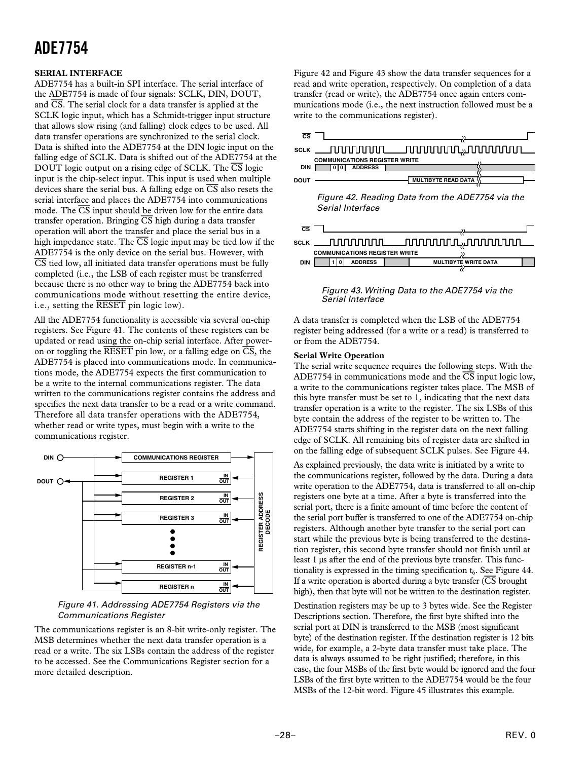#### <span id="page-27-0"></span>**SERIAL INTERFACE**

ADE7754 has a built-in SPI interface. The serial interface of the ADE7754 is made of four signals: SCLK, DIN, DOUT, and *CS*. The serial clock for a data transfer is applied at the SCLK logic input, which has a Schmidt-trigger input structure that allows slow rising (and falling) clock edges to be used. All data transfer operations are synchronized to the serial clock. Data is shifted into the ADE7754 at the DIN logic input on the falling edge of SCLK. Data is shifted out of the ADE7754 at the DOUT logic output on a rising edge of SCLK. The *CS* logic input is the chip-select input. This input is used when multiple devices share the serial bus. A falling edge on *CS* also resets the serial interface and places the ADE7754 into communications mode. The *CS* input should be driven low for the entire data transfer operation. Bringing *CS* high during a data transfer operation will abort the transfer and place the serial bus in a high impedance state. The *CS* logic input may be tied low if the ADE7754 is the only device on the serial bus. However, with *CS* tied low, all initiated data transfer operations must be fully completed (i.e., the LSB of each register must be transferred because there is no other way to bring the ADE7754 back into communications mode without resetting the entire device, i.e., setting the *RESET* pin logic low).

All the ADE7754 functionality is accessible via several on-chip registers. See Figure 41. The contents of these registers can be updated or read using the on-chip serial interface. After poweron or toggling the *RESET* pin low, or a falling edge on *CS*, the ADE7754 is placed into communications mode. In communications mode, the ADE7754 expects the first communication to be a write to the internal communications register. The data written to the communications register contains the address and specifies the next data transfer to be a read or a write command. Therefore all data transfer operations with the ADE7754, whether read or write types, must begin with a write to the communications register.



#### Figure 41. Addressing ADE7754 Registers via the Communications Register

The communications register is an 8-bit write-only register. The MSB determines whether the next data transfer operation is a read or a write. The six LSBs contain the address of the register to be accessed. See the Communications Register section for a more detailed description.

Figure 42 and Figure 43 show the data transfer sequences for a read and write operation, respectively. On completion of a data transfer (read or write), the ADE7754 once again enters communications mode (i.e., the next instruction followed must be a write to the communications register).



Figure 43. Writing Data to the ADE7754 via the Serial Interface

A data transfer is completed when the LSB of the ADE7754 register being addressed (for a write or a read) is transferred to or from the ADE7754.

#### **Serial Write Operation**

The serial write sequence requires the following steps. With the ADE7754 in communications mode and the *CS* input logic low, a write to the communications register takes place. The MSB of this byte transfer must be set to 1, indicating that the next data transfer operation is a write to the register. The six LSBs of this byte contain the address of the register to be written to. The ADE7754 starts shifting in the register data on the next falling edge of SCLK. All remaining bits of register data are shifted in on the falling edge of subsequent SCLK pulses. See Figure 44.

As explained previously, the data write is initiated by a write to the communications register, followed by the data. During a data write operation to the ADE7754, data is transferred to all on-chip registers one byte at a time. After a byte is transferred into the serial port, there is a finite amount of time before the content of the serial port buffer is transferred to one of the ADE7754 on-chip registers. Although another byte transfer to the serial port can start while the previous byte is being transferred to the destination register, this second byte transfer should not finish until at least 1 µs after the end of the previous byte transfer. This functionality is expressed in the timing specification  $t<sub>6</sub>$ . See Figure 44. If a write operation is aborted during a byte transfer *(CS* brought high), then that byte will not be written to the destination register.

Destination registers may be up to 3 bytes wide. See the Register Descriptions section. Therefore, the first byte shifted into the serial port at DIN is transferred to the MSB (most significant byte) of the destination register. If the destination register is 12 bits wide, for example, a 2-byte data transfer must take place. The data is always assumed to be right justified; therefore, in this case, the four MSBs of the first byte would be ignored and the four LSBs of the first byte written to the ADE7754 would be the four MSBs of the 12-bit word. Figure 45 illustrates this example.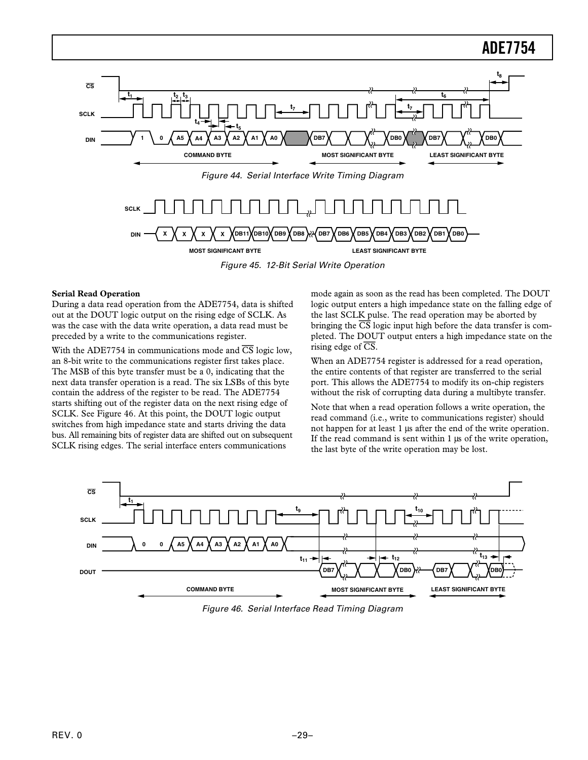<span id="page-28-0"></span>

Figure 45. 12-Bit Serial Write Operation

#### **Serial Read Operation**

During a data read operation from the ADE7754, data is shifted out at the DOUT logic output on the rising edge of SCLK. As was the case with the data write operation, a data read must be preceded by a write to the communications register.

With the ADE7754 in communications mode and *CS* logic low, an 8-bit write to the communications register first takes place. The MSB of this byte transfer must be a 0, indicating that the next data transfer operation is a read. The six LSBs of this byte contain the address of the register to be read. The ADE7754 starts shifting out of the register data on the next rising edge of SCLK. See Figure 46. At this point, the DOUT logic output switches from high impedance state and starts driving the data bus. All remaining bits of register data are shifted out on subsequent SCLK rising edges. The serial interface enters communications

mode again as soon as the read has been completed. The DOUT logic output enters a high impedance state on the falling edge of the last SCLK pulse. The read operation may be aborted by bringing the *CS* logic input high before the data transfer is completed. The DOUT output enters a high impedance state on the rising edge of *CS*.

When an ADE7754 register is addressed for a read operation, the entire contents of that register are transferred to the serial port. This allows the ADE7754 to modify its on-chip registers without the risk of corrupting data during a multibyte transfer.

Note that when a read operation follows a write operation, the read command (i.e., write to communications register) should not happen for at least 1 µs after the end of the write operation. If the read command is sent within 1 µs of the write operation, the last byte of the write operation may be lost.



Figure 46. Serial Interface Read Timing Diagram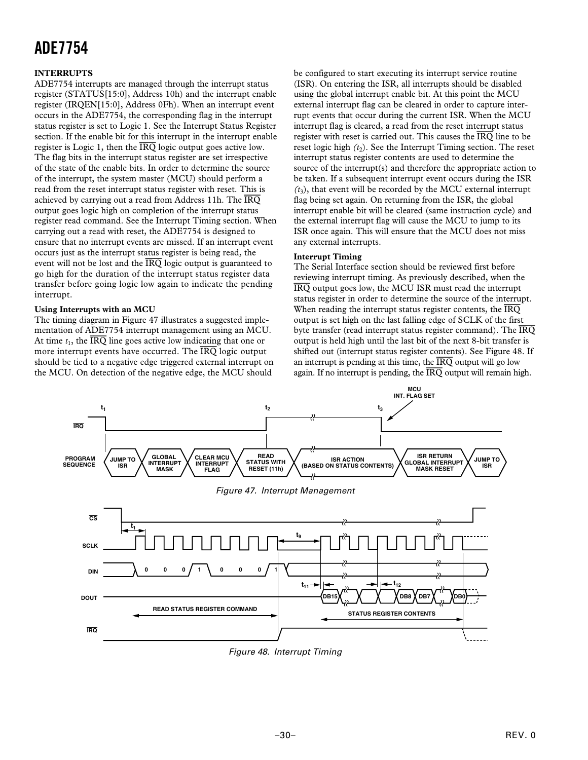#### <span id="page-29-0"></span>**INTERRUPTS**

ADE7754 interrupts are managed through the interrupt status register (STATUS[15:0], Address 10h) and the interrupt enable register (IRQEN[15:0], Address 0Fh). When an interrupt event occurs in the ADE7754, the corresponding flag in the interrupt status register is set to Logic 1. See the Interrupt Status Register section. If the enable bit for this interrupt in the interrupt enable register is Logic 1, then the *IRQ* logic output goes active low. The flag bits in the interrupt status register are set irrespective of the state of the enable bits. In order to determine the source of the interrupt, the system master (MCU) should perform a read from the reset interrupt status register with reset. This is achieved by carrying out a read from Address 11h. The *IRQ* output goes logic high on completion of the interrupt status register read command. See the Interrupt Timing section. When carrying out a read with reset, the ADE7754 is designed to ensure that no interrupt events are missed. If an interrupt event occurs just as the interrupt status register is being read, the event will not be lost and the *IRQ* logic output is guaranteed to go high for the duration of the interrupt status register data transfer before going logic low again to indicate the pending interrupt.

#### **Using Interrupts with an MCU**

The timing diagram in Figure 47 illustrates a suggested implementation of ADE7754 interrupt management using an MCU. At time  $t_1$ , the  $\overline{\text{IRQ}}$  line goes active low indicating that one or more interrupt events have occurred. The *IRQ* logic output should be tied to a negative edge triggered external interrupt on the MCU. On detection of the negative edge, the MCU should

be configured to start executing its interrupt service routine (ISR). On entering the ISR, all interrupts should be disabled using the global interrupt enable bit. At this point the MCU external interrupt flag can be cleared in order to capture interrupt events that occur during the current ISR. When the MCU interrupt flag is cleared, a read from the reset interrupt status register with reset is carried out. This causes the *IRQ* line to be reset logic high  $(t_2)$ . See the Interrupt Timing section. The reset interrupt status register contents are used to determine the source of the interrupt(s) and therefore the appropriate action to be taken. If a subsequent interrupt event occurs during the ISR  $(t_3)$ , that event will be recorded by the MCU external interrupt flag being set again. On returning from the ISR, the global interrupt enable bit will be cleared (same instruction cycle) and the external interrupt flag will cause the MCU to jump to its ISR once again. This will ensure that the MCU does not miss any external interrupts.

#### **Interrupt Timing**

The Serial Interface section should be reviewed first before reviewing interrupt timing. As previously described, when the *IRQ* output goes low, the MCU ISR must read the interrupt status register in order to determine the source of the interrupt. When reading the interrupt status register contents, the *IRQ* output is set high on the last falling edge of SCLK of the first byte transfer (read interrupt status register command). The *IRQ* output is held high until the last bit of the next 8-bit transfer is shifted out (interrupt status register contents). See Figure 48. If an interrupt is pending at this time, the *IRQ* output will go low again. If no interrupt is pending, the *IRQ* output will remain high.



Figure 48. Interrupt Timing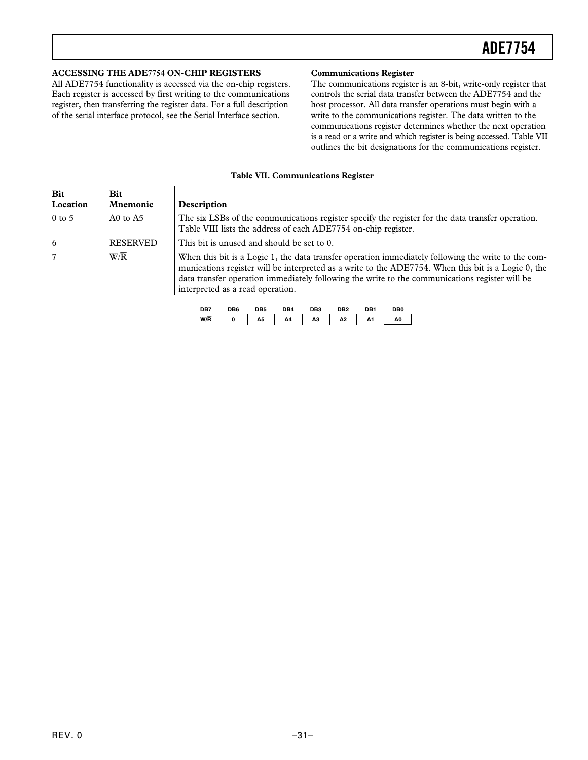#### <span id="page-30-0"></span>**ACCESSING THE ADE7754 ON-CHIP REGISTERS**

All ADE7754 functionality is accessed via the on-chip registers. Each register is accessed by first writing to the communications register, then transferring the register data. For a full description of the serial interface protocol, see the Serial Interface section.

#### **Communications Register**

The communications register is an 8-bit, write-only register that controls the serial data transfer between the ADE7754 and the host processor. All data transfer operations must begin with a write to the communications register. The data written to the communications register determines whether the next operation is a read or a write and which register is being accessed. Table VII outlines the bit designations for the communications register.

|  |  | <b>Table VII. Communications Register</b> |  |
|--|--|-------------------------------------------|--|
|--|--|-------------------------------------------|--|

| <b>Bit</b><br>Location | Bit<br><b>Mnemonic</b> | Description                                                                                                                                                                                                                                                                                                                                      |
|------------------------|------------------------|--------------------------------------------------------------------------------------------------------------------------------------------------------------------------------------------------------------------------------------------------------------------------------------------------------------------------------------------------|
| $0$ to 5               | A0 to $A5$             | The six LSBs of the communications register specify the register for the data transfer operation.<br>Table VIII lists the address of each ADE7754 on-chip register.                                                                                                                                                                              |
| 6                      | <b>RESERVED</b>        | This bit is unused and should be set to 0.                                                                                                                                                                                                                                                                                                       |
|                        | $W/\overline{R}$       | When this bit is a Logic 1, the data transfer operation immediately following the write to the com-<br>munications register will be interpreted as a write to the ADE7754. When this bit is a Logic 0, the<br>data transfer operation immediately following the write to the communications register will be<br>interpreted as a read operation. |

| DB7 | DB6 | DB5 | 7R4 | DB3 | יםר | ∩R' | DBO |
|-----|-----|-----|-----|-----|-----|-----|-----|
| W/R |     | A5  | A4  | ΑЗ  | A2  | A1  | A0  |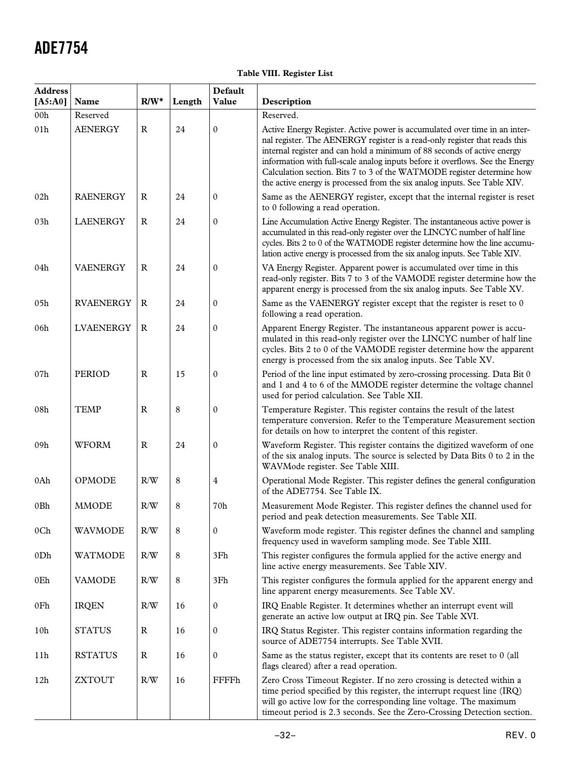### **Table VIII. Register List**

| <b>Address</b><br>[A5:A0] | Name             | $R/W^*$      | Length | Default<br>Value | Description                                                                                                                                                                                                                                                                                                                                                                                                                                                                 |
|---------------------------|------------------|--------------|--------|------------------|-----------------------------------------------------------------------------------------------------------------------------------------------------------------------------------------------------------------------------------------------------------------------------------------------------------------------------------------------------------------------------------------------------------------------------------------------------------------------------|
| 00h                       | Reserved         |              |        |                  | Reserved.                                                                                                                                                                                                                                                                                                                                                                                                                                                                   |
| 01h                       | <b>AENERGY</b>   | $\mathbf{R}$ | 24     | $\mathbf{0}$     | Active Energy Register. Active power is accumulated over time in an inter-<br>nal register. The AENERGY register is a read-only register that reads this<br>internal register and can hold a minimum of 88 seconds of active energy<br>information with full-scale analog inputs before it overflows. See the Energy<br>Calculation section. Bits 7 to 3 of the WATMODE register determine how<br>the active energy is processed from the six analog inputs. See Table XIV. |
| 02h                       | <b>RAENERGY</b>  | $\mathbf R$  | 24     | $\mathbf{0}$     | Same as the AENERGY register, except that the internal register is reset<br>to 0 following a read operation.                                                                                                                                                                                                                                                                                                                                                                |
| 03h                       | <b>LAENERGY</b>  | $\mathbb{R}$ | 24     | $\mathbf{0}$     | Line Accumulation Active Energy Register. The instantaneous active power is<br>accumulated in this read-only register over the LINCYC number of half line<br>cycles. Bits 2 to 0 of the WATMODE register determine how the line accumu-<br>lation active energy is processed from the six analog inputs. See Table XIV.                                                                                                                                                     |
| 04h                       | <b>VAENERGY</b>  | $\mathbb{R}$ | 24     | $\boldsymbol{0}$ | VA Energy Register. Apparent power is accumulated over time in this<br>read-only register. Bits 7 to 3 of the VAMODE register determine how the<br>apparent energy is processed from the six analog inputs. See Table XV.                                                                                                                                                                                                                                                   |
| 05h                       | <b>RVAENERGY</b> | $\mathbf R$  | 24     | $\boldsymbol{0}$ | Same as the VAENERGY register except that the register is reset to 0<br>following a read operation.                                                                                                                                                                                                                                                                                                                                                                         |
| 06h                       | <b>LVAENERGY</b> | $\mathbf R$  | 24     | $\mathbf{0}$     | Apparent Energy Register. The instantaneous apparent power is accu-<br>mulated in this read-only register over the LINCYC number of half line<br>cycles. Bits 2 to 0 of the VAMODE register determine how the apparent<br>energy is processed from the six analog inputs. See Table XV.                                                                                                                                                                                     |
| 07h                       | PERIOD           | $\mathbf R$  | 15     | $\mathbf{0}$     | Period of the line input estimated by zero-crossing processing. Data Bit 0<br>and 1 and 4 to 6 of the MMODE register determine the voltage channel<br>used for period calculation. See Table XII.                                                                                                                                                                                                                                                                           |
| 08h                       | <b>TEMP</b>      | $\mathbf R$  | 8      | $\boldsymbol{0}$ | Temperature Register. This register contains the result of the latest<br>temperature conversion. Refer to the Temperature Measurement section<br>for details on how to interpret the content of this register.                                                                                                                                                                                                                                                              |
| 09h                       | <b>WFORM</b>     | $\mathbb{R}$ | 24     | $\mathbf{0}$     | Waveform Register. This register contains the digitized waveform of one<br>of the six analog inputs. The source is selected by Data Bits 0 to 2 in the<br>WAVMode register. See Table XIII.                                                                                                                                                                                                                                                                                 |
| 0Ah                       | <b>OPMODE</b>    | R/W          | 8      | 4                | Operational Mode Register. This register defines the general configuration<br>of the ADE7754. See Table IX.                                                                                                                                                                                                                                                                                                                                                                 |
| 0Bh                       | <b>MMODE</b>     | R/W          | 8      | 70h              | Measurement Mode Register. This register defines the channel used for<br>period and peak detection measurements. See Table XII.                                                                                                                                                                                                                                                                                                                                             |
| 0 <sub>Ch</sub>           | WAVMODE          | R/W          | 8      | $\mathbf{0}$     | Waveform mode register. This register defines the channel and sampling<br>frequency used in waveform sampling mode. See Table XIII.                                                                                                                                                                                                                                                                                                                                         |
| 0Dh                       | WATMODE          | R/W          | 8      | 3Fh              | This register configures the formula applied for the active energy and<br>line active energy measurements. See Table XIV.                                                                                                                                                                                                                                                                                                                                                   |
| 0Eh                       | <b>VAMODE</b>    | R/W          | 8      | 3Fh              | This register configures the formula applied for the apparent energy and<br>line apparent energy measurements. See Table XV.                                                                                                                                                                                                                                                                                                                                                |
| 0Fh                       | <b>IRQEN</b>     | R/W          | 16     | $\mathbf{0}$     | IRQ Enable Register. It determines whether an interrupt event will<br>generate an active low output at IRQ pin. See Table XVI.                                                                                                                                                                                                                                                                                                                                              |
| 10 <sub>h</sub>           | <b>STATUS</b>    | $\mathbb{R}$ | 16     | $\mathbf{0}$     | IRQ Status Register. This register contains information regarding the<br>source of ADE7754 interrupts. See Table XVII.                                                                                                                                                                                                                                                                                                                                                      |
| 11h                       | <b>RSTATUS</b>   | ${\bf R}$    | 16     | $\mathbf{0}$     | Same as the status register, except that its contents are reset to 0 (all<br>flags cleared) after a read operation.                                                                                                                                                                                                                                                                                                                                                         |
| 12h                       | <b>ZXTOUT</b>    | R/W          | 16     | FFFFh            | Zero Cross Timeout Register. If no zero crossing is detected within a<br>time period specified by this register, the interrupt request line (IRQ)<br>will go active low for the corresponding line voltage. The maximum<br>timeout period is 2.3 seconds. See the Zero-Crossing Detection section.                                                                                                                                                                          |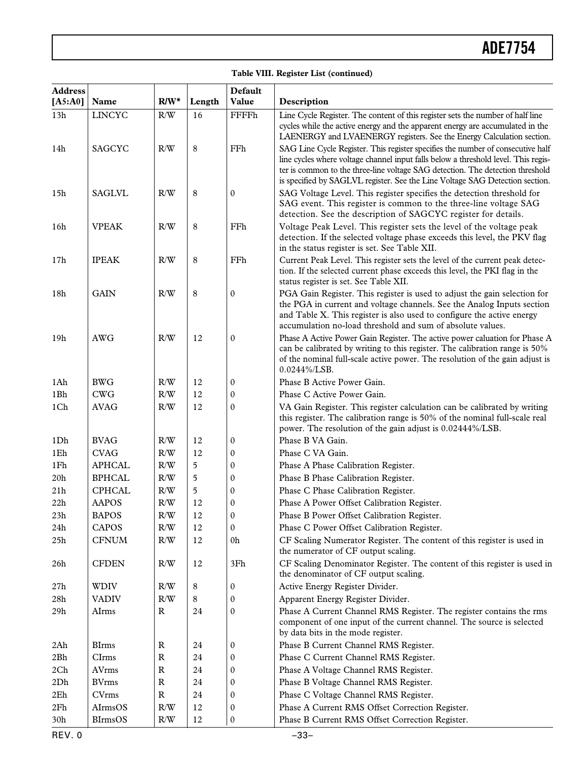#### **Table VIII. Register List (continued)**

| <b>Address</b> |                |              |        | <b>Default</b>   |                                                                                                                                                                                                                                                                                                                                         |
|----------------|----------------|--------------|--------|------------------|-----------------------------------------------------------------------------------------------------------------------------------------------------------------------------------------------------------------------------------------------------------------------------------------------------------------------------------------|
| $[A5:A0]$      | Name           | $R/W^*$      | Length | Value            | Description                                                                                                                                                                                                                                                                                                                             |
| 13h            | <b>LINCYC</b>  | R/W          | 16     | <b>FFFFh</b>     | Line Cycle Register. The content of this register sets the number of half line<br>cycles while the active energy and the apparent energy are accumulated in the<br>LAENERGY and LVAENERGY registers. See the Energy Calculation section.                                                                                                |
| 14h            | <b>SAGCYC</b>  | R/W          | 8      | FFh              | SAG Line Cycle Register. This register specifies the number of consecutive half<br>line cycles where voltage channel input falls below a threshold level. This regis-<br>ter is common to the three-line voltage SAG detection. The detection threshold<br>is specified by SAGLVL register. See the Line Voltage SAG Detection section. |
| 15h            | <b>SAGLVL</b>  | R/W          | 8      | $\boldsymbol{0}$ | SAG Voltage Level. This register specifies the detection threshold for<br>SAG event. This register is common to the three-line voltage SAG<br>detection. See the description of SAGCYC register for details.                                                                                                                            |
| 16h            | <b>VPEAK</b>   | R/W          | 8      | FFh              | Voltage Peak Level. This register sets the level of the voltage peak<br>detection. If the selected voltage phase exceeds this level, the PKV flag<br>in the status register is set. See Table XII.                                                                                                                                      |
| 17h            | <b>IPEAK</b>   | R/W          | 8      | FFh              | Current Peak Level. This register sets the level of the current peak detec-<br>tion. If the selected current phase exceeds this level, the PKI flag in the<br>status register is set. See Table XII.                                                                                                                                    |
| 18h            | <b>GAIN</b>    | R/W          | 8      | 0                | PGA Gain Register. This register is used to adjust the gain selection for<br>the PGA in current and voltage channels. See the Analog Inputs section<br>and Table X. This register is also used to configure the active energy<br>accumulation no-load threshold and sum of absolute values.                                             |
| 19h            | <b>AWG</b>     | R/W          | 12     | 0                | Phase A Active Power Gain Register. The active power caluation for Phase A<br>can be calibrated by writing to this register. The calibration range is 50%<br>of the nominal full-scale active power. The resolution of the gain adjust is<br>$0.0244\%$ /LSB.                                                                           |
| 1Ah            | <b>BWG</b>     | R/W          | 12     | 0                | Phase B Active Power Gain.                                                                                                                                                                                                                                                                                                              |
| 1Bh            | <b>CWG</b>     | R/W          | 12     | 0                | Phase C Active Power Gain.                                                                                                                                                                                                                                                                                                              |
| 1Ch            | <b>AVAG</b>    | R/W          | 12     | 0                | VA Gain Register. This register calculation can be calibrated by writing<br>this register. The calibration range is 50% of the nominal full-scale real<br>power. The resolution of the gain adjust is 0.02444%/LSB.                                                                                                                     |
| 1Dh            | <b>BVAG</b>    | R/W          | 12     | 0                | Phase B VA Gain.                                                                                                                                                                                                                                                                                                                        |
| 1Eh            | <b>CVAG</b>    | R/W          | 12     | 0                | Phase C VA Gain.                                                                                                                                                                                                                                                                                                                        |
| 1Fh            | <b>APHCAL</b>  | $\rm R/W$    | 5      | 0                | Phase A Phase Calibration Register.                                                                                                                                                                                                                                                                                                     |
| 20h            | <b>BPHCAL</b>  | $\rm R/W$    | 5      | 0                | Phase B Phase Calibration Register.                                                                                                                                                                                                                                                                                                     |
| 21h            | <b>CPHCAL</b>  | R/W          | 5      | 0                | Phase C Phase Calibration Register.                                                                                                                                                                                                                                                                                                     |
| 22h            | <b>AAPOS</b>   | R/W          | 12     | 0                | Phase A Power Offset Calibration Register.                                                                                                                                                                                                                                                                                              |
| $23\mathrm{h}$ | <b>BAPOS</b>   | $\rm R/W$    | 12     | 0                | Phase B Power Offset Calibration Register.                                                                                                                                                                                                                                                                                              |
| 24h            | CAPOS          | $\rm R/W$    | 12     | 0                | Phase C Power Offset Calibration Register.                                                                                                                                                                                                                                                                                              |
| 25h            | <b>CFNUM</b>   | R/W          | 12     | 0h               | CF Scaling Numerator Register. The content of this register is used in<br>the numerator of CF output scaling.                                                                                                                                                                                                                           |
| 26h            | <b>CFDEN</b>   | R/W          | 12     | 3Fh              | CF Scaling Denominator Register. The content of this register is used in<br>the denominator of CF output scaling.                                                                                                                                                                                                                       |
| 27h            | <b>WDIV</b>    | R/W          | 8      | 0                | Active Energy Register Divider.                                                                                                                                                                                                                                                                                                         |
| 28h            | <b>VADIV</b>   | R/W          | 8      | 0                | Apparent Energy Register Divider.                                                                                                                                                                                                                                                                                                       |
| 29h            | AIrms          | $\mathbb{R}$ | 24     | 0                | Phase A Current Channel RMS Register. The register contains the rms<br>component of one input of the current channel. The source is selected<br>by data bits in the mode register.                                                                                                                                                      |
| 2Ah            | <b>BIrms</b>   | $\mathbb{R}$ | 24     | 0                | Phase B Current Channel RMS Register.                                                                                                                                                                                                                                                                                                   |
| 2Bh            | CIrms          | $\mathbb{R}$ | 24     | 0                | Phase C Current Channel RMS Register.                                                                                                                                                                                                                                                                                                   |
| 2Ch            | AVrms          | $\mathbb{R}$ | 24     | 0                | Phase A Voltage Channel RMS Register.                                                                                                                                                                                                                                                                                                   |
| 2Dh            | <b>BVrms</b>   | $\mathbb{R}$ | 24     | 0                | Phase B Voltage Channel RMS Register.                                                                                                                                                                                                                                                                                                   |
| 2Eh            | <b>CVrms</b>   | ${\bf R}$    | 24     | 0                | Phase C Voltage Channel RMS Register.                                                                                                                                                                                                                                                                                                   |
| 2Fh            | AIrmsOS        | $\rm R/W$    | 12     | 0                | Phase A Current RMS Offset Correction Register.                                                                                                                                                                                                                                                                                         |
| 30h            | <b>BIrmsOS</b> | R/W          | 12     | 0                | Phase B Current RMS Offset Correction Register.                                                                                                                                                                                                                                                                                         |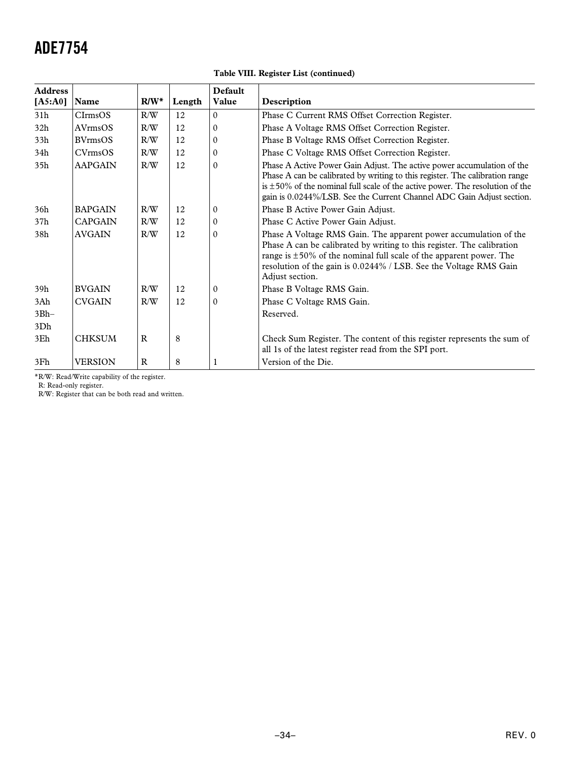| Table VIII. Register List (continued) |  |  |
|---------------------------------------|--|--|
|---------------------------------------|--|--|

| <b>Address</b>  |                |             |        | Default      |                                                                                                                                                                                                                                                                                                                      |  |
|-----------------|----------------|-------------|--------|--------------|----------------------------------------------------------------------------------------------------------------------------------------------------------------------------------------------------------------------------------------------------------------------------------------------------------------------|--|
| [A5:A0]         | Name           | $R/W^*$     | Length | Value        | Description                                                                                                                                                                                                                                                                                                          |  |
| 31h             | $C$ Irms $OS$  | R/W         | 12     | $\theta$     | Phase C Current RMS Offset Correction Register.                                                                                                                                                                                                                                                                      |  |
| 32 <sub>h</sub> | AVrmsOS        | R/W         | 12     | 0            | Phase A Voltage RMS Offset Correction Register.                                                                                                                                                                                                                                                                      |  |
| 33h             | <b>BVrmsOS</b> | R/W         | 12     | 0            | Phase B Voltage RMS Offset Correction Register.                                                                                                                                                                                                                                                                      |  |
| 34h             | CVrmsOS        | R/W         | 12     | $\mathbf{0}$ | Phase C Voltage RMS Offset Correction Register.                                                                                                                                                                                                                                                                      |  |
| 35 <sub>h</sub> | <b>AAPGAIN</b> | R/W         | 12     | 0            | Phase A Active Power Gain Adjust. The active power accumulation of the<br>Phase A can be calibrated by writing to this register. The calibration range<br>is $\pm$ 50% of the nominal full scale of the active power. The resolution of the<br>gain is 0.0244%/LSB. See the Current Channel ADC Gain Adjust section. |  |
| 36h             | <b>BAPGAIN</b> | R/W         | 12     | 0            | Phase B Active Power Gain Adjust.                                                                                                                                                                                                                                                                                    |  |
| 37h             | <b>CAPGAIN</b> | R/W         | 12     | 0            | Phase C Active Power Gain Adjust.                                                                                                                                                                                                                                                                                    |  |
| 38h             | <b>AVGAIN</b>  | R/W         | 12     | $\Omega$     | Phase A Voltage RMS Gain. The apparent power accumulation of the<br>Phase A can be calibrated by writing to this register. The calibration<br>range is $\pm 50\%$ of the nominal full scale of the apparent power. The<br>resolution of the gain is 0.0244% / LSB. See the Voltage RMS Gain<br>Adjust section.       |  |
| 39h             | <b>BVGAIN</b>  | R/W         | 12     | 0            | Phase B Voltage RMS Gain.                                                                                                                                                                                                                                                                                            |  |
| 3Ah             | <b>CVGAIN</b>  | R/W         | 12     | $\Omega$     | Phase C Voltage RMS Gain.                                                                                                                                                                                                                                                                                            |  |
| $3Bh-$<br>3Dh   |                |             |        |              | Reserved.                                                                                                                                                                                                                                                                                                            |  |
| 3Eh             | <b>CHKSUM</b>  | $\mathbf R$ | 8      |              | Check Sum Register. The content of this register represents the sum of<br>all 1s of the latest register read from the SPI port.                                                                                                                                                                                      |  |
| 3Fh             | <b>VERSION</b> | $\mathbf R$ | 8      | 1            | Version of the Die.                                                                                                                                                                                                                                                                                                  |  |

\*R/W: Read/Write capability of the register.

R: Read-only register.

R/W: Register that can be both read and written.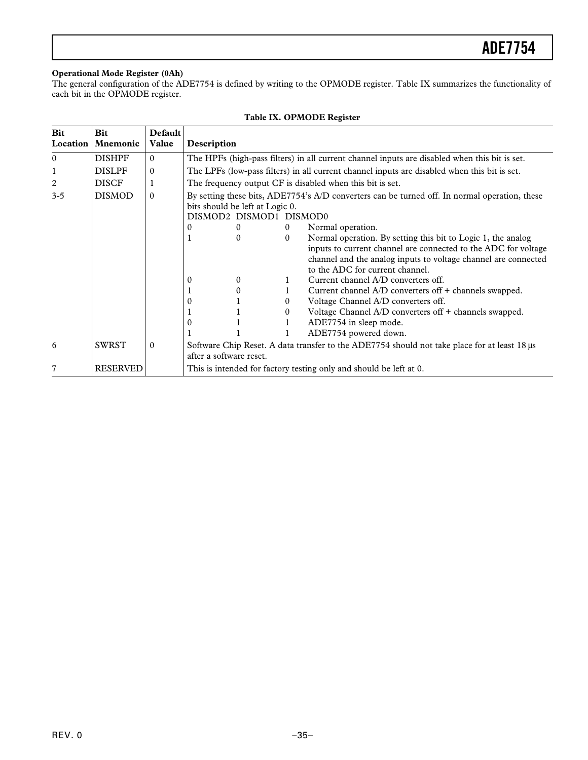#### <span id="page-34-0"></span>**Operational Mode Register (0Ah)**

The general configuration of the ADE7754 is defined by writing to the OPMODE register. Table IX summarizes the functionality of each bit in the OPMODE register.

| <b>Bit</b><br>Location | <b>Bit</b><br><b>Mnemonic</b> | Default<br>Value | Description                                                                                                                                                 |          |          |                                                                                                                                                                                                                                     |
|------------------------|-------------------------------|------------------|-------------------------------------------------------------------------------------------------------------------------------------------------------------|----------|----------|-------------------------------------------------------------------------------------------------------------------------------------------------------------------------------------------------------------------------------------|
| $\theta$               | <b>DISHPF</b>                 | $\Omega$         |                                                                                                                                                             |          |          | The HPFs (high-pass filters) in all current channel inputs are disabled when this bit is set.                                                                                                                                       |
|                        | <b>DISLPF</b>                 | $\mathbf{0}$     |                                                                                                                                                             |          |          | The LPFs (low-pass filters) in all current channel inputs are disabled when this bit is set.                                                                                                                                        |
| 2                      | <b>DISCF</b>                  |                  |                                                                                                                                                             |          |          | The frequency output CF is disabled when this bit is set.                                                                                                                                                                           |
| $3 - 5$                | <b>DISMOD</b>                 | $\Omega$         | By setting these bits, ADE7754's A/D converters can be turned off. In normal operation, these<br>bits should be left at Logic 0.<br>DISMOD2 DISMOD1 DISMOD0 |          |          |                                                                                                                                                                                                                                     |
|                        |                               |                  | $\theta$                                                                                                                                                    | $\Omega$ | $\theta$ | Normal operation.                                                                                                                                                                                                                   |
|                        |                               |                  |                                                                                                                                                             | $\Omega$ | $\Omega$ | Normal operation. By setting this bit to Logic 1, the analog<br>inputs to current channel are connected to the ADC for voltage<br>channel and the analog inputs to voltage channel are connected<br>to the ADC for current channel. |
|                        |                               |                  | $\Omega$                                                                                                                                                    | 0        |          | Current channel A/D converters off.                                                                                                                                                                                                 |
|                        |                               |                  |                                                                                                                                                             | 0        |          | Current channel A/D converters off + channels swapped.                                                                                                                                                                              |
|                        |                               |                  | $\theta$                                                                                                                                                    |          | $\theta$ | Voltage Channel A/D converters off.                                                                                                                                                                                                 |
|                        |                               |                  |                                                                                                                                                             |          | $\theta$ | Voltage Channel A/D converters off + channels swapped.                                                                                                                                                                              |
|                        |                               |                  | $\theta$                                                                                                                                                    |          |          | ADE7754 in sleep mode.                                                                                                                                                                                                              |
|                        |                               |                  |                                                                                                                                                             |          |          | ADE7754 powered down.                                                                                                                                                                                                               |
| 6                      | <b>SWRST</b>                  | $\sigma$         | Software Chip Reset. A data transfer to the ADE7754 should not take place for at least 18 µs<br>after a software reset.                                     |          |          |                                                                                                                                                                                                                                     |
|                        | <b>RESERVED</b>               |                  |                                                                                                                                                             |          |          | This is intended for factory testing only and should be left at 0.                                                                                                                                                                  |

### **Table IX. OPMODE Register**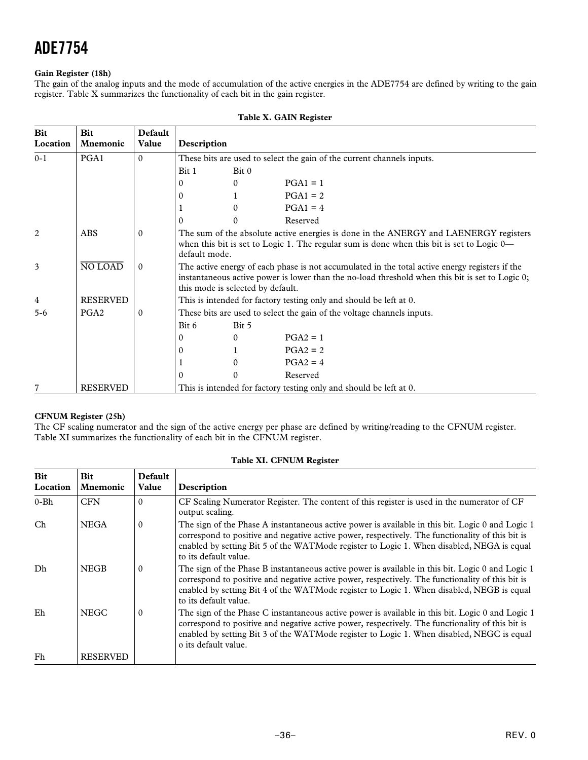#### <span id="page-35-0"></span>**Gain Register (18h)**

The gain of the analog inputs and the mode of accumulation of the active energies in the ADE7754 are defined by writing to the gain register. Table X summarizes the functionality of each bit in the gain register.

| <b>Bit</b><br>Location | Bit<br><b>Mnemonic</b> | Default<br>Value | Description                                                                                                                                                                                                                            |          |                                                                        |
|------------------------|------------------------|------------------|----------------------------------------------------------------------------------------------------------------------------------------------------------------------------------------------------------------------------------------|----------|------------------------------------------------------------------------|
| $0 - 1$                | PGA1                   | $\Omega$         |                                                                                                                                                                                                                                        |          | These bits are used to select the gain of the current channels inputs. |
|                        |                        |                  | Bit 1                                                                                                                                                                                                                                  | Bit 0    |                                                                        |
|                        |                        |                  | 0                                                                                                                                                                                                                                      | 0        | $PGA1 = 1$                                                             |
|                        |                        |                  | 0                                                                                                                                                                                                                                      |          | $PGA1 = 2$                                                             |
|                        |                        |                  |                                                                                                                                                                                                                                        | 0        | $PGA1 = 4$                                                             |
|                        |                        |                  | $\Omega$                                                                                                                                                                                                                               | 0        | Reserved                                                               |
| $\overline{2}$         | <b>ABS</b>             | $\Omega$         | The sum of the absolute active energies is done in the ANERGY and LAENERGY registers<br>when this bit is set to Logic 1. The regular sum is done when this bit is set to Logic $0$ —<br>default mode.                                  |          |                                                                        |
| 3                      | NO LOAD                | $\Omega$         | The active energy of each phase is not accumulated in the total active energy registers if the<br>instantaneous active power is lower than the no-load threshold when this bit is set to Logic 0;<br>this mode is selected by default. |          |                                                                        |
| 4                      | <b>RESERVED</b>        |                  |                                                                                                                                                                                                                                        |          | This is intended for factory testing only and should be left at 0.     |
| $5 - 6$                | PGA <sub>2</sub>       | 0                |                                                                                                                                                                                                                                        |          | These bits are used to select the gain of the voltage channels inputs. |
|                        |                        |                  | Bit 6                                                                                                                                                                                                                                  | Bit 5    |                                                                        |
|                        |                        |                  | 0                                                                                                                                                                                                                                      | $\Omega$ | $PGA2 = 1$                                                             |
|                        |                        |                  | 0                                                                                                                                                                                                                                      |          | $PGA2 = 2$                                                             |
|                        |                        |                  |                                                                                                                                                                                                                                        | 0        | $PGA2 = 4$                                                             |
|                        |                        |                  | $\theta$                                                                                                                                                                                                                               | $\Omega$ | Reserved                                                               |
|                        | <b>RESERVED</b>        |                  |                                                                                                                                                                                                                                        |          | This is intended for factory testing only and should be left at 0.     |

#### **Table X. GAIN Register**

#### **CFNUM Register (25h)**

The CF scaling numerator and the sign of the active energy per phase are defined by writing/reading to the CFNUM register. Table XI summarizes the functionality of each bit in the CFNUM register.

| <b>Bit</b><br>Location | <b>Bit</b><br><b>Mnemonic</b> | <b>Default</b><br>Value | Description                                                                                                                                                                                                                                                                                                                |
|------------------------|-------------------------------|-------------------------|----------------------------------------------------------------------------------------------------------------------------------------------------------------------------------------------------------------------------------------------------------------------------------------------------------------------------|
| $0 - Bh$               | <b>CFN</b>                    | $\Omega$                | CF Scaling Numerator Register. The content of this register is used in the numerator of CF<br>output scaling.                                                                                                                                                                                                              |
| Ch                     | <b>NEGA</b>                   | $\Omega$                | The sign of the Phase A instantaneous active power is available in this bit. Logic 0 and Logic 1<br>correspond to positive and negative active power, respectively. The functionality of this bit is<br>enabled by setting Bit 5 of the WATMode register to Logic 1. When disabled, NEGA is equal<br>to its default value. |
| Dh                     | <b>NEGB</b>                   | $\Omega$                | The sign of the Phase B instantaneous active power is available in this bit. Logic 0 and Logic 1<br>correspond to positive and negative active power, respectively. The functionality of this bit is<br>enabled by setting Bit 4 of the WATMode register to Logic 1. When disabled, NEGB is equal<br>to its default value. |
| Eh                     | <b>NEGC</b>                   | $\theta$                | The sign of the Phase C instantaneous active power is available in this bit. Logic 0 and Logic 1<br>correspond to positive and negative active power, respectively. The functionality of this bit is<br>enabled by setting Bit 3 of the WATMode register to Logic 1. When disabled, NEGC is equal<br>o its default value.  |
| Fh                     | <b>RESERVED</b>               |                         |                                                                                                                                                                                                                                                                                                                            |

#### **Table XI. CFNUM Register**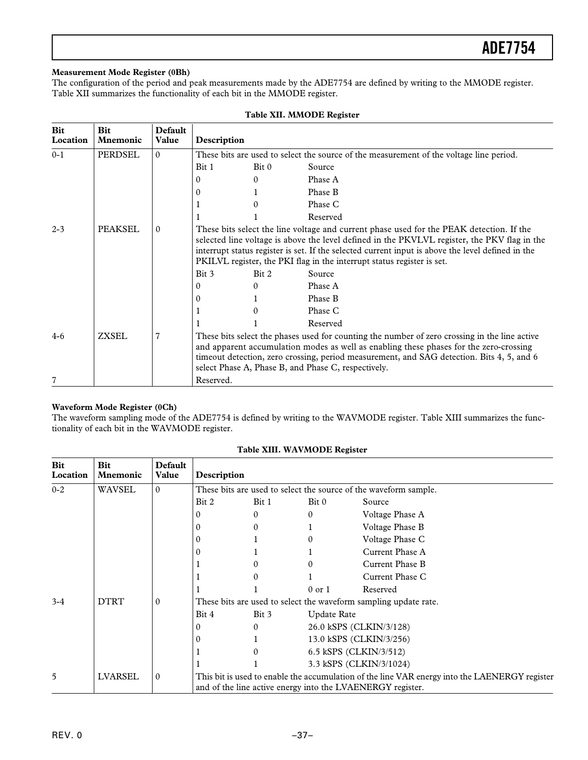#### <span id="page-36-0"></span>**Measurement Mode Register (0Bh)**

The configuration of the period and peak measurements made by the ADE7754 are defined by writing to the MMODE register. Table XII summarizes the functionality of each bit in the MMODE register.

| Bit<br>Location | <b>Bit</b><br><b>Mnemonic</b> | <b>Default</b><br>Value | Description                                                                                                                                                                                                                                                                                                                                                             |                                                                                         |          |  |  |
|-----------------|-------------------------------|-------------------------|-------------------------------------------------------------------------------------------------------------------------------------------------------------------------------------------------------------------------------------------------------------------------------------------------------------------------------------------------------------------------|-----------------------------------------------------------------------------------------|----------|--|--|
| $0 - 1$         | PERDSEL                       | $\Omega$                |                                                                                                                                                                                                                                                                                                                                                                         | These bits are used to select the source of the measurement of the voltage line period. |          |  |  |
|                 |                               |                         | Bit 1                                                                                                                                                                                                                                                                                                                                                                   | Bit 0                                                                                   | Source   |  |  |
|                 |                               |                         | 0                                                                                                                                                                                                                                                                                                                                                                       | 0                                                                                       | Phase A  |  |  |
|                 |                               |                         | 0                                                                                                                                                                                                                                                                                                                                                                       |                                                                                         | Phase B  |  |  |
|                 |                               |                         |                                                                                                                                                                                                                                                                                                                                                                         |                                                                                         | Phase C  |  |  |
|                 |                               |                         |                                                                                                                                                                                                                                                                                                                                                                         |                                                                                         | Reserved |  |  |
| $2 - 3$         | <b>PEAKSEL</b>                | $\mathbf{0}$            | These bits select the line voltage and current phase used for the PEAK detection. If the<br>selected line voltage is above the level defined in the PKVLVL register, the PKV flag in the<br>interrupt status register is set. If the selected current input is above the level defined in the<br>PKILVL register, the PKI flag in the interrupt status register is set. |                                                                                         |          |  |  |
|                 |                               |                         | Bit 3                                                                                                                                                                                                                                                                                                                                                                   | Bit 2                                                                                   | Source   |  |  |
|                 |                               |                         | 0                                                                                                                                                                                                                                                                                                                                                                       | 0                                                                                       | Phase A  |  |  |
|                 |                               |                         | 0                                                                                                                                                                                                                                                                                                                                                                       |                                                                                         | Phase B  |  |  |
|                 |                               |                         |                                                                                                                                                                                                                                                                                                                                                                         |                                                                                         | Phase C  |  |  |
|                 |                               |                         |                                                                                                                                                                                                                                                                                                                                                                         |                                                                                         | Reserved |  |  |
| $4-6$           | ZXSEL                         | 7                       | These bits select the phases used for counting the number of zero crossing in the line active<br>and apparent accumulation modes as well as enabling these phases for the zero-crossing<br>timeout detection, zero crossing, period measurement, and SAG detection. Bits 4, 5, and 6<br>select Phase A, Phase B, and Phase C, respectively.                             |                                                                                         |          |  |  |
|                 |                               |                         | Reserved.                                                                                                                                                                                                                                                                                                                                                               |                                                                                         |          |  |  |

#### **Table XII. MMODE Register**

#### **Waveform Mode Register (0Ch)**

The waveform sampling mode of the ADE7754 is defined by writing to the WAVMODE register. Table XIII summarizes the functionality of each bit in the WAVMODE register.

| <b>Bit</b><br>Location | <b>Bit</b><br><b>Mnemonic</b> | <b>Default</b><br>Value | Description                                                      |          |                        |                                                                                                                                                             |  |
|------------------------|-------------------------------|-------------------------|------------------------------------------------------------------|----------|------------------------|-------------------------------------------------------------------------------------------------------------------------------------------------------------|--|
| $0 - 2$                | WAVSEL                        | $\Omega$                | These bits are used to select the source of the waveform sample. |          |                        |                                                                                                                                                             |  |
|                        |                               |                         | Bit 2                                                            | Bit 1    | Bit 0                  | Source                                                                                                                                                      |  |
|                        |                               |                         | $\theta$                                                         | $\Omega$ | $\Omega$               | Voltage Phase A                                                                                                                                             |  |
|                        |                               |                         | $\Omega$                                                         | $\Omega$ |                        | Voltage Phase B                                                                                                                                             |  |
|                        |                               |                         | $\Omega$                                                         |          | 0                      | Voltage Phase C                                                                                                                                             |  |
|                        |                               |                         | $\theta$                                                         |          |                        | Current Phase A                                                                                                                                             |  |
|                        |                               |                         |                                                                  | $\Omega$ | $\Omega$               | Current Phase B                                                                                                                                             |  |
|                        |                               |                         |                                                                  | $\Omega$ |                        | Current Phase C                                                                                                                                             |  |
|                        |                               |                         |                                                                  |          | $0$ or $1$             | Reserved                                                                                                                                                    |  |
| $3 - 4$                | <b>DTRT</b>                   | $\mathbf{0}$            | These bits are used to select the waveform sampling update rate. |          |                        |                                                                                                                                                             |  |
|                        |                               |                         | Bit 4                                                            | Bit 3    | <b>Update Rate</b>     |                                                                                                                                                             |  |
|                        |                               |                         | $\mathbf{0}$                                                     | $\Omega$ |                        | 26.0 kSPS (CLKIN/3/128)                                                                                                                                     |  |
|                        |                               |                         | $\mathbf{0}$                                                     |          |                        | 13.0 kSPS (CLKIN/3/256)                                                                                                                                     |  |
|                        |                               |                         |                                                                  | $\theta$ | 6.5 kSPS (CLKIN/3/512) |                                                                                                                                                             |  |
|                        |                               |                         |                                                                  |          |                        | 3.3 kSPS (CLKIN/3/1024)                                                                                                                                     |  |
| 5                      | LVARSEL                       | $\mathbf{0}$            |                                                                  |          |                        | This bit is used to enable the accumulation of the line VAR energy into the LAENERGY register<br>and of the line active energy into the LVAENERGY register. |  |

#### **Table XIII. WAVMODE Register**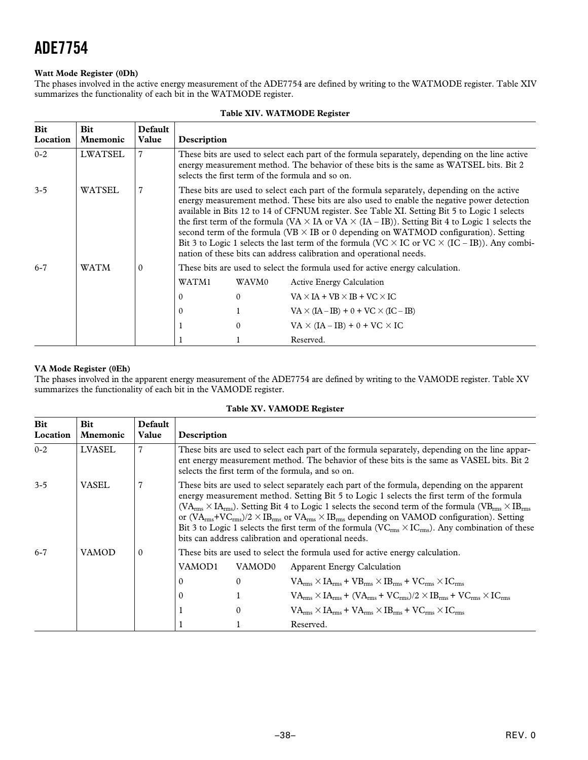#### <span id="page-37-0"></span>**Watt Mode Register (0Dh)**

The phases involved in the active energy measurement of the ADE7754 are defined by writing to the WATMODE register. Table XIV summarizes the functionality of each bit in the WATMODE register.

| <b>Bit</b><br>Location | <b>Bit</b><br><b>Mnemonic</b> | Default<br>Value | Description                                                                                                                                                                                                                                                                                                                                                                                                                                                                                                                                                                                                                                                                                    |              |                                                 |  |  |  |
|------------------------|-------------------------------|------------------|------------------------------------------------------------------------------------------------------------------------------------------------------------------------------------------------------------------------------------------------------------------------------------------------------------------------------------------------------------------------------------------------------------------------------------------------------------------------------------------------------------------------------------------------------------------------------------------------------------------------------------------------------------------------------------------------|--------------|-------------------------------------------------|--|--|--|
| $0 - 2$                | <b>LWATSEL</b>                | $\overline{7}$   | These bits are used to select each part of the formula separately, depending on the line active<br>energy measurement method. The behavior of these bits is the same as WATSEL bits. Bit 2<br>selects the first term of the formula and so on.                                                                                                                                                                                                                                                                                                                                                                                                                                                 |              |                                                 |  |  |  |
| $3 - 5$                | WATSEL                        | 7                | These bits are used to select each part of the formula separately, depending on the active<br>energy measurement method. These bits are also used to enable the negative power detection<br>available in Bits 12 to 14 of CFNUM register. See Table XI. Setting Bit 5 to Logic 1 selects<br>the first term of the formula (VA $\times$ IA or VA $\times$ (IA – IB)). Setting Bit 4 to Logic 1 selects the<br>second term of the formula (VB $\times$ IB or 0 depending on WATMOD configuration). Setting<br>Bit 3 to Logic 1 selects the last term of the formula (VC $\times$ IC or VC $\times$ (IC – IB)). Any combi-<br>nation of these bits can address calibration and operational needs. |              |                                                 |  |  |  |
| $6 - 7$                | WATM                          | $\mathbf{0}$     | These bits are used to select the formula used for active energy calculation.                                                                                                                                                                                                                                                                                                                                                                                                                                                                                                                                                                                                                  |              |                                                 |  |  |  |
|                        |                               |                  | WATM1                                                                                                                                                                                                                                                                                                                                                                                                                                                                                                                                                                                                                                                                                          | WAVM0        | <b>Active Energy Calculation</b>                |  |  |  |
|                        |                               |                  | $\theta$                                                                                                                                                                                                                                                                                                                                                                                                                                                                                                                                                                                                                                                                                       | $\mathbf{0}$ | $VA \times IA + VB \times IB + VC \times IC$    |  |  |  |
|                        |                               |                  | $\mathbf{0}$                                                                                                                                                                                                                                                                                                                                                                                                                                                                                                                                                                                                                                                                                   | $\mathbf{1}$ | $VA \times (IA - IB) + 0 + VC \times (IC - IB)$ |  |  |  |
|                        |                               |                  |                                                                                                                                                                                                                                                                                                                                                                                                                                                                                                                                                                                                                                                                                                | $\mathbf{0}$ | $VA \times (IA - IB) + 0 + VC \times IC$        |  |  |  |
|                        |                               |                  |                                                                                                                                                                                                                                                                                                                                                                                                                                                                                                                                                                                                                                                                                                |              | Reserved.                                       |  |  |  |

#### **Table XIV. WATMODE Register**

#### **VA Mode Register (0Eh)**

The phases involved in the apparent energy measurement of the ADE7754 are defined by writing to the VAMODE register. Table XV summarizes the functionality of each bit in the VAMODE register.

|  | Table XV. VAMODE Register |  |
|--|---------------------------|--|
|--|---------------------------|--|

| Bit<br>Location | <b>Bit</b><br><b>Mnemonic</b> | Default<br>Value | Description                                                                                                                                                                                                                                                                                                                                                                                                                                                                                                                                                                                                                                                                        |                  |                                                                                                          |  |  |  |
|-----------------|-------------------------------|------------------|------------------------------------------------------------------------------------------------------------------------------------------------------------------------------------------------------------------------------------------------------------------------------------------------------------------------------------------------------------------------------------------------------------------------------------------------------------------------------------------------------------------------------------------------------------------------------------------------------------------------------------------------------------------------------------|------------------|----------------------------------------------------------------------------------------------------------|--|--|--|
| $0 - 2$         | <b>LVASEL</b>                 | $\overline{7}$   | These bits are used to select each part of the formula separately, depending on the line appar-<br>ent energy measurement method. The behavior of these bits is the same as VASEL bits. Bit 2<br>selects the first term of the formula, and so on.                                                                                                                                                                                                                                                                                                                                                                                                                                 |                  |                                                                                                          |  |  |  |
| $3 - 5$         | VASEL                         | 7                | These bits are used to select separately each part of the formula, depending on the apparent<br>energy measurement method. Setting Bit 5 to Logic 1 selects the first term of the formula<br>( $\text{VA}_{\text{rms}} \times \text{IA}_{\text{rms}}$ ). Setting Bit 4 to Logic 1 selects the second term of the formula ( $\text{VB}_{\text{rms}} \times \text{IB}_{\text{rms}}$<br>or $(VA_{rms}+VC_{rms})/2 \times IB_{rms}$ or $VA_{rms} \times IB_{rms}$ depending on VAMOD configuration). Setting<br>Bit 3 to Logic 1 selects the first term of the formula ( $VC_{rms} \times IC_{rms}$ ). Any combination of these<br>bits can address calibration and operational needs. |                  |                                                                                                          |  |  |  |
| $6 - 7$         | VAMOD                         | $\theta$         |                                                                                                                                                                                                                                                                                                                                                                                                                                                                                                                                                                                                                                                                                    |                  | These bits are used to select the formula used for active energy calculation.                            |  |  |  |
|                 |                               |                  | VAMOD1                                                                                                                                                                                                                                                                                                                                                                                                                                                                                                                                                                                                                                                                             | VAMOD0           | <b>Apparent Energy Calculation</b>                                                                       |  |  |  |
|                 |                               |                  | $\theta$                                                                                                                                                                                                                                                                                                                                                                                                                                                                                                                                                                                                                                                                           | $\mathbf{0}$     | $VA_{rms} \times IA_{rms} + VB_{rms} \times IB_{rms} + VC_{rms} \times IC_{rms}$                         |  |  |  |
|                 |                               |                  | $\theta$                                                                                                                                                                                                                                                                                                                                                                                                                                                                                                                                                                                                                                                                           | 1                | $VA_{rms} \times IA_{rms} + (VA_{rms} + VC_{rms})/2 \times IB_{rms} + VC_{rms} \times IC_{rms}$          |  |  |  |
|                 |                               |                  |                                                                                                                                                                                                                                                                                                                                                                                                                                                                                                                                                                                                                                                                                    | $\boldsymbol{0}$ | $VA_{\rm rms} \times IA_{\rm rms} + VA_{\rm rms} \times IB_{\rm rms} + VC_{\rm rms} \times IC_{\rm rms}$ |  |  |  |
|                 |                               |                  |                                                                                                                                                                                                                                                                                                                                                                                                                                                                                                                                                                                                                                                                                    |                  | Reserved.                                                                                                |  |  |  |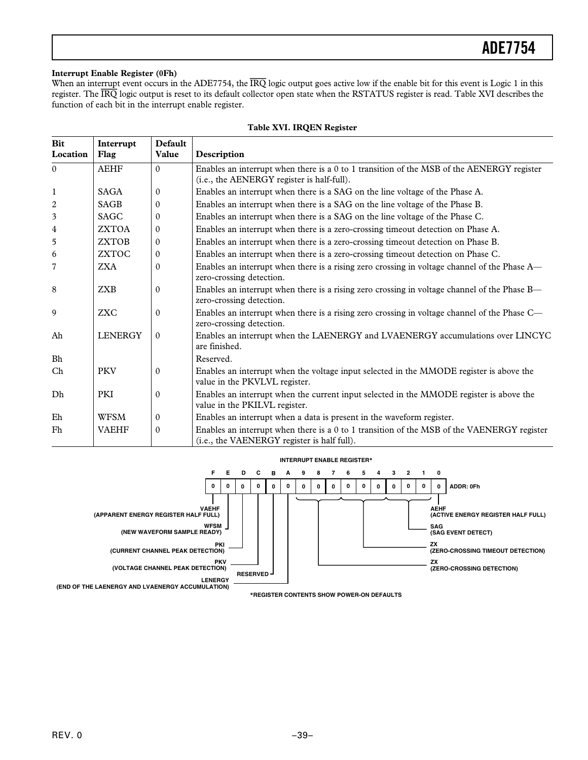#### <span id="page-38-0"></span>**Interrupt Enable Register (0Fh)**

When an interrupt event occurs in the ADE7754, the  $\overline{IRQ}$  logic output goes active low if the enable bit for this event is Logic 1 in this register. The *IRQ* logic output is reset to its default collector open state when the RSTATUS register is read. Table XVI describes the function of each bit in the interrupt enable register.

| <b>Bit</b><br>Location | Interrupt<br>Flag | Default<br>Value | Description                                                                                                                               |
|------------------------|-------------------|------------------|-------------------------------------------------------------------------------------------------------------------------------------------|
| $\theta$               | <b>AEHF</b>       | $\Omega$         | Enables an interrupt when there is a 0 to 1 transition of the MSB of the AENERGY register<br>(i.e., the AENERGY register is half-full).   |
| $\mathbf{1}$           | <b>SAGA</b>       | $\mathbf{0}$     | Enables an interrupt when there is a SAG on the line voltage of the Phase A.                                                              |
| $\overline{c}$         | <b>SAGB</b>       | $\mathbf{0}$     | Enables an interrupt when there is a SAG on the line voltage of the Phase B.                                                              |
| 3                      | <b>SAGC</b>       | $\mathbf{0}$     | Enables an interrupt when there is a SAG on the line voltage of the Phase C.                                                              |
| 4                      | <b>ZXTOA</b>      | $\mathbf{0}$     | Enables an interrupt when there is a zero-crossing timeout detection on Phase A.                                                          |
| 5                      | <b>ZXTOB</b>      | $\mathbf{0}$     | Enables an interrupt when there is a zero-crossing timeout detection on Phase B.                                                          |
| 6                      | <b>ZXTOC</b>      | $\mathbf{0}$     | Enables an interrupt when there is a zero-crossing timeout detection on Phase C.                                                          |
| 7                      | <b>ZXA</b>        | $\Omega$         | Enables an interrupt when there is a rising zero crossing in voltage channel of the Phase A—<br>zero-crossing detection.                  |
| 8                      | <b>ZXB</b>        | $\mathbf{0}$     | Enables an interrupt when there is a rising zero crossing in voltage channel of the Phase B—<br>zero-crossing detection.                  |
| 9                      | <b>ZXC</b>        | $\Omega$         | Enables an interrupt when there is a rising zero crossing in voltage channel of the Phase C—<br>zero-crossing detection.                  |
| Ah                     | <b>LENERGY</b>    | $\theta$         | Enables an interrupt when the LAENERGY and LVAENERGY accumulations over LINCYC<br>are finished.                                           |
| $\rm Bh$               |                   |                  | Reserved.                                                                                                                                 |
| Ch                     | <b>PKV</b>        | $\mathbf{0}$     | Enables an interrupt when the voltage input selected in the MMODE register is above the<br>value in the PKVLVL register.                  |
| Dh                     | <b>PKI</b>        | $\mathbf{0}$     | Enables an interrupt when the current input selected in the MMODE register is above the<br>value in the PKILVL register.                  |
| Eh                     | WFSM              | $\boldsymbol{0}$ | Enables an interrupt when a data is present in the waveform register.                                                                     |
| Fh                     | <b>VAEHF</b>      | $\mathbf{0}$     | Enables an interrupt when there is a 0 to 1 transition of the MSB of the VAENERGY register<br>(i.e., the VAENERGY register is half full). |

#### **Table XVI. IRQEN Register**

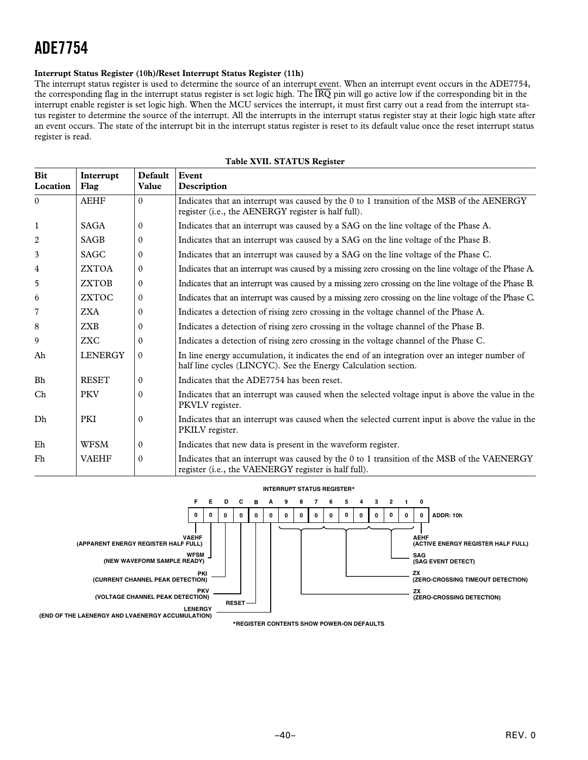#### <span id="page-39-0"></span>**Interrupt Status Register (10h)/Reset Interrupt Status Register (11h)**

The interrupt status register is used to determine the source of an interrupt event. When an interrupt event occurs in the ADE7754, the corresponding flag in the interrupt status register is set logic high. The *IRQ* pin will go active low if the corresponding bit in the interrupt enable register is set logic high. When the MCU services the interrupt, it must first carry out a read from the interrupt status register to determine the source of the interrupt. All the interrupts in the interrupt status register stay at their logic high state after an event occurs. The state of the interrupt bit in the interrupt status register is reset to its default value once the reset interrupt status register is read.

| <b>Bit</b><br>Location | Interrupt<br>Flag | <b>Default</b><br>Value | Event<br>Description                                                                                                                                            |
|------------------------|-------------------|-------------------------|-----------------------------------------------------------------------------------------------------------------------------------------------------------------|
| $\Omega$               | <b>AEHF</b>       | $\Omega$                | Indicates that an interrupt was caused by the 0 to 1 transition of the MSB of the AENERGY<br>register (i.e., the AENERGY register is half full).                |
| -1                     | <b>SAGA</b>       | $\mathbf{0}$            | Indicates that an interrupt was caused by a SAG on the line voltage of the Phase A.                                                                             |
| 2                      | <b>SAGB</b>       | $\mathbf{0}$            | Indicates that an interrupt was caused by a SAG on the line voltage of the Phase B.                                                                             |
| 3                      | <b>SAGC</b>       | $\mathbf{0}$            | Indicates that an interrupt was caused by a SAG on the line voltage of the Phase C.                                                                             |
| 4                      | <b>ZXTOA</b>      | $\mathbf{0}$            | Indicates that an interrupt was caused by a missing zero crossing on the line voltage of the Phase A.                                                           |
| 5                      | <b>ZXTOB</b>      | $\mathbf{0}$            | Indicates that an interrupt was caused by a missing zero crossing on the line voltage of the Phase B.                                                           |
| 6                      | <b>ZXTOC</b>      | $\mathbf{0}$            | Indicates that an interrupt was caused by a missing zero crossing on the line voltage of the Phase C.                                                           |
| 7                      | <b>ZXA</b>        | $\mathbf{0}$            | Indicates a detection of rising zero crossing in the voltage channel of the Phase A.                                                                            |
| 8                      | <b>ZXB</b>        | $\mathbf{0}$            | Indicates a detection of rising zero crossing in the voltage channel of the Phase B.                                                                            |
| 9                      | <b>ZXC</b>        | $\Omega$                | Indicates a detection of rising zero crossing in the voltage channel of the Phase C.                                                                            |
| Ah                     | <b>LENERGY</b>    | $\Omega$                | In line energy accumulation, it indicates the end of an integration over an integer number of<br>half line cycles (LINCYC). See the Energy Calculation section. |
| <b>Bh</b>              | <b>RESET</b>      | $\Omega$                | Indicates that the ADE7754 has been reset.                                                                                                                      |
| Ch                     | <b>PKV</b>        | $\Omega$                | Indicates that an interrupt was caused when the selected voltage input is above the value in the<br>PKVLV register.                                             |
| Dh                     | <b>PKI</b>        | $\Omega$                | Indicates that an interrupt was caused when the selected current input is above the value in the<br>PKILV register.                                             |
| Eh                     | <b>WFSM</b>       | $\Omega$                | Indicates that new data is present in the waveform register.                                                                                                    |
| Fh                     | <b>VAEHF</b>      | $\mathbf{0}$            | Indicates that an interrupt was caused by the 0 to 1 transition of the MSB of the VAENERGY<br>register (i.e., the VAENERGY register is half full).              |

#### **Table XVII. STATUS Register**

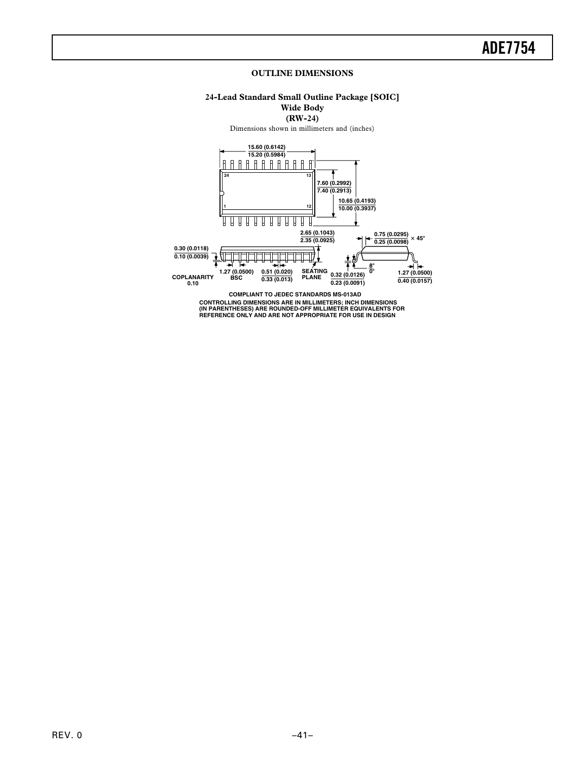#### **OUTLINE DIMENSIONS**

### **24-Lead Standard Small Outline Package [SOIC] Wide Body**

**(RW-24)**

Dimensions shown in millimeters and (inches)

<span id="page-40-0"></span>

**CONTROLLING DIMENSIONS ARE IN MILLIMETERS; INCH DIMENSIONS (IN PARENTHESES) ARE ROUNDED-OFF MILLIMETER EQUIVALENTS FOR REFERENCE ONLY AND ARE NOT APPROPRIATE FOR USE IN DESIGN**